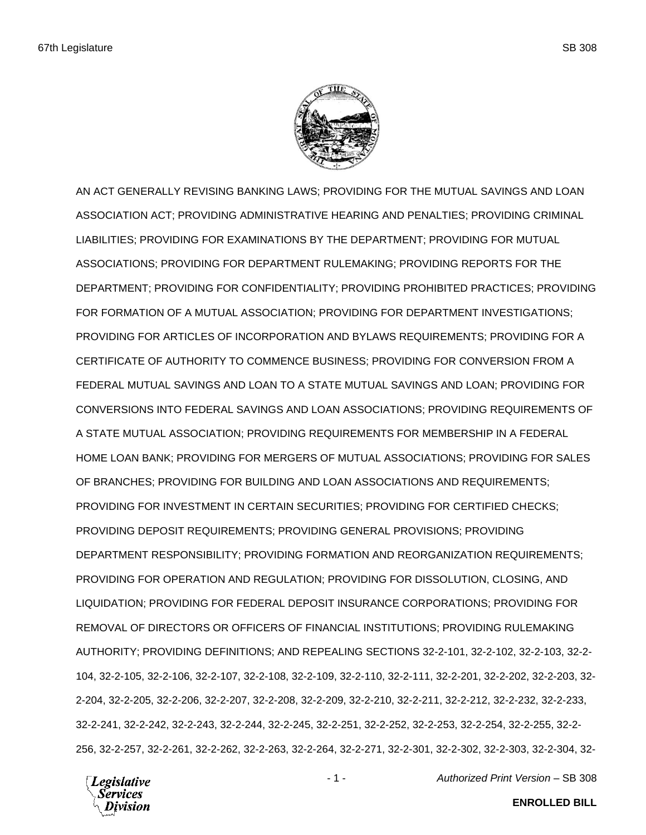

AN ACT GENERALLY REVISING BANKING LAWS; PROVIDING FOR THE MUTUAL SAVINGS AND LOAN ASSOCIATION ACT; PROVIDING ADMINISTRATIVE HEARING AND PENALTIES; PROVIDING CRIMINAL LIABILITIES; PROVIDING FOR EXAMINATIONS BY THE DEPARTMENT; PROVIDING FOR MUTUAL ASSOCIATIONS; PROVIDING FOR DEPARTMENT RULEMAKING; PROVIDING REPORTS FOR THE DEPARTMENT; PROVIDING FOR CONFIDENTIALITY; PROVIDING PROHIBITED PRACTICES; PROVIDING FOR FORMATION OF A MUTUAL ASSOCIATION; PROVIDING FOR DEPARTMENT INVESTIGATIONS; PROVIDING FOR ARTICLES OF INCORPORATION AND BYLAWS REQUIREMENTS; PROVIDING FOR A CERTIFICATE OF AUTHORITY TO COMMENCE BUSINESS; PROVIDING FOR CONVERSION FROM A FEDERAL MUTUAL SAVINGS AND LOAN TO A STATE MUTUAL SAVINGS AND LOAN; PROVIDING FOR CONVERSIONS INTO FEDERAL SAVINGS AND LOAN ASSOCIATIONS; PROVIDING REQUIREMENTS OF A STATE MUTUAL ASSOCIATION; PROVIDING REQUIREMENTS FOR MEMBERSHIP IN A FEDERAL HOME LOAN BANK; PROVIDING FOR MERGERS OF MUTUAL ASSOCIATIONS; PROVIDING FOR SALES OF BRANCHES; PROVIDING FOR BUILDING AND LOAN ASSOCIATIONS AND REQUIREMENTS; PROVIDING FOR INVESTMENT IN CERTAIN SECURITIES; PROVIDING FOR CERTIFIED CHECKS; PROVIDING DEPOSIT REQUIREMENTS; PROVIDING GENERAL PROVISIONS; PROVIDING DEPARTMENT RESPONSIBILITY; PROVIDING FORMATION AND REORGANIZATION REQUIREMENTS; PROVIDING FOR OPERATION AND REGULATION; PROVIDING FOR DISSOLUTION, CLOSING, AND LIQUIDATION; PROVIDING FOR FEDERAL DEPOSIT INSURANCE CORPORATIONS; PROVIDING FOR REMOVAL OF DIRECTORS OR OFFICERS OF FINANCIAL INSTITUTIONS; PROVIDING RULEMAKING AUTHORITY; PROVIDING DEFINITIONS; AND REPEALING SECTIONS 32-2-101, 32-2-102, 32-2-103, 32-2- 104, 32-2-105, 32-2-106, 32-2-107, 32-2-108, 32-2-109, 32-2-110, 32-2-111, 32-2-201, 32-2-202, 32-2-203, 32- 2-204, 32-2-205, 32-2-206, 32-2-207, 32-2-208, 32-2-209, 32-2-210, 32-2-211, 32-2-212, 32-2-232, 32-2-233, 32-2-241, 32-2-242, 32-2-243, 32-2-244, 32-2-245, 32-2-251, 32-2-252, 32-2-253, 32-2-254, 32-2-255, 32-2- 256, 32-2-257, 32-2-261, 32-2-262, 32-2-263, 32-2-264, 32-2-271, 32-2-301, 32-2-302, 32-2-303, 32-2-304, 32-

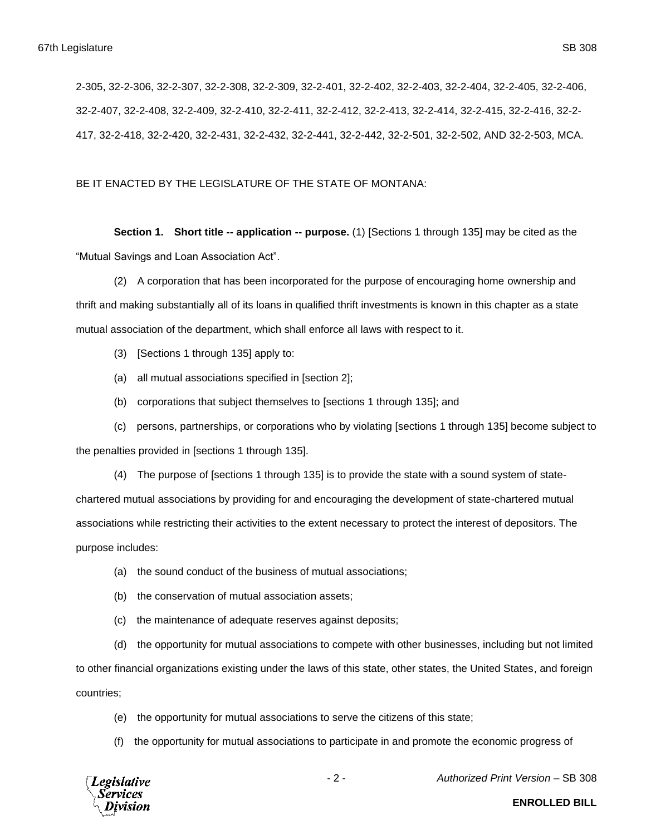2-305, 32-2-306, 32-2-307, 32-2-308, 32-2-309, 32-2-401, 32-2-402, 32-2-403, 32-2-404, 32-2-405, 32-2-406, 32-2-407, 32-2-408, 32-2-409, 32-2-410, 32-2-411, 32-2-412, 32-2-413, 32-2-414, 32-2-415, 32-2-416, 32-2- 417, 32-2-418, 32-2-420, 32-2-431, 32-2-432, 32-2-441, 32-2-442, 32-2-501, 32-2-502, AND 32-2-503, MCA.

# BE IT ENACTED BY THE LEGISLATURE OF THE STATE OF MONTANA:

**Section 1. Short title -- application -- purpose.** (1) [Sections 1 through 135] may be cited as the "Mutual Savings and Loan Association Act".

(2) A corporation that has been incorporated for the purpose of encouraging home ownership and thrift and making substantially all of its loans in qualified thrift investments is known in this chapter as a state mutual association of the department, which shall enforce all laws with respect to it.

- (3) [Sections 1 through 135] apply to:
- (a) all mutual associations specified in [section 2];
- (b) corporations that subject themselves to [sections 1 through 135]; and

(c) persons, partnerships, or corporations who by violating [sections 1 through 135] become subject to the penalties provided in [sections 1 through 135].

(4) The purpose of [sections 1 through 135] is to provide the state with a sound system of statechartered mutual associations by providing for and encouraging the development of state-chartered mutual associations while restricting their activities to the extent necessary to protect the interest of depositors. The purpose includes:

- (a) the sound conduct of the business of mutual associations;
- (b) the conservation of mutual association assets;
- (c) the maintenance of adequate reserves against deposits;

(d) the opportunity for mutual associations to compete with other businesses, including but not limited to other financial organizations existing under the laws of this state, other states, the United States, and foreign

countries;

- (e) the opportunity for mutual associations to serve the citizens of this state;
- (f) the opportunity for mutual associations to participate in and promote the economic progress of



- 2 - *Authorized Print Version* – SB 308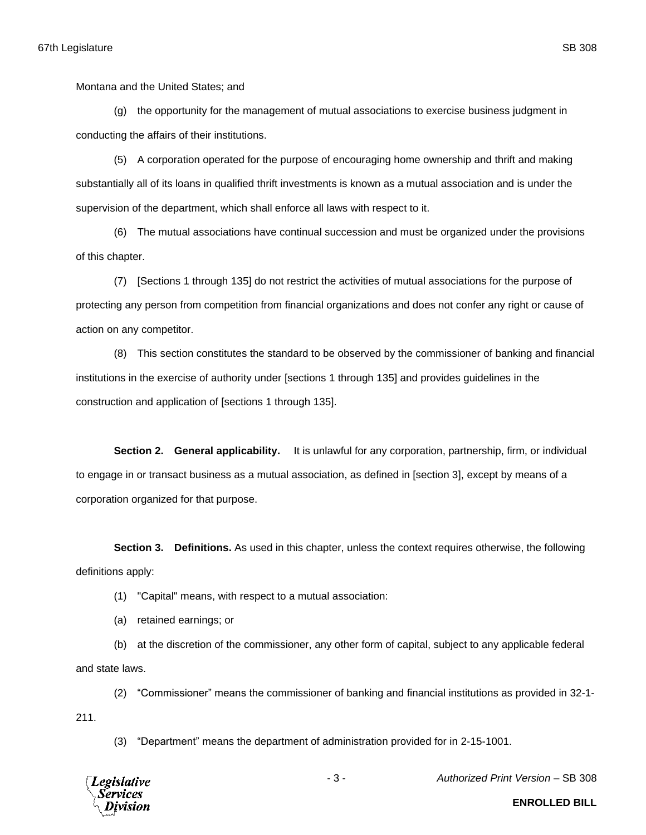Montana and the United States; and

(g) the opportunity for the management of mutual associations to exercise business judgment in conducting the affairs of their institutions.

(5) A corporation operated for the purpose of encouraging home ownership and thrift and making substantially all of its loans in qualified thrift investments is known as a mutual association and is under the supervision of the department, which shall enforce all laws with respect to it.

(6) The mutual associations have continual succession and must be organized under the provisions of this chapter.

(7) [Sections 1 through 135] do not restrict the activities of mutual associations for the purpose of protecting any person from competition from financial organizations and does not confer any right or cause of action on any competitor.

(8) This section constitutes the standard to be observed by the commissioner of banking and financial institutions in the exercise of authority under [sections 1 through 135] and provides guidelines in the construction and application of [sections 1 through 135].

**Section 2. General applicability.** It is unlawful for any corporation, partnership, firm, or individual to engage in or transact business as a mutual association, as defined in [section 3], except by means of a corporation organized for that purpose.

**Section 3. Definitions.** As used in this chapter, unless the context requires otherwise, the following definitions apply:

(1) "Capital" means, with respect to a mutual association:

(a) retained earnings; or

(b) at the discretion of the commissioner, any other form of capital, subject to any applicable federal and state laws.

(2) "Commissioner" means the commissioner of banking and financial institutions as provided in 32-1- 211.

(3) "Department" means the department of administration provided for in 2-15-1001.



- 3 - *Authorized Print Version* – SB 308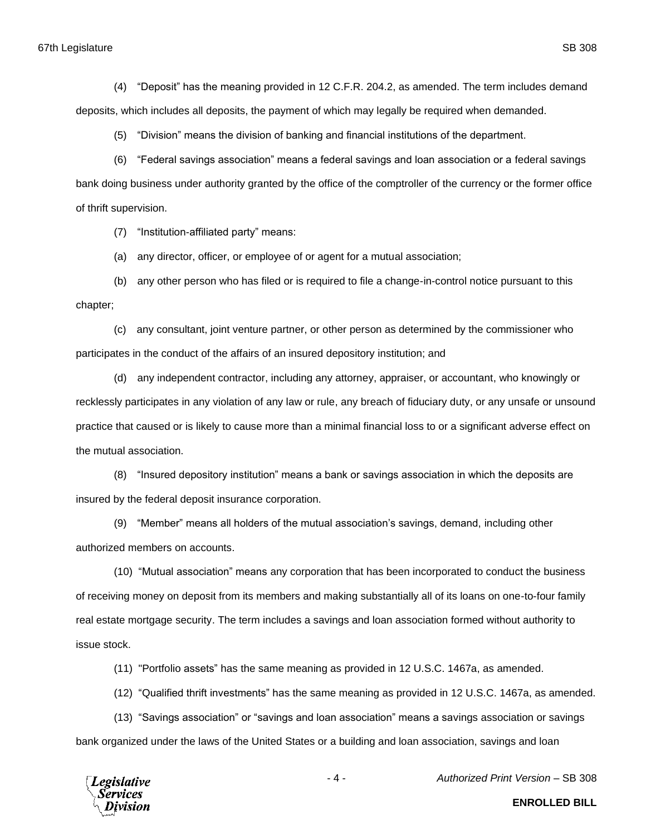(4) "Deposit" has the meaning provided in 12 C.F.R. 204.2, as amended. The term includes demand deposits, which includes all deposits, the payment of which may legally be required when demanded.

(5) "Division" means the division of banking and financial institutions of the department.

(6) "Federal savings association" means a federal savings and loan association or a federal savings bank doing business under authority granted by the office of the comptroller of the currency or the former office of thrift supervision.

(7) "Institution-affiliated party" means:

(a) any director, officer, or employee of or agent for a mutual association;

(b) any other person who has filed or is required to file a change-in-control notice pursuant to this chapter;

(c) any consultant, joint venture partner, or other person as determined by the commissioner who participates in the conduct of the affairs of an insured depository institution; and

(d) any independent contractor, including any attorney, appraiser, or accountant, who knowingly or recklessly participates in any violation of any law or rule, any breach of fiduciary duty, or any unsafe or unsound practice that caused or is likely to cause more than a minimal financial loss to or a significant adverse effect on the mutual association.

(8) "Insured depository institution" means a bank or savings association in which the deposits are insured by the federal deposit insurance corporation.

(9) "Member" means all holders of the mutual association's savings, demand, including other authorized members on accounts.

(10) "Mutual association" means any corporation that has been incorporated to conduct the business of receiving money on deposit from its members and making substantially all of its loans on one-to-four family real estate mortgage security. The term includes a savings and loan association formed without authority to issue stock.

(11) "Portfolio assets" has the same meaning as provided in 12 U.S.C. 1467a, as amended.

(12) "Qualified thrift investments" has the same meaning as provided in 12 U.S.C. 1467a, as amended.

(13) "Savings association" or "savings and loan association" means a savings association or savings bank organized under the laws of the United States or a building and loan association, savings and loan



- 4 - *Authorized Print Version* – SB 308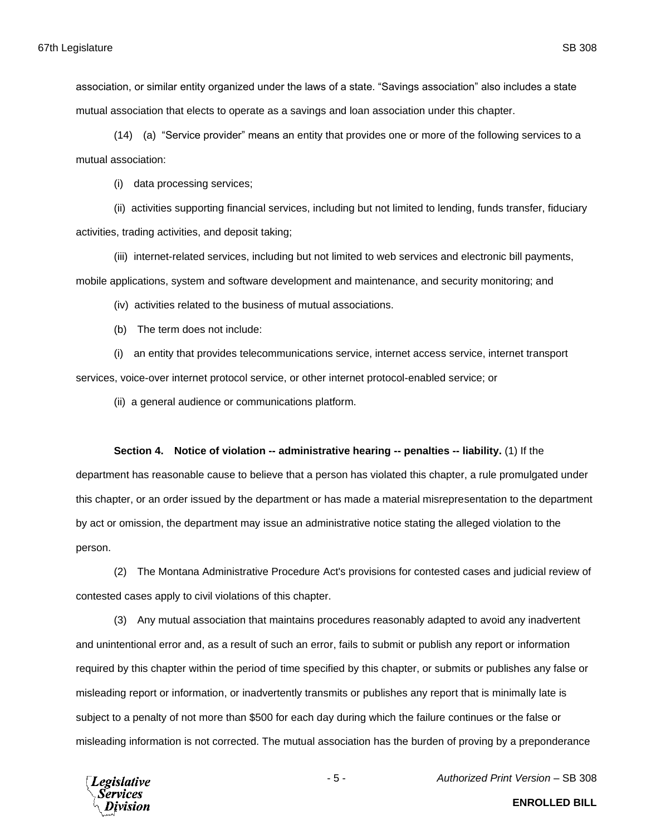association, or similar entity organized under the laws of a state. "Savings association" also includes a state mutual association that elects to operate as a savings and loan association under this chapter.

(14) (a) "Service provider" means an entity that provides one or more of the following services to a mutual association:

(i) data processing services;

(ii) activities supporting financial services, including but not limited to lending, funds transfer, fiduciary activities, trading activities, and deposit taking;

(iii) internet-related services, including but not limited to web services and electronic bill payments, mobile applications, system and software development and maintenance, and security monitoring; and

(iv) activities related to the business of mutual associations.

(b) The term does not include:

(i) an entity that provides telecommunications service, internet access service, internet transport services, voice-over internet protocol service, or other internet protocol-enabled service; or

(ii) a general audience or communications platform.

#### **Section 4. Notice of violation -- administrative hearing -- penalties -- liability.** (1) If the

department has reasonable cause to believe that a person has violated this chapter, a rule promulgated under this chapter, or an order issued by the department or has made a material misrepresentation to the department by act or omission, the department may issue an administrative notice stating the alleged violation to the person.

(2) The Montana Administrative Procedure Act's provisions for contested cases and judicial review of contested cases apply to civil violations of this chapter.

(3) Any mutual association that maintains procedures reasonably adapted to avoid any inadvertent and unintentional error and, as a result of such an error, fails to submit or publish any report or information required by this chapter within the period of time specified by this chapter, or submits or publishes any false or misleading report or information, or inadvertently transmits or publishes any report that is minimally late is subject to a penalty of not more than \$500 for each day during which the failure continues or the false or misleading information is not corrected. The mutual association has the burden of proving by a preponderance



- 5 - *Authorized Print Version* – SB 308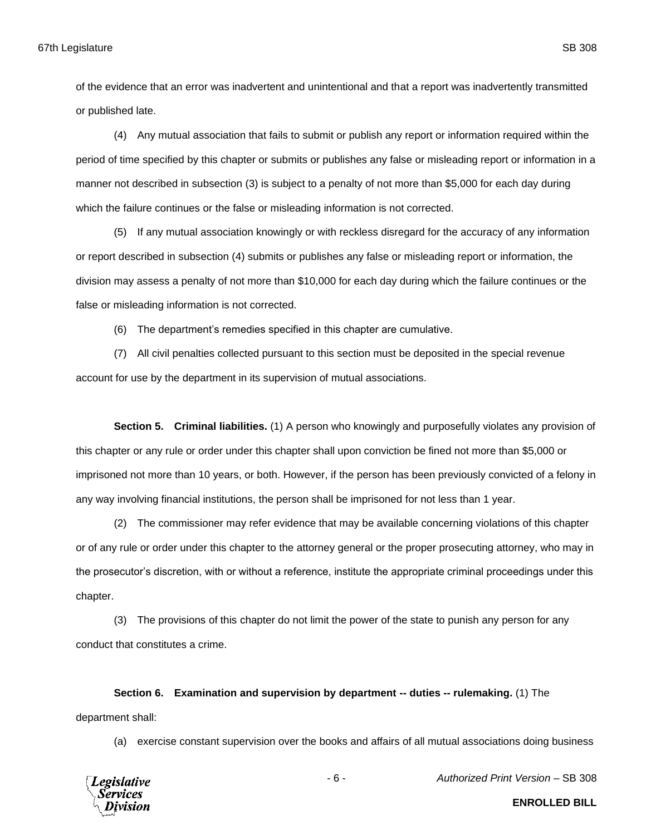of the evidence that an error was inadvertent and unintentional and that a report was inadvertently transmitted or published late.

(4) Any mutual association that fails to submit or publish any report or information required within the period of time specified by this chapter or submits or publishes any false or misleading report or information in a manner not described in subsection (3) is subject to a penalty of not more than \$5,000 for each day during which the failure continues or the false or misleading information is not corrected.

(5) If any mutual association knowingly or with reckless disregard for the accuracy of any information or report described in subsection (4) submits or publishes any false or misleading report or information, the division may assess a penalty of not more than \$10,000 for each day during which the failure continues or the false or misleading information is not corrected.

(6) The department's remedies specified in this chapter are cumulative.

(7) All civil penalties collected pursuant to this section must be deposited in the special revenue account for use by the department in its supervision of mutual associations.

**Section 5. Criminal liabilities.** (1) A person who knowingly and purposefully violates any provision of this chapter or any rule or order under this chapter shall upon conviction be fined not more than \$5,000 or imprisoned not more than 10 years, or both. However, if the person has been previously convicted of a felony in any way involving financial institutions, the person shall be imprisoned for not less than 1 year.

(2) The commissioner may refer evidence that may be available concerning violations of this chapter or of any rule or order under this chapter to the attorney general or the proper prosecuting attorney, who may in the prosecutor's discretion, with or without a reference, institute the appropriate criminal proceedings under this chapter.

(3) The provisions of this chapter do not limit the power of the state to punish any person for any conduct that constitutes a crime.

**Section 6. Examination and supervision by department -- duties -- rulemaking.** (1) The department shall:

(a) exercise constant supervision over the books and affairs of all mutual associations doing business



- 6 - *Authorized Print Version* – SB 308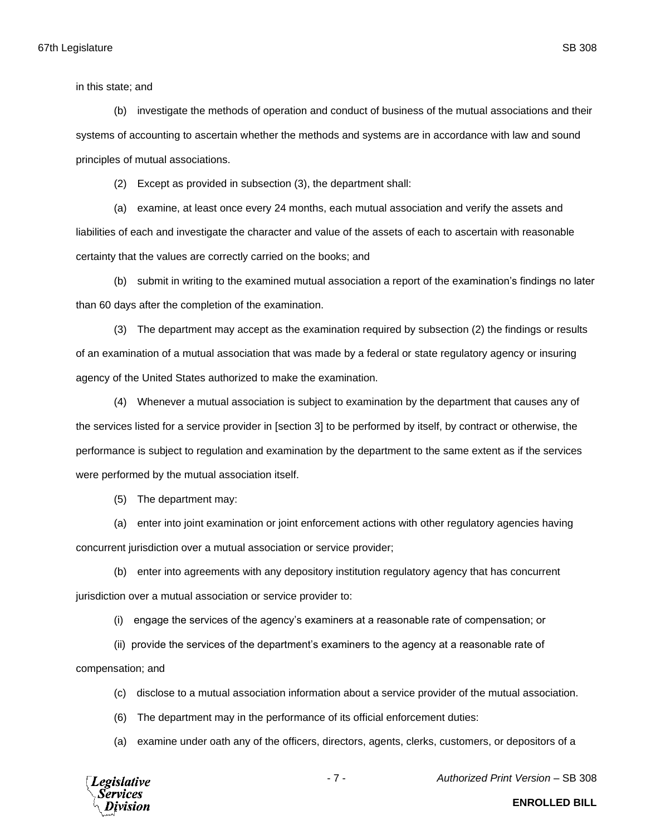in this state; and

(b) investigate the methods of operation and conduct of business of the mutual associations and their systems of accounting to ascertain whether the methods and systems are in accordance with law and sound principles of mutual associations.

(2) Except as provided in subsection (3), the department shall:

(a) examine, at least once every 24 months, each mutual association and verify the assets and liabilities of each and investigate the character and value of the assets of each to ascertain with reasonable certainty that the values are correctly carried on the books; and

(b) submit in writing to the examined mutual association a report of the examination's findings no later than 60 days after the completion of the examination.

(3) The department may accept as the examination required by subsection (2) the findings or results of an examination of a mutual association that was made by a federal or state regulatory agency or insuring agency of the United States authorized to make the examination.

(4) Whenever a mutual association is subject to examination by the department that causes any of the services listed for a service provider in [section 3] to be performed by itself, by contract or otherwise, the performance is subject to regulation and examination by the department to the same extent as if the services were performed by the mutual association itself.

(5) The department may:

(a) enter into joint examination or joint enforcement actions with other regulatory agencies having concurrent jurisdiction over a mutual association or service provider;

(b) enter into agreements with any depository institution regulatory agency that has concurrent jurisdiction over a mutual association or service provider to:

(i) engage the services of the agency's examiners at a reasonable rate of compensation; or

(ii) provide the services of the department's examiners to the agency at a reasonable rate of

compensation; and

(c) disclose to a mutual association information about a service provider of the mutual association.

(6) The department may in the performance of its official enforcement duties:

(a) examine under oath any of the officers, directors, agents, clerks, customers, or depositors of a



- 7 - *Authorized Print Version* – SB 308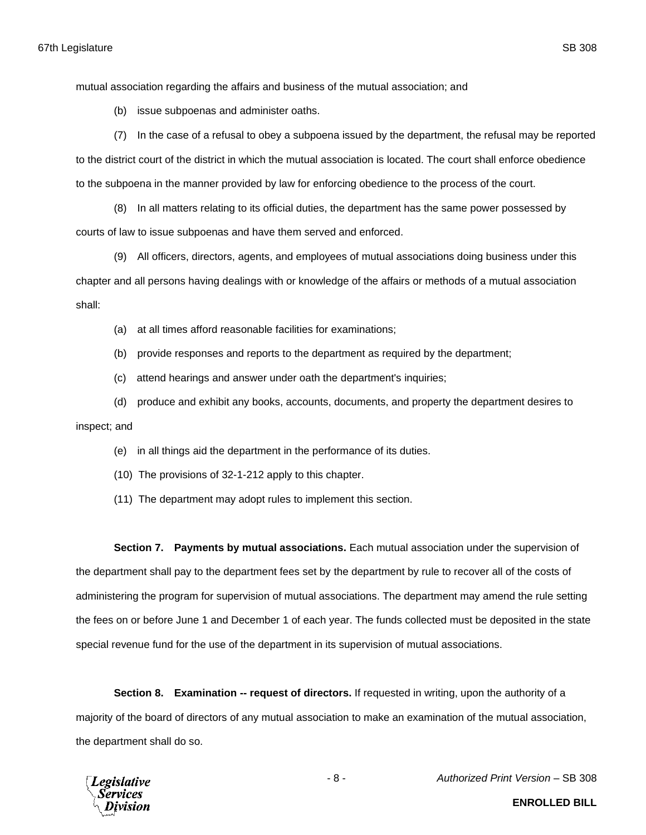mutual association regarding the affairs and business of the mutual association; and

(b) issue subpoenas and administer oaths.

(7) In the case of a refusal to obey a subpoena issued by the department, the refusal may be reported to the district court of the district in which the mutual association is located. The court shall enforce obedience to the subpoena in the manner provided by law for enforcing obedience to the process of the court.

(8) In all matters relating to its official duties, the department has the same power possessed by courts of law to issue subpoenas and have them served and enforced.

(9) All officers, directors, agents, and employees of mutual associations doing business under this chapter and all persons having dealings with or knowledge of the affairs or methods of a mutual association shall:

(a) at all times afford reasonable facilities for examinations;

(b) provide responses and reports to the department as required by the department;

(c) attend hearings and answer under oath the department's inquiries;

(d) produce and exhibit any books, accounts, documents, and property the department desires to inspect; and

(e) in all things aid the department in the performance of its duties.

(10) The provisions of 32-1-212 apply to this chapter.

(11) The department may adopt rules to implement this section.

**Section 7. Payments by mutual associations.** Each mutual association under the supervision of the department shall pay to the department fees set by the department by rule to recover all of the costs of administering the program for supervision of mutual associations. The department may amend the rule setting the fees on or before June 1 and December 1 of each year. The funds collected must be deposited in the state special revenue fund for the use of the department in its supervision of mutual associations.

**Section 8. Examination -- request of directors.** If requested in writing, upon the authority of a majority of the board of directors of any mutual association to make an examination of the mutual association, the department shall do so.

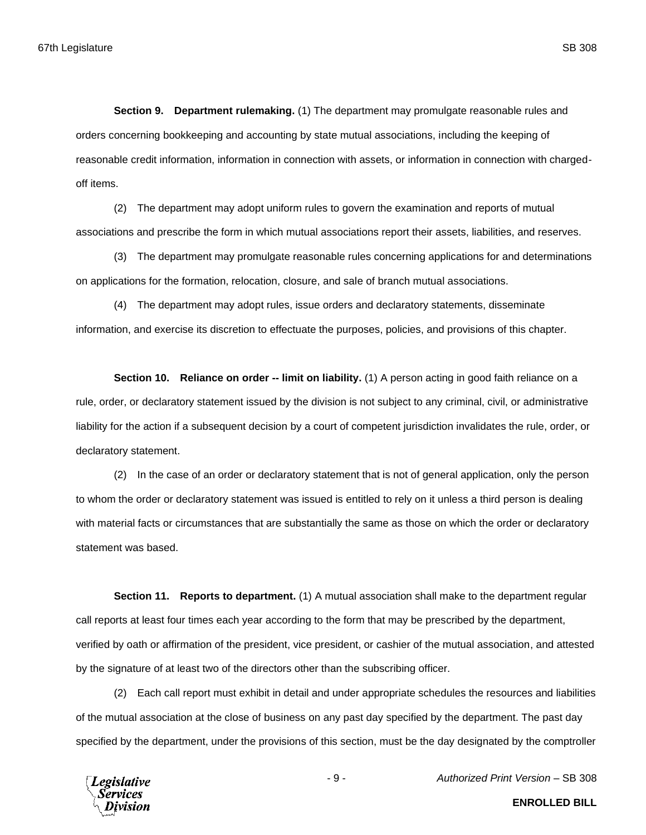**Section 9. Department rulemaking.** (1) The department may promulgate reasonable rules and orders concerning bookkeeping and accounting by state mutual associations, including the keeping of reasonable credit information, information in connection with assets, or information in connection with chargedoff items.

(2) The department may adopt uniform rules to govern the examination and reports of mutual associations and prescribe the form in which mutual associations report their assets, liabilities, and reserves.

(3) The department may promulgate reasonable rules concerning applications for and determinations on applications for the formation, relocation, closure, and sale of branch mutual associations.

(4) The department may adopt rules, issue orders and declaratory statements, disseminate information, and exercise its discretion to effectuate the purposes, policies, and provisions of this chapter.

**Section 10. Reliance on order -- limit on liability.** (1) A person acting in good faith reliance on a rule, order, or declaratory statement issued by the division is not subject to any criminal, civil, or administrative liability for the action if a subsequent decision by a court of competent jurisdiction invalidates the rule, order, or declaratory statement.

(2) In the case of an order or declaratory statement that is not of general application, only the person to whom the order or declaratory statement was issued is entitled to rely on it unless a third person is dealing with material facts or circumstances that are substantially the same as those on which the order or declaratory statement was based.

**Section 11. Reports to department.** (1) A mutual association shall make to the department regular call reports at least four times each year according to the form that may be prescribed by the department, verified by oath or affirmation of the president, vice president, or cashier of the mutual association, and attested by the signature of at least two of the directors other than the subscribing officer.

(2) Each call report must exhibit in detail and under appropriate schedules the resources and liabilities of the mutual association at the close of business on any past day specified by the department. The past day specified by the department, under the provisions of this section, must be the day designated by the comptroller



- 9 - *Authorized Print Version* – SB 308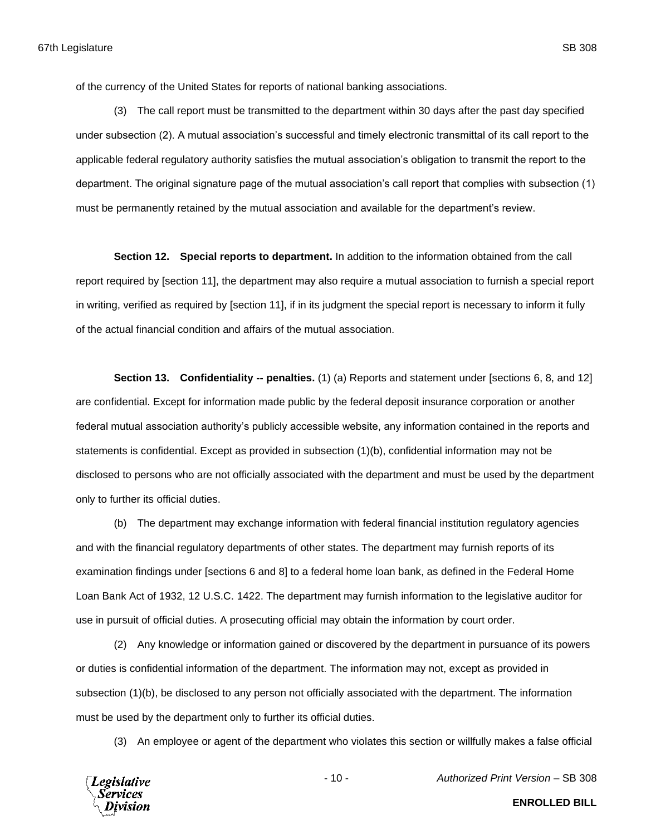of the currency of the United States for reports of national banking associations.

(3) The call report must be transmitted to the department within 30 days after the past day specified under subsection (2). A mutual association's successful and timely electronic transmittal of its call report to the applicable federal regulatory authority satisfies the mutual association's obligation to transmit the report to the department. The original signature page of the mutual association's call report that complies with subsection (1) must be permanently retained by the mutual association and available for the department's review.

**Section 12. Special reports to department.** In addition to the information obtained from the call report required by [section 11], the department may also require a mutual association to furnish a special report in writing, verified as required by [section 11], if in its judgment the special report is necessary to inform it fully of the actual financial condition and affairs of the mutual association.

**Section 13. Confidentiality -- penalties.** (1) (a) Reports and statement under [sections 6, 8, and 12] are confidential. Except for information made public by the federal deposit insurance corporation or another federal mutual association authority's publicly accessible website, any information contained in the reports and statements is confidential. Except as provided in subsection (1)(b), confidential information may not be disclosed to persons who are not officially associated with the department and must be used by the department only to further its official duties.

(b) The department may exchange information with federal financial institution regulatory agencies and with the financial regulatory departments of other states. The department may furnish reports of its examination findings under [sections 6 and 8] to a federal home loan bank, as defined in the Federal Home Loan Bank Act of 1932, 12 U.S.C. 1422. The department may furnish information to the legislative auditor for use in pursuit of official duties. A prosecuting official may obtain the information by court order.

(2) Any knowledge or information gained or discovered by the department in pursuance of its powers or duties is confidential information of the department. The information may not, except as provided in subsection (1)(b), be disclosed to any person not officially associated with the department. The information must be used by the department only to further its official duties.

(3) An employee or agent of the department who violates this section or willfully makes a false official

**Legislative** Services

- 10 - *Authorized Print Version* – SB 308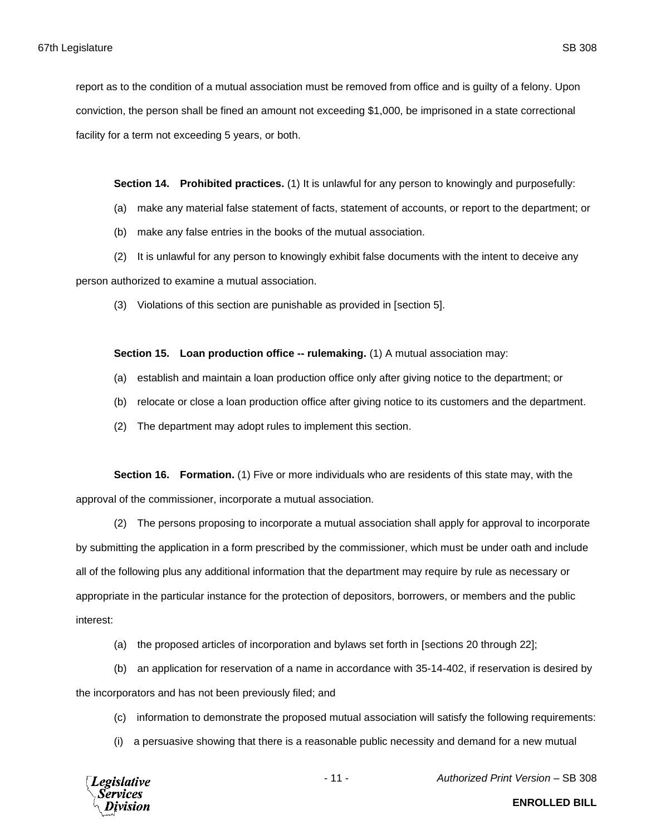report as to the condition of a mutual association must be removed from office and is guilty of a felony. Upon conviction, the person shall be fined an amount not exceeding \$1,000, be imprisoned in a state correctional facility for a term not exceeding 5 years, or both.

**Section 14. Prohibited practices.** (1) It is unlawful for any person to knowingly and purposefully:

- (a) make any material false statement of facts, statement of accounts, or report to the department; or
- (b) make any false entries in the books of the mutual association.
- (2) It is unlawful for any person to knowingly exhibit false documents with the intent to deceive any

person authorized to examine a mutual association.

(3) Violations of this section are punishable as provided in [section 5].

**Section 15. Loan production office -- rulemaking.** (1) A mutual association may:

- (a) establish and maintain a loan production office only after giving notice to the department; or
- (b) relocate or close a loan production office after giving notice to its customers and the department.
- (2) The department may adopt rules to implement this section.

**Section 16. Formation.** (1) Five or more individuals who are residents of this state may, with the approval of the commissioner, incorporate a mutual association.

(2) The persons proposing to incorporate a mutual association shall apply for approval to incorporate by submitting the application in a form prescribed by the commissioner, which must be under oath and include all of the following plus any additional information that the department may require by rule as necessary or appropriate in the particular instance for the protection of depositors, borrowers, or members and the public interest:

(a) the proposed articles of incorporation and bylaws set forth in [sections 20 through 22];

(b) an application for reservation of a name in accordance with 35-14-402, if reservation is desired by the incorporators and has not been previously filed; and

- (c) information to demonstrate the proposed mutual association will satisfy the following requirements:
- (i) a persuasive showing that there is a reasonable public necessity and demand for a new mutual



- 11 - *Authorized Print Version* – SB 308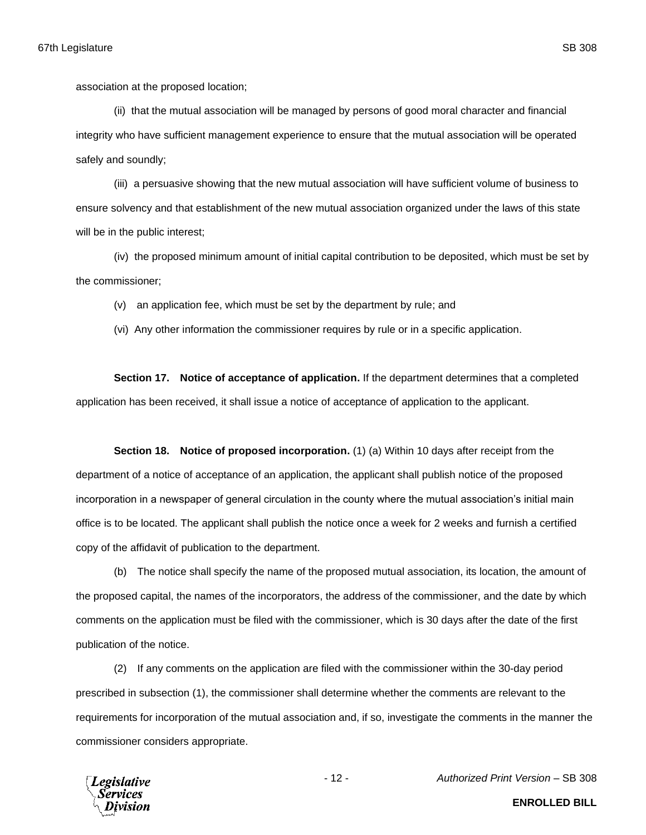association at the proposed location;

(ii) that the mutual association will be managed by persons of good moral character and financial integrity who have sufficient management experience to ensure that the mutual association will be operated safely and soundly;

(iii) a persuasive showing that the new mutual association will have sufficient volume of business to ensure solvency and that establishment of the new mutual association organized under the laws of this state will be in the public interest;

(iv) the proposed minimum amount of initial capital contribution to be deposited, which must be set by the commissioner;

(v) an application fee, which must be set by the department by rule; and

(vi) Any other information the commissioner requires by rule or in a specific application.

**Section 17. Notice of acceptance of application.** If the department determines that a completed application has been received, it shall issue a notice of acceptance of application to the applicant.

**Section 18. Notice of proposed incorporation.** (1) (a) Within 10 days after receipt from the department of a notice of acceptance of an application, the applicant shall publish notice of the proposed incorporation in a newspaper of general circulation in the county where the mutual association's initial main office is to be located. The applicant shall publish the notice once a week for 2 weeks and furnish a certified copy of the affidavit of publication to the department.

(b) The notice shall specify the name of the proposed mutual association, its location, the amount of the proposed capital, the names of the incorporators, the address of the commissioner, and the date by which comments on the application must be filed with the commissioner, which is 30 days after the date of the first publication of the notice.

(2) If any comments on the application are filed with the commissioner within the 30-day period prescribed in subsection (1), the commissioner shall determine whether the comments are relevant to the requirements for incorporation of the mutual association and, if so, investigate the comments in the manner the commissioner considers appropriate.



- 12 - *Authorized Print Version* – SB 308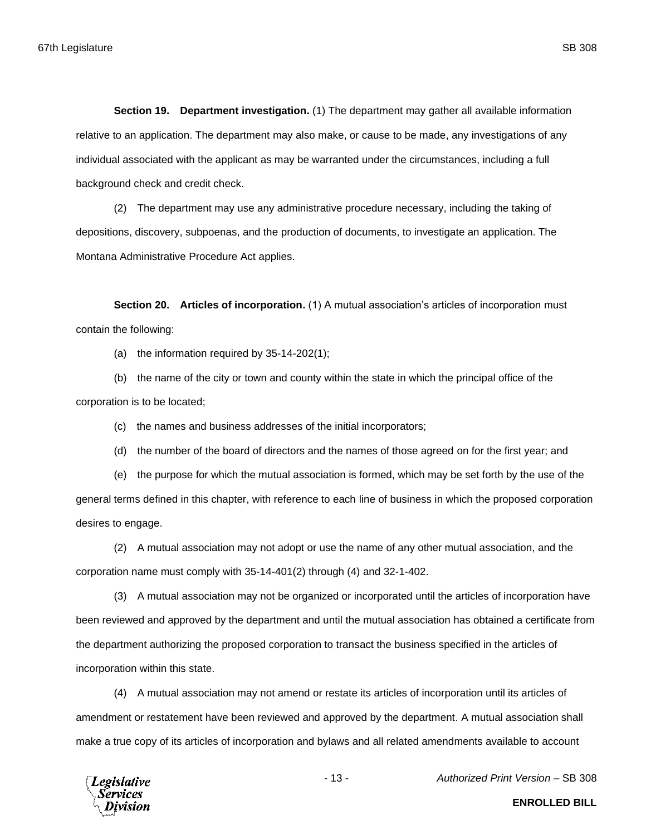**Section 19. Department investigation.** (1) The department may gather all available information relative to an application. The department may also make, or cause to be made, any investigations of any individual associated with the applicant as may be warranted under the circumstances, including a full background check and credit check.

(2) The department may use any administrative procedure necessary, including the taking of depositions, discovery, subpoenas, and the production of documents, to investigate an application. The Montana Administrative Procedure Act applies.

**Section 20. Articles of incorporation.** (1) A mutual association's articles of incorporation must contain the following:

(a) the information required by 35-14-202(1);

(b) the name of the city or town and county within the state in which the principal office of the corporation is to be located;

(c) the names and business addresses of the initial incorporators;

(d) the number of the board of directors and the names of those agreed on for the first year; and

(e) the purpose for which the mutual association is formed, which may be set forth by the use of the general terms defined in this chapter, with reference to each line of business in which the proposed corporation desires to engage.

(2) A mutual association may not adopt or use the name of any other mutual association, and the corporation name must comply with 35-14-401(2) through (4) and 32-1-402.

(3) A mutual association may not be organized or incorporated until the articles of incorporation have been reviewed and approved by the department and until the mutual association has obtained a certificate from the department authorizing the proposed corporation to transact the business specified in the articles of incorporation within this state.

(4) A mutual association may not amend or restate its articles of incorporation until its articles of amendment or restatement have been reviewed and approved by the department. A mutual association shall make a true copy of its articles of incorporation and bylaws and all related amendments available to account



- 13 - *Authorized Print Version* – SB 308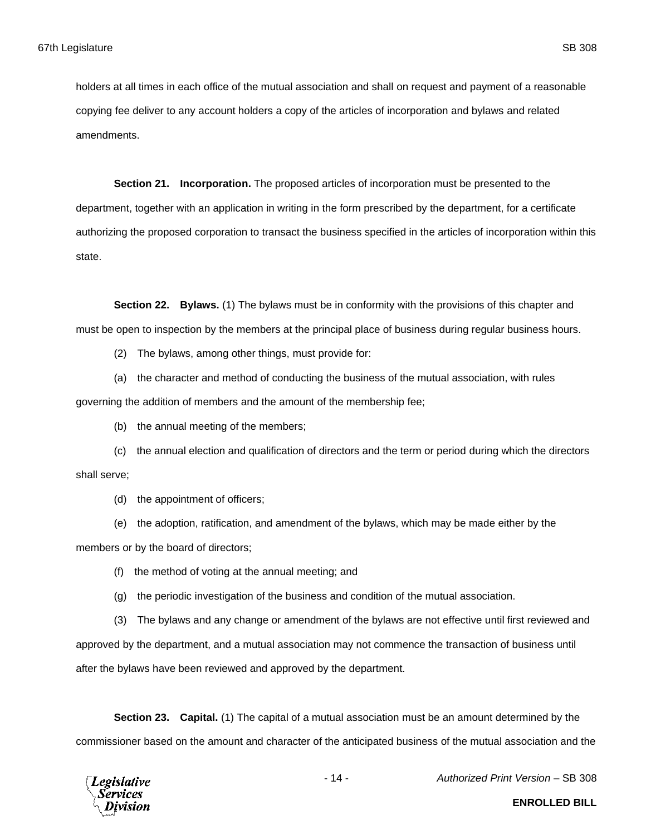holders at all times in each office of the mutual association and shall on request and payment of a reasonable copying fee deliver to any account holders a copy of the articles of incorporation and bylaws and related amendments.

**Section 21. Incorporation.** The proposed articles of incorporation must be presented to the department, together with an application in writing in the form prescribed by the department, for a certificate authorizing the proposed corporation to transact the business specified in the articles of incorporation within this state.

**Section 22. Bylaws.** (1) The bylaws must be in conformity with the provisions of this chapter and must be open to inspection by the members at the principal place of business during regular business hours.

- (2) The bylaws, among other things, must provide for:
- (a) the character and method of conducting the business of the mutual association, with rules

governing the addition of members and the amount of the membership fee;

(b) the annual meeting of the members;

(c) the annual election and qualification of directors and the term or period during which the directors shall serve;

(d) the appointment of officers;

- (e) the adoption, ratification, and amendment of the bylaws, which may be made either by the members or by the board of directors;
	- (f) the method of voting at the annual meeting; and
	- (g) the periodic investigation of the business and condition of the mutual association.
	- (3) The bylaws and any change or amendment of the bylaws are not effective until first reviewed and

approved by the department, and a mutual association may not commence the transaction of business until after the bylaws have been reviewed and approved by the department.

**Section 23. Capital.** (1) The capital of a mutual association must be an amount determined by the commissioner based on the amount and character of the anticipated business of the mutual association and the



- 14 - *Authorized Print Version* – SB 308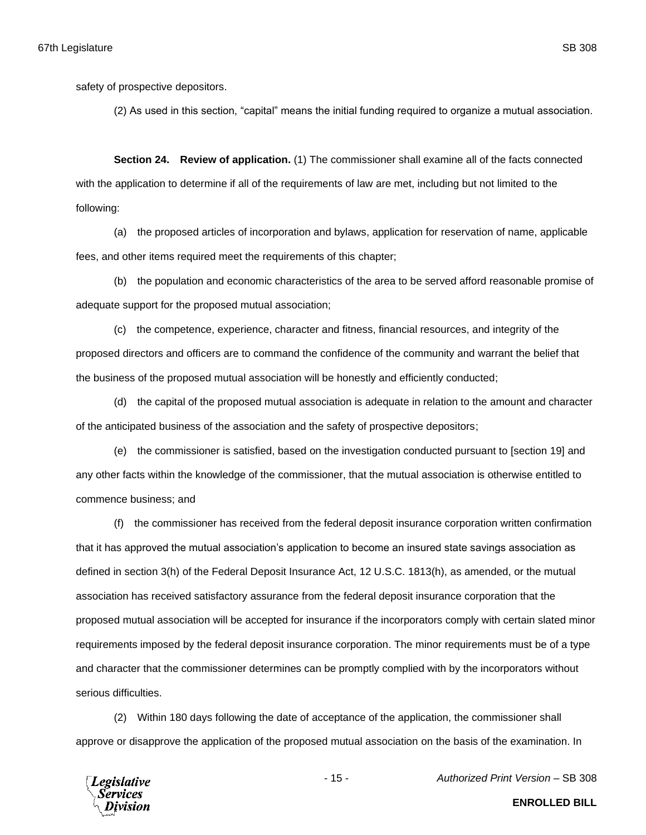safety of prospective depositors.

(2) As used in this section, "capital" means the initial funding required to organize a mutual association.

**Section 24. Review of application.** (1) The commissioner shall examine all of the facts connected with the application to determine if all of the requirements of law are met, including but not limited to the following:

(a) the proposed articles of incorporation and bylaws, application for reservation of name, applicable fees, and other items required meet the requirements of this chapter;

(b) the population and economic characteristics of the area to be served afford reasonable promise of adequate support for the proposed mutual association;

(c) the competence, experience, character and fitness, financial resources, and integrity of the proposed directors and officers are to command the confidence of the community and warrant the belief that the business of the proposed mutual association will be honestly and efficiently conducted;

(d) the capital of the proposed mutual association is adequate in relation to the amount and character of the anticipated business of the association and the safety of prospective depositors;

(e) the commissioner is satisfied, based on the investigation conducted pursuant to [section 19] and any other facts within the knowledge of the commissioner, that the mutual association is otherwise entitled to commence business; and

(f) the commissioner has received from the federal deposit insurance corporation written confirmation that it has approved the mutual association's application to become an insured state savings association as defined in section 3(h) of the Federal Deposit Insurance Act, 12 U.S.C. 1813(h), as amended, or the mutual association has received satisfactory assurance from the federal deposit insurance corporation that the proposed mutual association will be accepted for insurance if the incorporators comply with certain slated minor requirements imposed by the federal deposit insurance corporation. The minor requirements must be of a type and character that the commissioner determines can be promptly complied with by the incorporators without serious difficulties.

(2) Within 180 days following the date of acceptance of the application, the commissioner shall approve or disapprove the application of the proposed mutual association on the basis of the examination. In



- 15 - *Authorized Print Version* – SB 308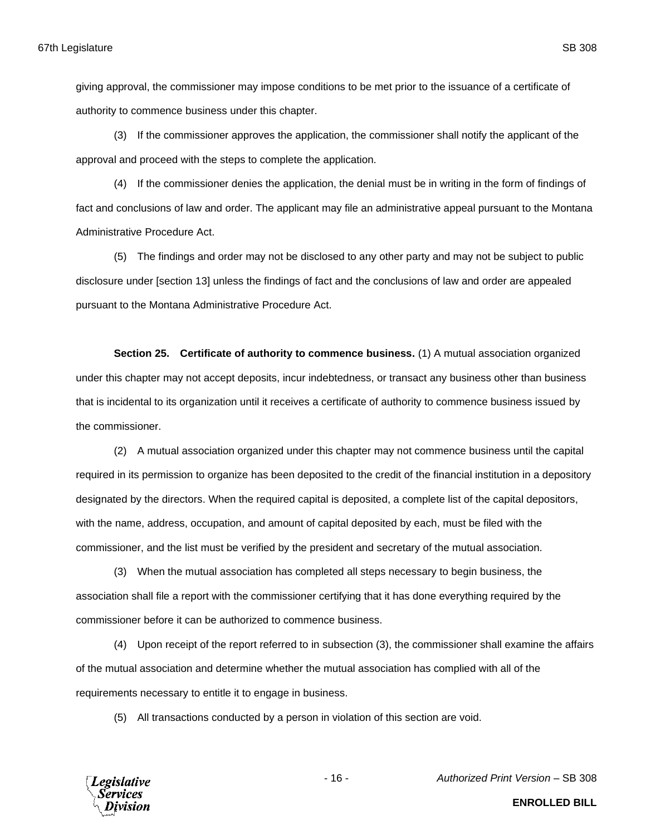giving approval, the commissioner may impose conditions to be met prior to the issuance of a certificate of authority to commence business under this chapter.

(3) If the commissioner approves the application, the commissioner shall notify the applicant of the approval and proceed with the steps to complete the application.

(4) If the commissioner denies the application, the denial must be in writing in the form of findings of fact and conclusions of law and order. The applicant may file an administrative appeal pursuant to the Montana Administrative Procedure Act.

(5) The findings and order may not be disclosed to any other party and may not be subject to public disclosure under [section 13] unless the findings of fact and the conclusions of law and order are appealed pursuant to the Montana Administrative Procedure Act.

**Section 25. Certificate of authority to commence business.** (1) A mutual association organized under this chapter may not accept deposits, incur indebtedness, or transact any business other than business that is incidental to its organization until it receives a certificate of authority to commence business issued by the commissioner.

(2) A mutual association organized under this chapter may not commence business until the capital required in its permission to organize has been deposited to the credit of the financial institution in a depository designated by the directors. When the required capital is deposited, a complete list of the capital depositors, with the name, address, occupation, and amount of capital deposited by each, must be filed with the commissioner, and the list must be verified by the president and secretary of the mutual association.

(3) When the mutual association has completed all steps necessary to begin business, the association shall file a report with the commissioner certifying that it has done everything required by the commissioner before it can be authorized to commence business.

(4) Upon receipt of the report referred to in subsection (3), the commissioner shall examine the affairs of the mutual association and determine whether the mutual association has complied with all of the requirements necessary to entitle it to engage in business.

(5) All transactions conducted by a person in violation of this section are void.



- 16 - *Authorized Print Version* – SB 308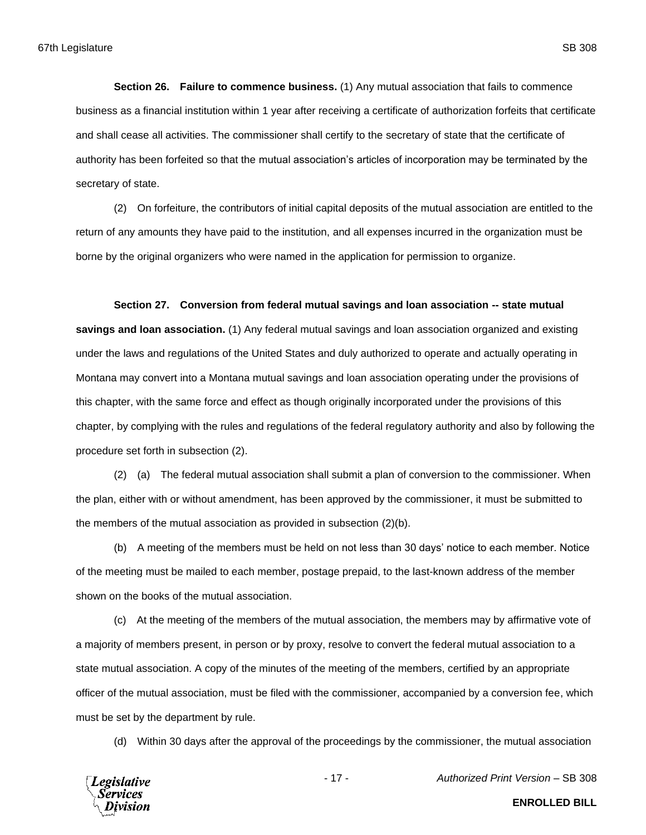**Section 26. Failure to commence business.** (1) Any mutual association that fails to commence business as a financial institution within 1 year after receiving a certificate of authorization forfeits that certificate and shall cease all activities. The commissioner shall certify to the secretary of state that the certificate of authority has been forfeited so that the mutual association's articles of incorporation may be terminated by the secretary of state.

(2) On forfeiture, the contributors of initial capital deposits of the mutual association are entitled to the return of any amounts they have paid to the institution, and all expenses incurred in the organization must be borne by the original organizers who were named in the application for permission to organize.

### **Section 27. Conversion from federal mutual savings and loan association -- state mutual**

**savings and loan association.** (1) Any federal mutual savings and loan association organized and existing under the laws and regulations of the United States and duly authorized to operate and actually operating in Montana may convert into a Montana mutual savings and loan association operating under the provisions of this chapter, with the same force and effect as though originally incorporated under the provisions of this chapter, by complying with the rules and regulations of the federal regulatory authority and also by following the procedure set forth in subsection (2).

(2) (a) The federal mutual association shall submit a plan of conversion to the commissioner. When the plan, either with or without amendment, has been approved by the commissioner, it must be submitted to the members of the mutual association as provided in subsection (2)(b).

(b) A meeting of the members must be held on not less than 30 days' notice to each member. Notice of the meeting must be mailed to each member, postage prepaid, to the last-known address of the member shown on the books of the mutual association.

(c) At the meeting of the members of the mutual association, the members may by affirmative vote of a majority of members present, in person or by proxy, resolve to convert the federal mutual association to a state mutual association. A copy of the minutes of the meeting of the members, certified by an appropriate officer of the mutual association, must be filed with the commissioner, accompanied by a conversion fee, which must be set by the department by rule.

(d) Within 30 days after the approval of the proceedings by the commissioner, the mutual association



- 17 - *Authorized Print Version* – SB 308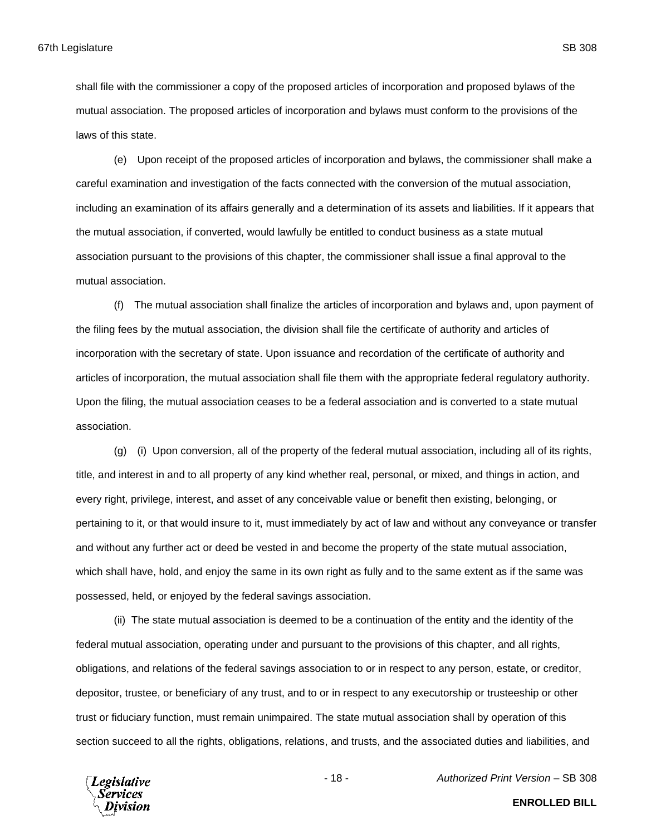shall file with the commissioner a copy of the proposed articles of incorporation and proposed bylaws of the mutual association. The proposed articles of incorporation and bylaws must conform to the provisions of the laws of this state.

(e) Upon receipt of the proposed articles of incorporation and bylaws, the commissioner shall make a careful examination and investigation of the facts connected with the conversion of the mutual association, including an examination of its affairs generally and a determination of its assets and liabilities. If it appears that the mutual association, if converted, would lawfully be entitled to conduct business as a state mutual association pursuant to the provisions of this chapter, the commissioner shall issue a final approval to the mutual association.

(f) The mutual association shall finalize the articles of incorporation and bylaws and, upon payment of the filing fees by the mutual association, the division shall file the certificate of authority and articles of incorporation with the secretary of state. Upon issuance and recordation of the certificate of authority and articles of incorporation, the mutual association shall file them with the appropriate federal regulatory authority. Upon the filing, the mutual association ceases to be a federal association and is converted to a state mutual association.

(g) (i) Upon conversion, all of the property of the federal mutual association, including all of its rights, title, and interest in and to all property of any kind whether real, personal, or mixed, and things in action, and every right, privilege, interest, and asset of any conceivable value or benefit then existing, belonging, or pertaining to it, or that would insure to it, must immediately by act of law and without any conveyance or transfer and without any further act or deed be vested in and become the property of the state mutual association, which shall have, hold, and enjoy the same in its own right as fully and to the same extent as if the same was possessed, held, or enjoyed by the federal savings association.

(ii) The state mutual association is deemed to be a continuation of the entity and the identity of the federal mutual association, operating under and pursuant to the provisions of this chapter, and all rights, obligations, and relations of the federal savings association to or in respect to any person, estate, or creditor, depositor, trustee, or beneficiary of any trust, and to or in respect to any executorship or trusteeship or other trust or fiduciary function, must remain unimpaired. The state mutual association shall by operation of this section succeed to all the rights, obligations, relations, and trusts, and the associated duties and liabilities, and



- 18 - *Authorized Print Version* – SB 308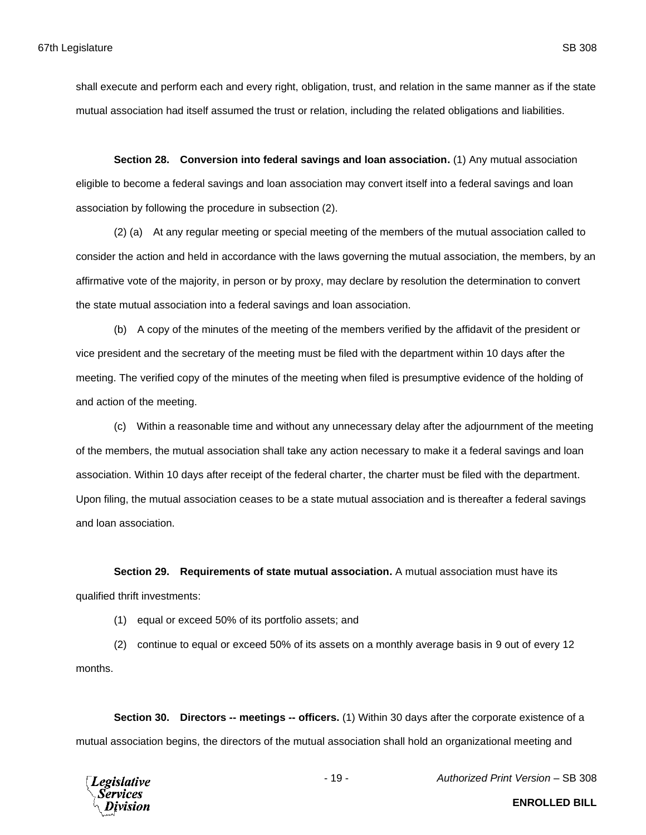shall execute and perform each and every right, obligation, trust, and relation in the same manner as if the state mutual association had itself assumed the trust or relation, including the related obligations and liabilities.

**Section 28. Conversion into federal savings and loan association.** (1) Any mutual association eligible to become a federal savings and loan association may convert itself into a federal savings and loan association by following the procedure in subsection (2).

(2) (a) At any regular meeting or special meeting of the members of the mutual association called to consider the action and held in accordance with the laws governing the mutual association, the members, by an affirmative vote of the majority, in person or by proxy, may declare by resolution the determination to convert the state mutual association into a federal savings and loan association.

(b) A copy of the minutes of the meeting of the members verified by the affidavit of the president or vice president and the secretary of the meeting must be filed with the department within 10 days after the meeting. The verified copy of the minutes of the meeting when filed is presumptive evidence of the holding of and action of the meeting.

(c) Within a reasonable time and without any unnecessary delay after the adjournment of the meeting of the members, the mutual association shall take any action necessary to make it a federal savings and loan association. Within 10 days after receipt of the federal charter, the charter must be filed with the department. Upon filing, the mutual association ceases to be a state mutual association and is thereafter a federal savings and loan association.

**Section 29. Requirements of state mutual association.** A mutual association must have its qualified thrift investments:

(1) equal or exceed 50% of its portfolio assets; and

(2) continue to equal or exceed 50% of its assets on a monthly average basis in 9 out of every 12 months.

**Section 30. Directors -- meetings -- officers.** (1) Within 30 days after the corporate existence of a mutual association begins, the directors of the mutual association shall hold an organizational meeting and



- 19 - *Authorized Print Version* – SB 308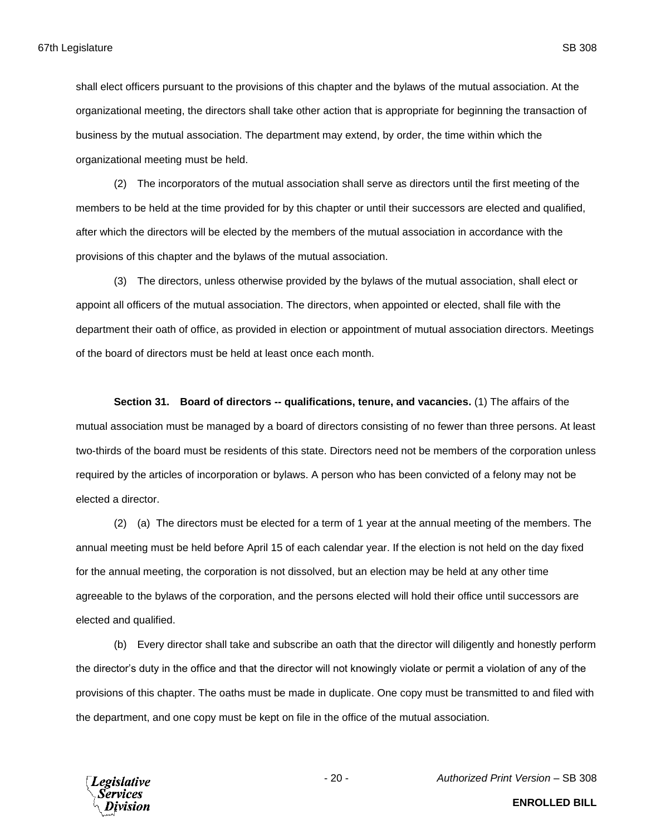shall elect officers pursuant to the provisions of this chapter and the bylaws of the mutual association. At the organizational meeting, the directors shall take other action that is appropriate for beginning the transaction of business by the mutual association. The department may extend, by order, the time within which the organizational meeting must be held.

(2) The incorporators of the mutual association shall serve as directors until the first meeting of the members to be held at the time provided for by this chapter or until their successors are elected and qualified, after which the directors will be elected by the members of the mutual association in accordance with the provisions of this chapter and the bylaws of the mutual association.

(3) The directors, unless otherwise provided by the bylaws of the mutual association, shall elect or appoint all officers of the mutual association. The directors, when appointed or elected, shall file with the department their oath of office, as provided in election or appointment of mutual association directors. Meetings of the board of directors must be held at least once each month.

**Section 31. Board of directors -- qualifications, tenure, and vacancies.** (1) The affairs of the mutual association must be managed by a board of directors consisting of no fewer than three persons. At least two-thirds of the board must be residents of this state. Directors need not be members of the corporation unless required by the articles of incorporation or bylaws. A person who has been convicted of a felony may not be elected a director.

(2) (a) The directors must be elected for a term of 1 year at the annual meeting of the members. The annual meeting must be held before April 15 of each calendar year. If the election is not held on the day fixed for the annual meeting, the corporation is not dissolved, but an election may be held at any other time agreeable to the bylaws of the corporation, and the persons elected will hold their office until successors are elected and qualified.

(b) Every director shall take and subscribe an oath that the director will diligently and honestly perform the director's duty in the office and that the director will not knowingly violate or permit a violation of any of the provisions of this chapter. The oaths must be made in duplicate. One copy must be transmitted to and filed with the department, and one copy must be kept on file in the office of the mutual association.



- 20 - *Authorized Print Version* – SB 308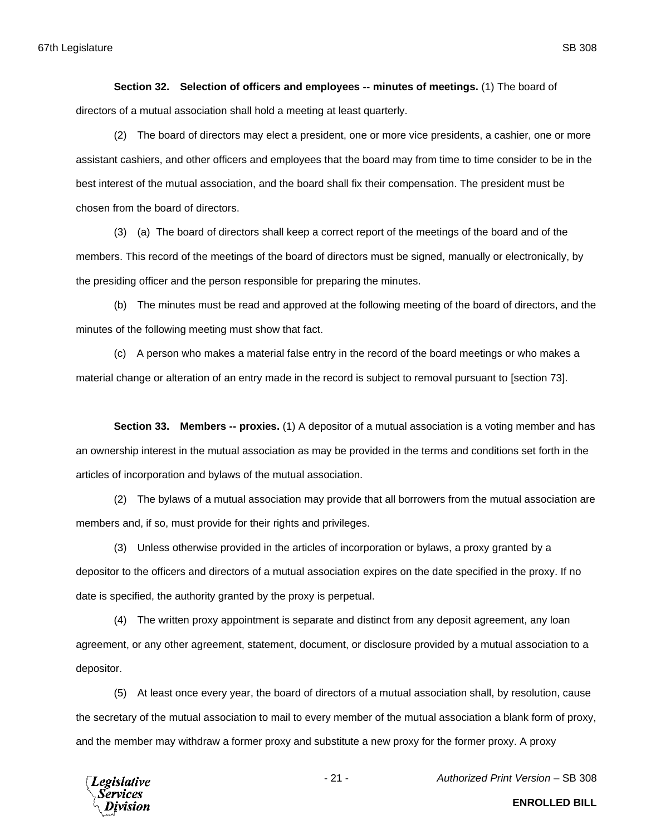**Section 32. Selection of officers and employees -- minutes of meetings.** (1) The board of directors of a mutual association shall hold a meeting at least quarterly.

(2) The board of directors may elect a president, one or more vice presidents, a cashier, one or more assistant cashiers, and other officers and employees that the board may from time to time consider to be in the best interest of the mutual association, and the board shall fix their compensation. The president must be chosen from the board of directors.

(3) (a) The board of directors shall keep a correct report of the meetings of the board and of the members. This record of the meetings of the board of directors must be signed, manually or electronically, by the presiding officer and the person responsible for preparing the minutes.

(b) The minutes must be read and approved at the following meeting of the board of directors, and the minutes of the following meeting must show that fact.

(c) A person who makes a material false entry in the record of the board meetings or who makes a material change or alteration of an entry made in the record is subject to removal pursuant to [section 73].

**Section 33. Members -- proxies.** (1) A depositor of a mutual association is a voting member and has an ownership interest in the mutual association as may be provided in the terms and conditions set forth in the articles of incorporation and bylaws of the mutual association.

(2) The bylaws of a mutual association may provide that all borrowers from the mutual association are members and, if so, must provide for their rights and privileges.

(3) Unless otherwise provided in the articles of incorporation or bylaws, a proxy granted by a depositor to the officers and directors of a mutual association expires on the date specified in the proxy. If no date is specified, the authority granted by the proxy is perpetual.

(4) The written proxy appointment is separate and distinct from any deposit agreement, any loan agreement, or any other agreement, statement, document, or disclosure provided by a mutual association to a depositor.

(5) At least once every year, the board of directors of a mutual association shall, by resolution, cause the secretary of the mutual association to mail to every member of the mutual association a blank form of proxy, and the member may withdraw a former proxy and substitute a new proxy for the former proxy. A proxy



- 21 - *Authorized Print Version* – SB 308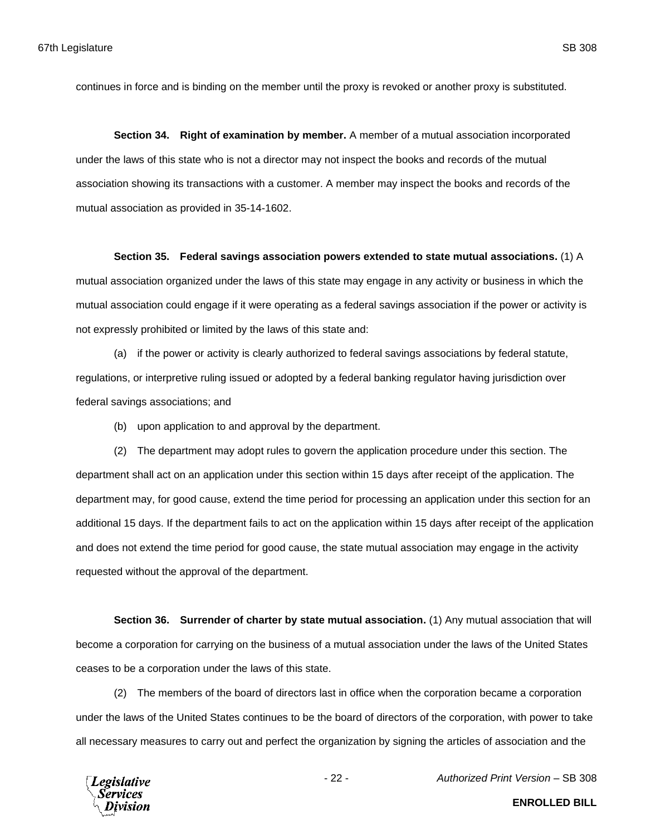continues in force and is binding on the member until the proxy is revoked or another proxy is substituted.

**Section 34. Right of examination by member.** A member of a mutual association incorporated under the laws of this state who is not a director may not inspect the books and records of the mutual association showing its transactions with a customer. A member may inspect the books and records of the mutual association as provided in 35-14-1602.

#### **Section 35. Federal savings association powers extended to state mutual associations.** (1) A

mutual association organized under the laws of this state may engage in any activity or business in which the mutual association could engage if it were operating as a federal savings association if the power or activity is not expressly prohibited or limited by the laws of this state and:

(a) if the power or activity is clearly authorized to federal savings associations by federal statute, regulations, or interpretive ruling issued or adopted by a federal banking regulator having jurisdiction over federal savings associations; and

(b) upon application to and approval by the department.

(2) The department may adopt rules to govern the application procedure under this section. The department shall act on an application under this section within 15 days after receipt of the application. The department may, for good cause, extend the time period for processing an application under this section for an additional 15 days. If the department fails to act on the application within 15 days after receipt of the application and does not extend the time period for good cause, the state mutual association may engage in the activity requested without the approval of the department.

**Section 36. Surrender of charter by state mutual association.** (1) Any mutual association that will become a corporation for carrying on the business of a mutual association under the laws of the United States ceases to be a corporation under the laws of this state.

(2) The members of the board of directors last in office when the corporation became a corporation under the laws of the United States continues to be the board of directors of the corporation, with power to take all necessary measures to carry out and perfect the organization by signing the articles of association and the

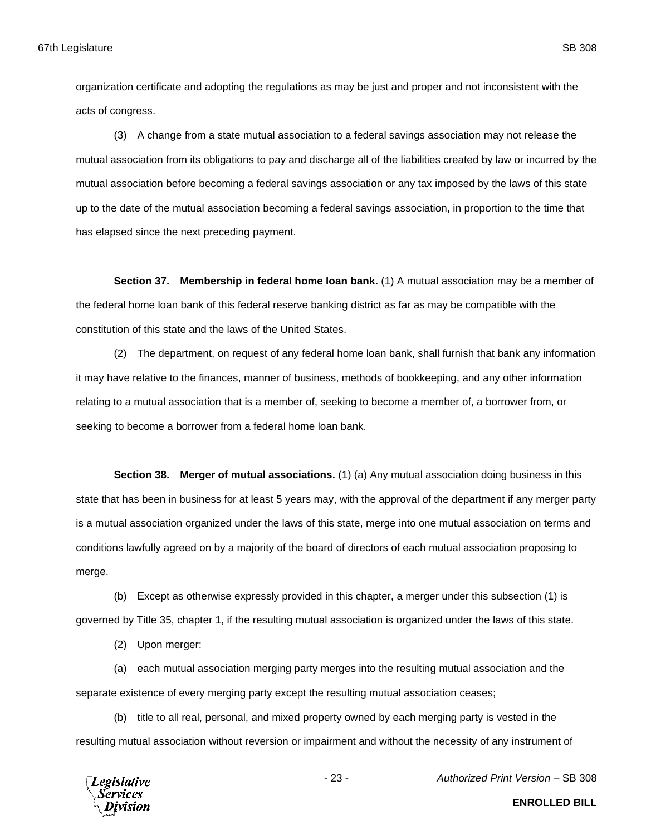organization certificate and adopting the regulations as may be just and proper and not inconsistent with the acts of congress.

(3) A change from a state mutual association to a federal savings association may not release the mutual association from its obligations to pay and discharge all of the liabilities created by law or incurred by the mutual association before becoming a federal savings association or any tax imposed by the laws of this state up to the date of the mutual association becoming a federal savings association, in proportion to the time that has elapsed since the next preceding payment.

**Section 37. Membership in federal home loan bank.** (1) A mutual association may be a member of the federal home loan bank of this federal reserve banking district as far as may be compatible with the constitution of this state and the laws of the United States.

(2) The department, on request of any federal home loan bank, shall furnish that bank any information it may have relative to the finances, manner of business, methods of bookkeeping, and any other information relating to a mutual association that is a member of, seeking to become a member of, a borrower from, or seeking to become a borrower from a federal home loan bank.

**Section 38. Merger of mutual associations.** (1) (a) Any mutual association doing business in this state that has been in business for at least 5 years may, with the approval of the department if any merger party is a mutual association organized under the laws of this state, merge into one mutual association on terms and conditions lawfully agreed on by a majority of the board of directors of each mutual association proposing to merge.

(b) Except as otherwise expressly provided in this chapter, a merger under this subsection (1) is governed by Title 35, chapter 1, if the resulting mutual association is organized under the laws of this state.

(2) Upon merger:

(a) each mutual association merging party merges into the resulting mutual association and the separate existence of every merging party except the resulting mutual association ceases;

(b) title to all real, personal, and mixed property owned by each merging party is vested in the resulting mutual association without reversion or impairment and without the necessity of any instrument of



- 23 - *Authorized Print Version* – SB 308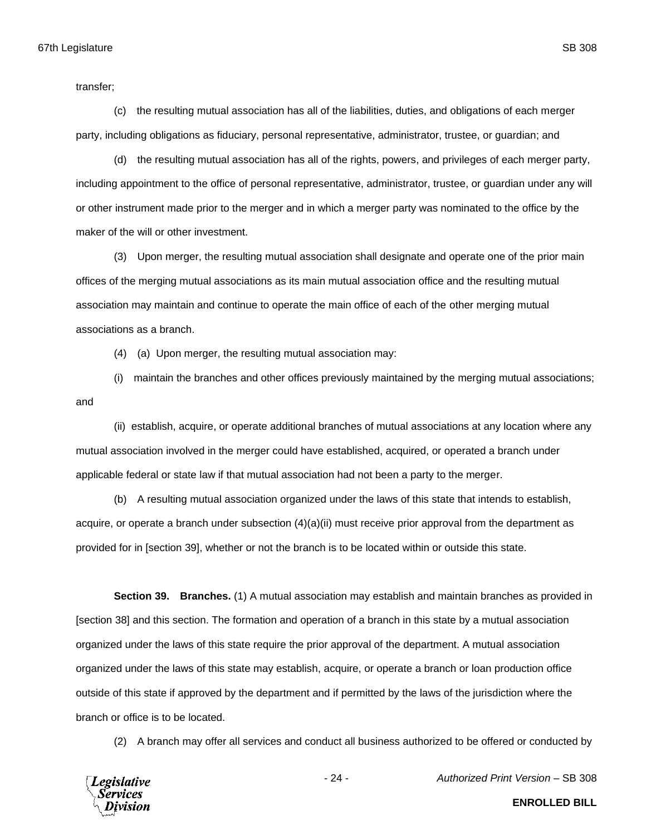transfer;

(c) the resulting mutual association has all of the liabilities, duties, and obligations of each merger party, including obligations as fiduciary, personal representative, administrator, trustee, or guardian; and

(d) the resulting mutual association has all of the rights, powers, and privileges of each merger party, including appointment to the office of personal representative, administrator, trustee, or guardian under any will or other instrument made prior to the merger and in which a merger party was nominated to the office by the maker of the will or other investment.

(3) Upon merger, the resulting mutual association shall designate and operate one of the prior main offices of the merging mutual associations as its main mutual association office and the resulting mutual association may maintain and continue to operate the main office of each of the other merging mutual associations as a branch.

(4) (a) Upon merger, the resulting mutual association may:

(i) maintain the branches and other offices previously maintained by the merging mutual associations; and

(ii) establish, acquire, or operate additional branches of mutual associations at any location where any mutual association involved in the merger could have established, acquired, or operated a branch under applicable federal or state law if that mutual association had not been a party to the merger.

(b) A resulting mutual association organized under the laws of this state that intends to establish, acquire, or operate a branch under subsection (4)(a)(ii) must receive prior approval from the department as provided for in [section 39], whether or not the branch is to be located within or outside this state.

**Section 39. Branches.** (1) A mutual association may establish and maintain branches as provided in [section 38] and this section. The formation and operation of a branch in this state by a mutual association organized under the laws of this state require the prior approval of the department. A mutual association organized under the laws of this state may establish, acquire, or operate a branch or loan production office outside of this state if approved by the department and if permitted by the laws of the jurisdiction where the branch or office is to be located.

(2) A branch may offer all services and conduct all business authorized to be offered or conducted by



- 24 - *Authorized Print Version* – SB 308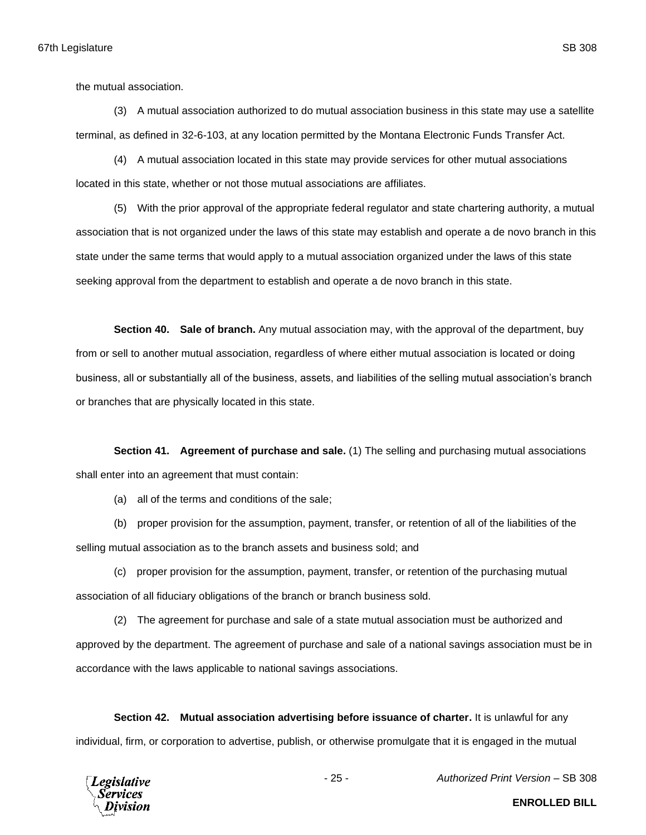the mutual association.

(3) A mutual association authorized to do mutual association business in this state may use a satellite terminal, as defined in 32-6-103, at any location permitted by the Montana Electronic Funds Transfer Act.

(4) A mutual association located in this state may provide services for other mutual associations located in this state, whether or not those mutual associations are affiliates.

(5) With the prior approval of the appropriate federal regulator and state chartering authority, a mutual association that is not organized under the laws of this state may establish and operate a de novo branch in this state under the same terms that would apply to a mutual association organized under the laws of this state seeking approval from the department to establish and operate a de novo branch in this state.

**Section 40. Sale of branch.** Any mutual association may, with the approval of the department, buy from or sell to another mutual association, regardless of where either mutual association is located or doing business, all or substantially all of the business, assets, and liabilities of the selling mutual association's branch or branches that are physically located in this state.

**Section 41. Agreement of purchase and sale.** (1) The selling and purchasing mutual associations shall enter into an agreement that must contain:

(a) all of the terms and conditions of the sale;

(b) proper provision for the assumption, payment, transfer, or retention of all of the liabilities of the

selling mutual association as to the branch assets and business sold; and

(c) proper provision for the assumption, payment, transfer, or retention of the purchasing mutual association of all fiduciary obligations of the branch or branch business sold.

(2) The agreement for purchase and sale of a state mutual association must be authorized and approved by the department. The agreement of purchase and sale of a national savings association must be in accordance with the laws applicable to national savings associations.

**Section 42. Mutual association advertising before issuance of charter.** It is unlawful for any individual, firm, or corporation to advertise, publish, or otherwise promulgate that it is engaged in the mutual



- 25 - *Authorized Print Version* – SB 308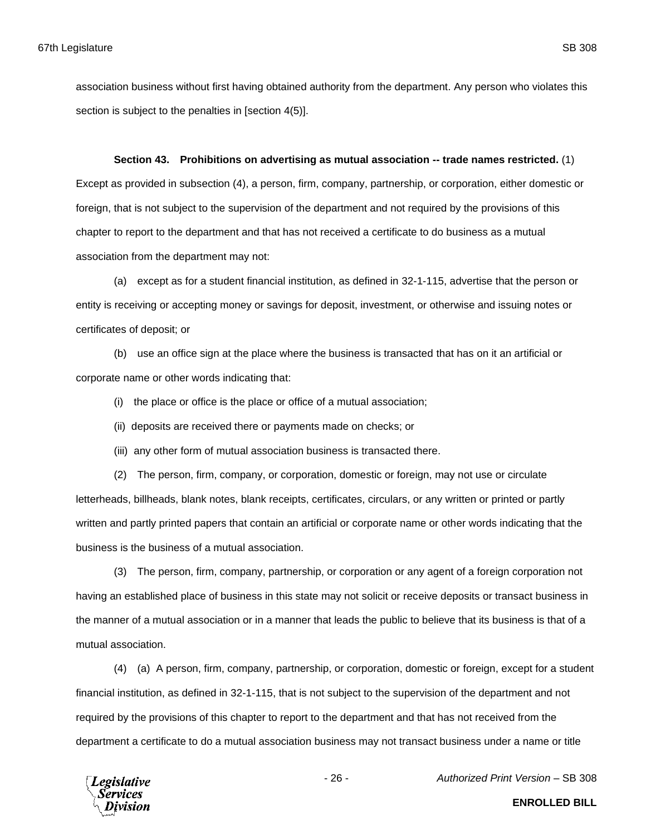association business without first having obtained authority from the department. Any person who violates this section is subject to the penalties in [section 4(5)].

## **Section 43. Prohibitions on advertising as mutual association -- trade names restricted.** (1)

Except as provided in subsection (4), a person, firm, company, partnership, or corporation, either domestic or foreign, that is not subject to the supervision of the department and not required by the provisions of this chapter to report to the department and that has not received a certificate to do business as a mutual association from the department may not:

(a) except as for a student financial institution, as defined in 32-1-115, advertise that the person or entity is receiving or accepting money or savings for deposit, investment, or otherwise and issuing notes or certificates of deposit; or

(b) use an office sign at the place where the business is transacted that has on it an artificial or corporate name or other words indicating that:

(i) the place or office is the place or office of a mutual association;

- (ii) deposits are received there or payments made on checks; or
- (iii) any other form of mutual association business is transacted there.

(2) The person, firm, company, or corporation, domestic or foreign, may not use or circulate letterheads, billheads, blank notes, blank receipts, certificates, circulars, or any written or printed or partly written and partly printed papers that contain an artificial or corporate name or other words indicating that the business is the business of a mutual association.

(3) The person, firm, company, partnership, or corporation or any agent of a foreign corporation not having an established place of business in this state may not solicit or receive deposits or transact business in the manner of a mutual association or in a manner that leads the public to believe that its business is that of a mutual association.

(4) (a) A person, firm, company, partnership, or corporation, domestic or foreign, except for a student financial institution, as defined in 32-1-115, that is not subject to the supervision of the department and not required by the provisions of this chapter to report to the department and that has not received from the department a certificate to do a mutual association business may not transact business under a name or title



- 26 - *Authorized Print Version* – SB 308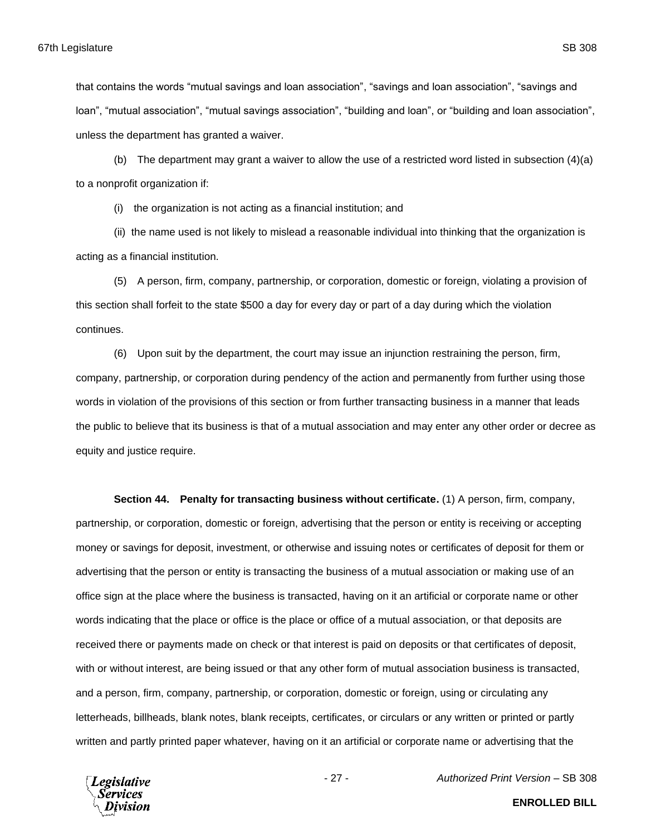(b) The department may grant a waiver to allow the use of a restricted word listed in subsection  $(4)(a)$ to a nonprofit organization if:

(i) the organization is not acting as a financial institution; and

(ii) the name used is not likely to mislead a reasonable individual into thinking that the organization is acting as a financial institution.

(5) A person, firm, company, partnership, or corporation, domestic or foreign, violating a provision of this section shall forfeit to the state \$500 a day for every day or part of a day during which the violation continues.

(6) Upon suit by the department, the court may issue an injunction restraining the person, firm, company, partnership, or corporation during pendency of the action and permanently from further using those words in violation of the provisions of this section or from further transacting business in a manner that leads the public to believe that its business is that of a mutual association and may enter any other order or decree as equity and justice require.

**Section 44. Penalty for transacting business without certificate.** (1) A person, firm, company, partnership, or corporation, domestic or foreign, advertising that the person or entity is receiving or accepting money or savings for deposit, investment, or otherwise and issuing notes or certificates of deposit for them or advertising that the person or entity is transacting the business of a mutual association or making use of an office sign at the place where the business is transacted, having on it an artificial or corporate name or other words indicating that the place or office is the place or office of a mutual association, or that deposits are received there or payments made on check or that interest is paid on deposits or that certificates of deposit, with or without interest, are being issued or that any other form of mutual association business is transacted, and a person, firm, company, partnership, or corporation, domestic or foreign, using or circulating any letterheads, billheads, blank notes, blank receipts, certificates, or circulars or any written or printed or partly written and partly printed paper whatever, having on it an artificial or corporate name or advertising that the



**ENROLLED BILL**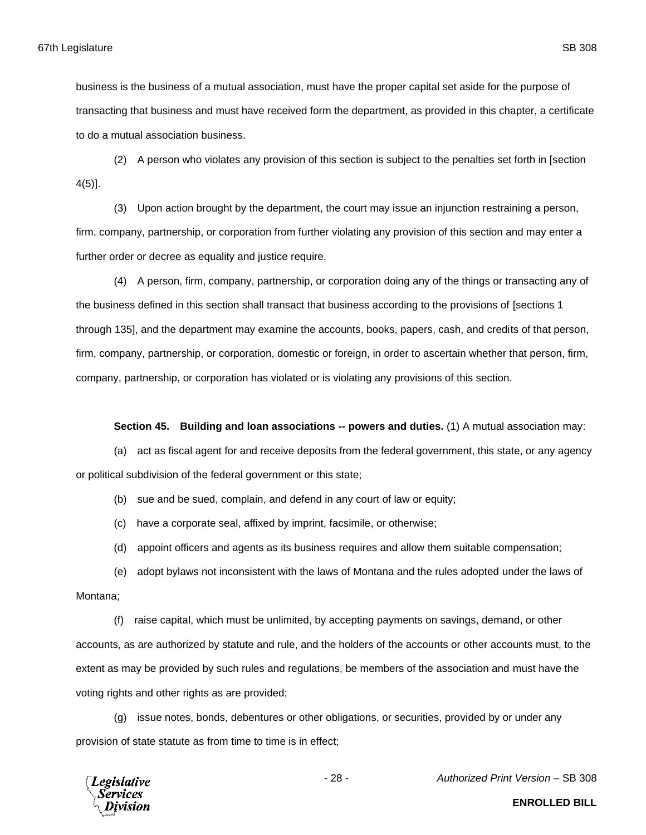(2) A person who violates any provision of this section is subject to the penalties set forth in [section 4(5)].

(3) Upon action brought by the department, the court may issue an injunction restraining a person, firm, company, partnership, or corporation from further violating any provision of this section and may enter a further order or decree as equality and justice require.

(4) A person, firm, company, partnership, or corporation doing any of the things or transacting any of the business defined in this section shall transact that business according to the provisions of [sections 1 through 135], and the department may examine the accounts, books, papers, cash, and credits of that person, firm, company, partnership, or corporation, domestic or foreign, in order to ascertain whether that person, firm, company, partnership, or corporation has violated or is violating any provisions of this section.

## **Section 45. Building and loan associations -- powers and duties.** (1) A mutual association may:

(a) act as fiscal agent for and receive deposits from the federal government, this state, or any agency or political subdivision of the federal government or this state;

(b) sue and be sued, complain, and defend in any court of law or equity;

- (c) have a corporate seal, affixed by imprint, facsimile, or otherwise;
- (d) appoint officers and agents as its business requires and allow them suitable compensation;

(e) adopt bylaws not inconsistent with the laws of Montana and the rules adopted under the laws of

# Montana;

(f) raise capital, which must be unlimited, by accepting payments on savings, demand, or other accounts, as are authorized by statute and rule, and the holders of the accounts or other accounts must, to the extent as may be provided by such rules and regulations, be members of the association and must have the voting rights and other rights as are provided;

(g) issue notes, bonds, debentures or other obligations, or securities, provided by or under any provision of state statute as from time to time is in effect;



- 28 - *Authorized Print Version* – SB 308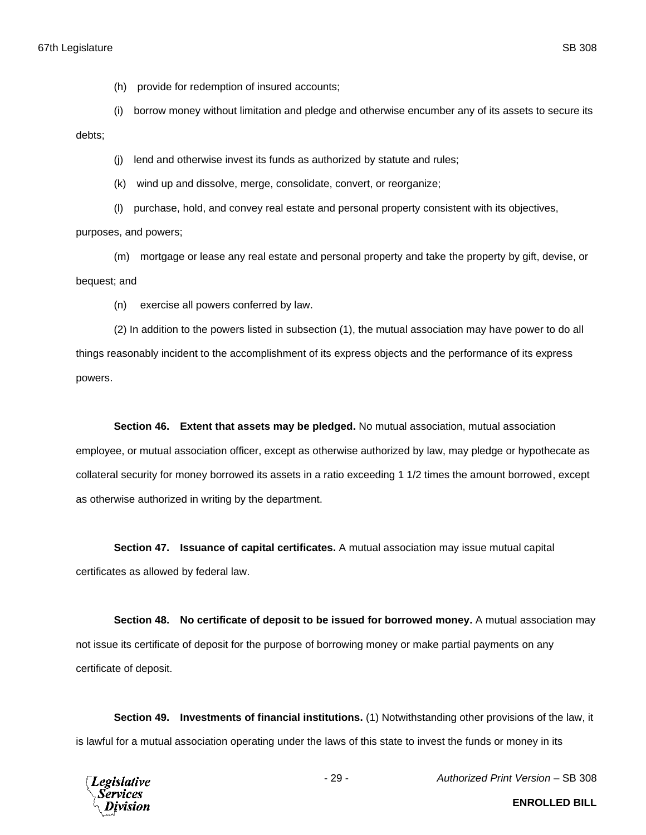(h) provide for redemption of insured accounts;

(i) borrow money without limitation and pledge and otherwise encumber any of its assets to secure its

debts;

(j) lend and otherwise invest its funds as authorized by statute and rules;

(k) wind up and dissolve, merge, consolidate, convert, or reorganize;

(l) purchase, hold, and convey real estate and personal property consistent with its objectives, purposes, and powers;

(m) mortgage or lease any real estate and personal property and take the property by gift, devise, or bequest; and

(n) exercise all powers conferred by law.

(2) In addition to the powers listed in subsection (1), the mutual association may have power to do all things reasonably incident to the accomplishment of its express objects and the performance of its express powers.

**Section 46. Extent that assets may be pledged.** No mutual association, mutual association employee, or mutual association officer, except as otherwise authorized by law, may pledge or hypothecate as collateral security for money borrowed its assets in a ratio exceeding 1 1/2 times the amount borrowed, except as otherwise authorized in writing by the department.

**Section 47. Issuance of capital certificates.** A mutual association may issue mutual capital certificates as allowed by federal law.

**Section 48. No certificate of deposit to be issued for borrowed money.** A mutual association may not issue its certificate of deposit for the purpose of borrowing money or make partial payments on any certificate of deposit.

**Section 49. Investments of financial institutions.** (1) Notwithstanding other provisions of the law, it is lawful for a mutual association operating under the laws of this state to invest the funds or money in its



- 29 - *Authorized Print Version* – SB 308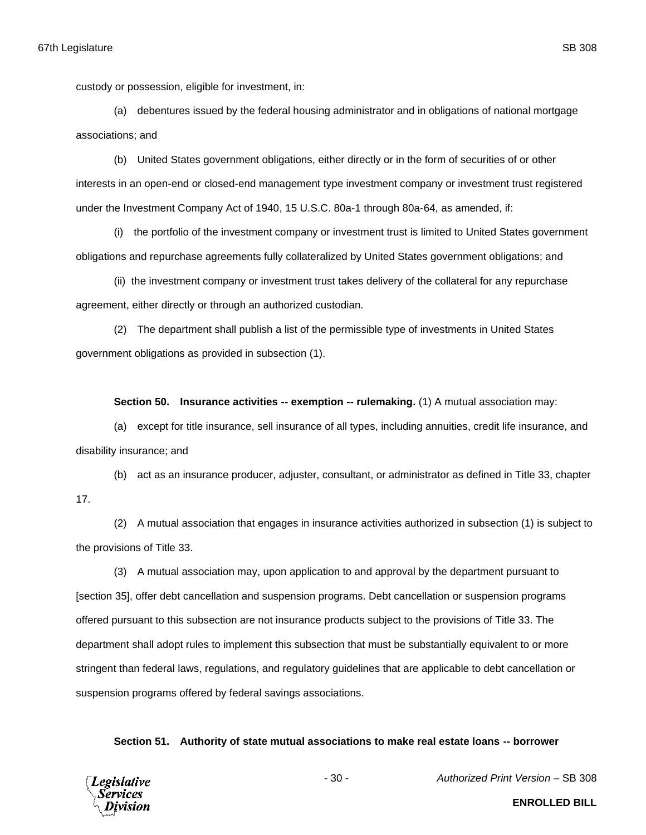custody or possession, eligible for investment, in:

(a) debentures issued by the federal housing administrator and in obligations of national mortgage associations; and

(b) United States government obligations, either directly or in the form of securities of or other interests in an open-end or closed-end management type investment company or investment trust registered under the Investment Company Act of 1940, 15 U.S.C. 80a-1 through 80a-64, as amended, if:

(i) the portfolio of the investment company or investment trust is limited to United States government obligations and repurchase agreements fully collateralized by United States government obligations; and

(ii) the investment company or investment trust takes delivery of the collateral for any repurchase agreement, either directly or through an authorized custodian.

(2) The department shall publish a list of the permissible type of investments in United States government obligations as provided in subsection (1).

**Section 50. Insurance activities -- exemption -- rulemaking.** (1) A mutual association may:

(a) except for title insurance, sell insurance of all types, including annuities, credit life insurance, and disability insurance; and

(b) act as an insurance producer, adjuster, consultant, or administrator as defined in Title 33, chapter 17.

(2) A mutual association that engages in insurance activities authorized in subsection (1) is subject to the provisions of Title 33.

(3) A mutual association may, upon application to and approval by the department pursuant to [section 35], offer debt cancellation and suspension programs. Debt cancellation or suspension programs offered pursuant to this subsection are not insurance products subject to the provisions of Title 33. The department shall adopt rules to implement this subsection that must be substantially equivalent to or more stringent than federal laws, regulations, and regulatory guidelines that are applicable to debt cancellation or suspension programs offered by federal savings associations.

## **Section 51. Authority of state mutual associations to make real estate loans -- borrower**

**Legislative** Services

- 30 - *Authorized Print Version* – SB 308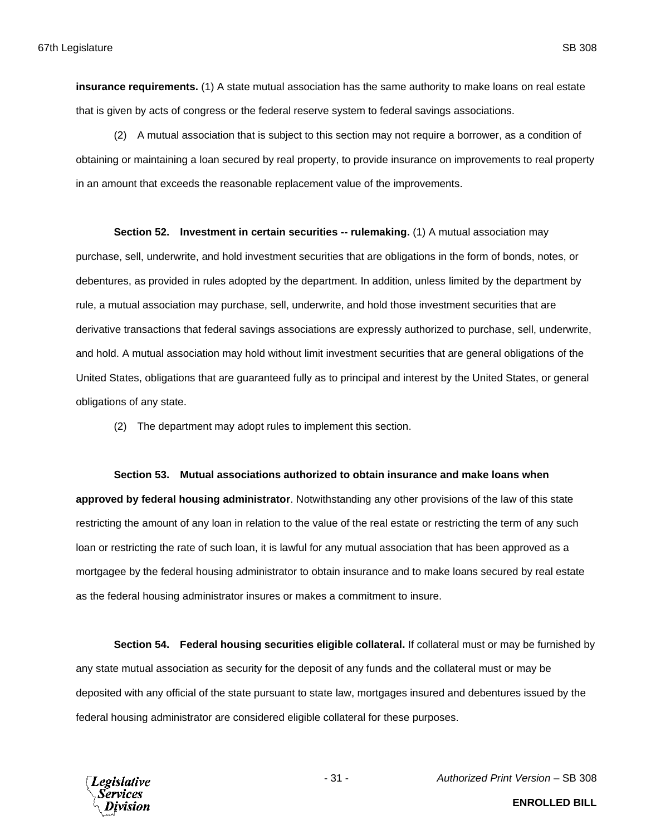**insurance requirements.** (1) A state mutual association has the same authority to make loans on real estate that is given by acts of congress or the federal reserve system to federal savings associations.

(2) A mutual association that is subject to this section may not require a borrower, as a condition of obtaining or maintaining a loan secured by real property, to provide insurance on improvements to real property in an amount that exceeds the reasonable replacement value of the improvements.

**Section 52. Investment in certain securities -- rulemaking.** (1) A mutual association may purchase, sell, underwrite, and hold investment securities that are obligations in the form of bonds, notes, or debentures, as provided in rules adopted by the department. In addition, unless limited by the department by rule, a mutual association may purchase, sell, underwrite, and hold those investment securities that are derivative transactions that federal savings associations are expressly authorized to purchase, sell, underwrite, and hold. A mutual association may hold without limit investment securities that are general obligations of the United States, obligations that are guaranteed fully as to principal and interest by the United States, or general obligations of any state.

(2) The department may adopt rules to implement this section.

# **Section 53. Mutual associations authorized to obtain insurance and make loans when**

**approved by federal housing administrator**. Notwithstanding any other provisions of the law of this state restricting the amount of any loan in relation to the value of the real estate or restricting the term of any such loan or restricting the rate of such loan, it is lawful for any mutual association that has been approved as a mortgagee by the federal housing administrator to obtain insurance and to make loans secured by real estate as the federal housing administrator insures or makes a commitment to insure.

**Section 54. Federal housing securities eligible collateral.** If collateral must or may be furnished by any state mutual association as security for the deposit of any funds and the collateral must or may be deposited with any official of the state pursuant to state law, mortgages insured and debentures issued by the federal housing administrator are considered eligible collateral for these purposes.



- 31 - *Authorized Print Version* – SB 308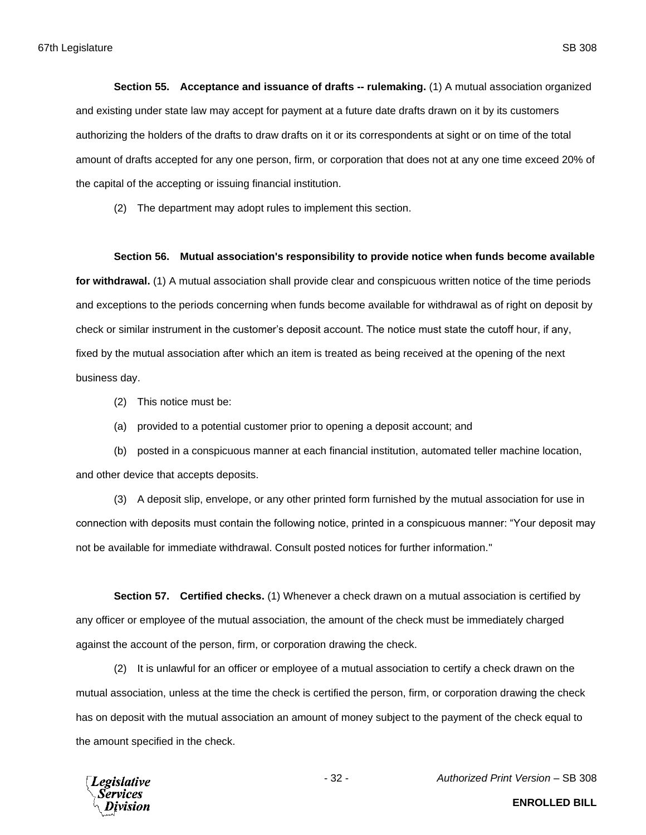**Section 55. Acceptance and issuance of drafts -- rulemaking.** (1) A mutual association organized and existing under state law may accept for payment at a future date drafts drawn on it by its customers authorizing the holders of the drafts to draw drafts on it or its correspondents at sight or on time of the total amount of drafts accepted for any one person, firm, or corporation that does not at any one time exceed 20% of the capital of the accepting or issuing financial institution.

(2) The department may adopt rules to implement this section.

### **Section 56. Mutual association's responsibility to provide notice when funds become available**

**for withdrawal.** (1) A mutual association shall provide clear and conspicuous written notice of the time periods and exceptions to the periods concerning when funds become available for withdrawal as of right on deposit by check or similar instrument in the customer's deposit account. The notice must state the cutoff hour, if any, fixed by the mutual association after which an item is treated as being received at the opening of the next business day.

(2) This notice must be:

(a) provided to a potential customer prior to opening a deposit account; and

(b) posted in a conspicuous manner at each financial institution, automated teller machine location, and other device that accepts deposits.

(3) A deposit slip, envelope, or any other printed form furnished by the mutual association for use in connection with deposits must contain the following notice, printed in a conspicuous manner: "Your deposit may not be available for immediate withdrawal. Consult posted notices for further information."

**Section 57. Certified checks.** (1) Whenever a check drawn on a mutual association is certified by any officer or employee of the mutual association, the amount of the check must be immediately charged against the account of the person, firm, or corporation drawing the check.

(2) It is unlawful for an officer or employee of a mutual association to certify a check drawn on the mutual association, unless at the time the check is certified the person, firm, or corporation drawing the check has on deposit with the mutual association an amount of money subject to the payment of the check equal to the amount specified in the check.

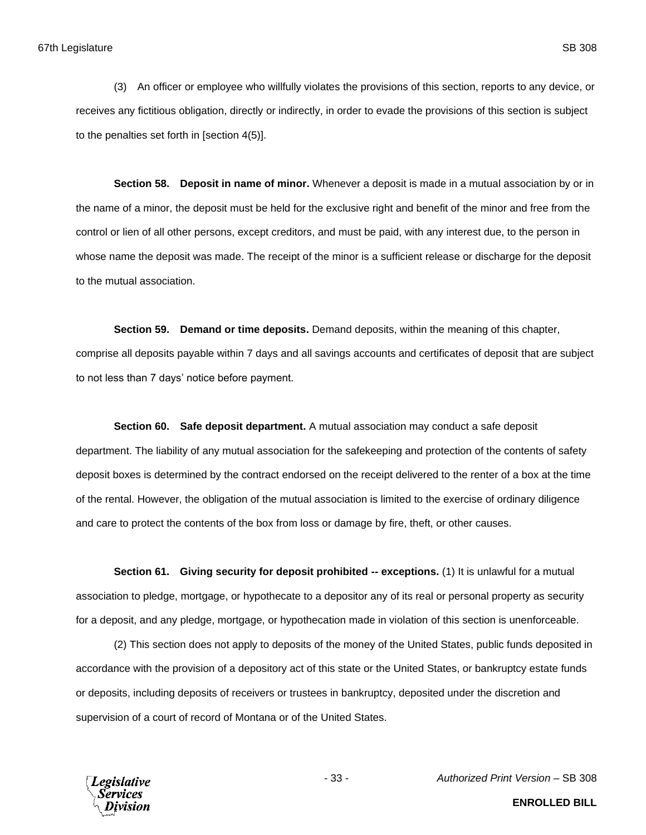(3) An officer or employee who willfully violates the provisions of this section, reports to any device, or receives any fictitious obligation, directly or indirectly, in order to evade the provisions of this section is subject to the penalties set forth in [section 4(5)].

**Section 58. Deposit in name of minor.** Whenever a deposit is made in a mutual association by or in the name of a minor, the deposit must be held for the exclusive right and benefit of the minor and free from the control or lien of all other persons, except creditors, and must be paid, with any interest due, to the person in whose name the deposit was made. The receipt of the minor is a sufficient release or discharge for the deposit to the mutual association.

**Section 59. Demand or time deposits.** Demand deposits, within the meaning of this chapter, comprise all deposits payable within 7 days and all savings accounts and certificates of deposit that are subject to not less than 7 days' notice before payment.

**Section 60. Safe deposit department.** A mutual association may conduct a safe deposit department. The liability of any mutual association for the safekeeping and protection of the contents of safety deposit boxes is determined by the contract endorsed on the receipt delivered to the renter of a box at the time of the rental. However, the obligation of the mutual association is limited to the exercise of ordinary diligence and care to protect the contents of the box from loss or damage by fire, theft, or other causes.

**Section 61. Giving security for deposit prohibited -- exceptions.** (1) It is unlawful for a mutual association to pledge, mortgage, or hypothecate to a depositor any of its real or personal property as security for a deposit, and any pledge, mortgage, or hypothecation made in violation of this section is unenforceable.

(2) This section does not apply to deposits of the money of the United States, public funds deposited in accordance with the provision of a depository act of this state or the United States, or bankruptcy estate funds or deposits, including deposits of receivers or trustees in bankruptcy, deposited under the discretion and supervision of a court of record of Montana or of the United States.



- 33 - *Authorized Print Version* – SB 308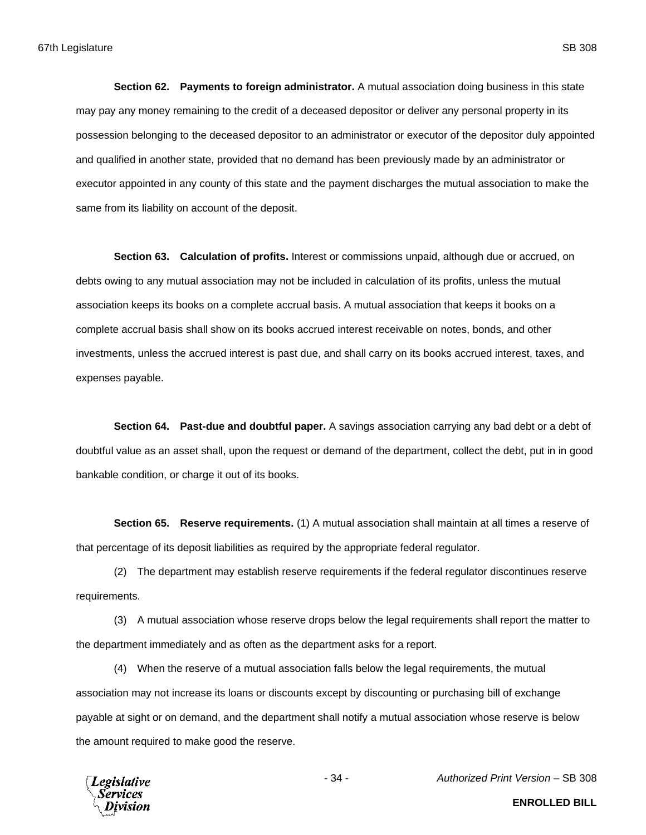**Section 62. Payments to foreign administrator.** A mutual association doing business in this state may pay any money remaining to the credit of a deceased depositor or deliver any personal property in its possession belonging to the deceased depositor to an administrator or executor of the depositor duly appointed and qualified in another state, provided that no demand has been previously made by an administrator or executor appointed in any county of this state and the payment discharges the mutual association to make the same from its liability on account of the deposit.

**Section 63. Calculation of profits.** Interest or commissions unpaid, although due or accrued, on debts owing to any mutual association may not be included in calculation of its profits, unless the mutual association keeps its books on a complete accrual basis. A mutual association that keeps it books on a complete accrual basis shall show on its books accrued interest receivable on notes, bonds, and other investments, unless the accrued interest is past due, and shall carry on its books accrued interest, taxes, and expenses payable.

**Section 64. Past-due and doubtful paper.** A savings association carrying any bad debt or a debt of doubtful value as an asset shall, upon the request or demand of the department, collect the debt, put in in good bankable condition, or charge it out of its books.

**Section 65. Reserve requirements.** (1) A mutual association shall maintain at all times a reserve of that percentage of its deposit liabilities as required by the appropriate federal regulator.

(2) The department may establish reserve requirements if the federal regulator discontinues reserve requirements.

(3) A mutual association whose reserve drops below the legal requirements shall report the matter to the department immediately and as often as the department asks for a report.

(4) When the reserve of a mutual association falls below the legal requirements, the mutual association may not increase its loans or discounts except by discounting or purchasing bill of exchange payable at sight or on demand, and the department shall notify a mutual association whose reserve is below the amount required to make good the reserve.



- 34 - *Authorized Print Version* – SB 308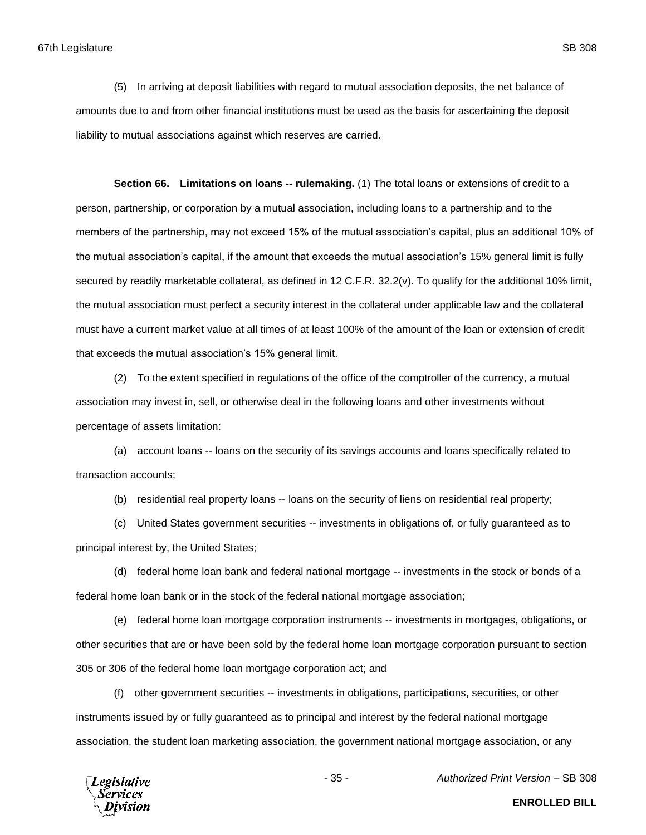(5) In arriving at deposit liabilities with regard to mutual association deposits, the net balance of amounts due to and from other financial institutions must be used as the basis for ascertaining the deposit liability to mutual associations against which reserves are carried.

**Section 66. Limitations on loans -- rulemaking.** (1) The total loans or extensions of credit to a person, partnership, or corporation by a mutual association, including loans to a partnership and to the members of the partnership, may not exceed 15% of the mutual association's capital, plus an additional 10% of the mutual association's capital, if the amount that exceeds the mutual association's 15% general limit is fully secured by readily marketable collateral, as defined in 12 C.F.R. 32.2(v). To qualify for the additional 10% limit, the mutual association must perfect a security interest in the collateral under applicable law and the collateral must have a current market value at all times of at least 100% of the amount of the loan or extension of credit that exceeds the mutual association's 15% general limit.

(2) To the extent specified in regulations of the office of the comptroller of the currency, a mutual association may invest in, sell, or otherwise deal in the following loans and other investments without percentage of assets limitation:

(a) account loans -- loans on the security of its savings accounts and loans specifically related to transaction accounts;

(b) residential real property loans -- loans on the security of liens on residential real property;

(c) United States government securities -- investments in obligations of, or fully guaranteed as to principal interest by, the United States;

(d) federal home loan bank and federal national mortgage -- investments in the stock or bonds of a federal home loan bank or in the stock of the federal national mortgage association;

(e) federal home loan mortgage corporation instruments -- investments in mortgages, obligations, or other securities that are or have been sold by the federal home loan mortgage corporation pursuant to section 305 or 306 of the federal home loan mortgage corporation act; and

(f) other government securities -- investments in obligations, participations, securities, or other instruments issued by or fully guaranteed as to principal and interest by the federal national mortgage association, the student loan marketing association, the government national mortgage association, or any



- 35 - *Authorized Print Version* – SB 308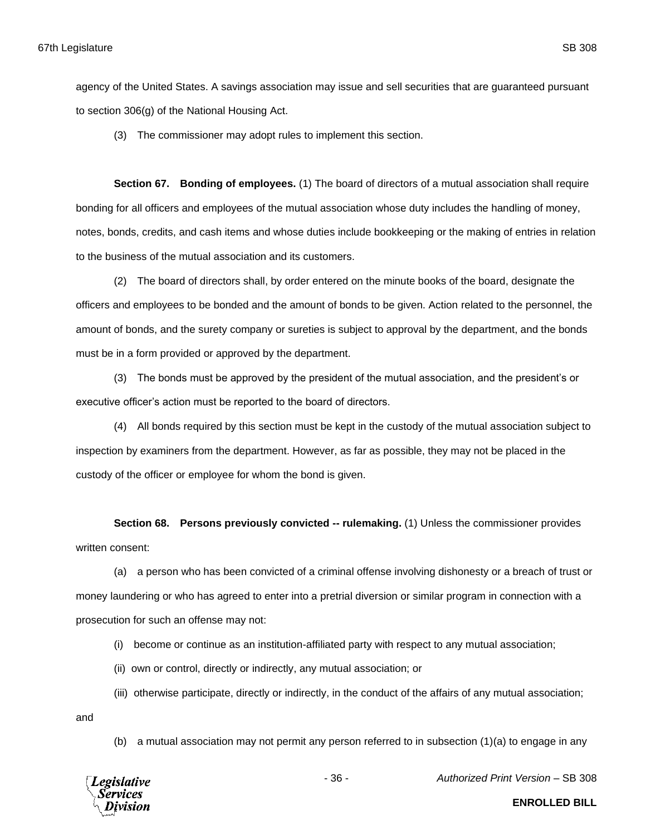agency of the United States. A savings association may issue and sell securities that are guaranteed pursuant to section 306(g) of the National Housing Act.

(3) The commissioner may adopt rules to implement this section.

**Section 67. Bonding of employees.** (1) The board of directors of a mutual association shall require bonding for all officers and employees of the mutual association whose duty includes the handling of money, notes, bonds, credits, and cash items and whose duties include bookkeeping or the making of entries in relation to the business of the mutual association and its customers.

(2) The board of directors shall, by order entered on the minute books of the board, designate the officers and employees to be bonded and the amount of bonds to be given. Action related to the personnel, the amount of bonds, and the surety company or sureties is subject to approval by the department, and the bonds must be in a form provided or approved by the department.

(3) The bonds must be approved by the president of the mutual association, and the president's or executive officer's action must be reported to the board of directors.

(4) All bonds required by this section must be kept in the custody of the mutual association subject to inspection by examiners from the department. However, as far as possible, they may not be placed in the custody of the officer or employee for whom the bond is given.

**Section 68. Persons previously convicted -- rulemaking.** (1) Unless the commissioner provides written consent:

(a) a person who has been convicted of a criminal offense involving dishonesty or a breach of trust or money laundering or who has agreed to enter into a pretrial diversion or similar program in connection with a prosecution for such an offense may not:

(i) become or continue as an institution-affiliated party with respect to any mutual association;

(ii) own or control, directly or indirectly, any mutual association; or

(iii) otherwise participate, directly or indirectly, in the conduct of the affairs of any mutual association;

and

(b) a mutual association may not permit any person referred to in subsection (1)(a) to engage in any



- 36 - *Authorized Print Version* – SB 308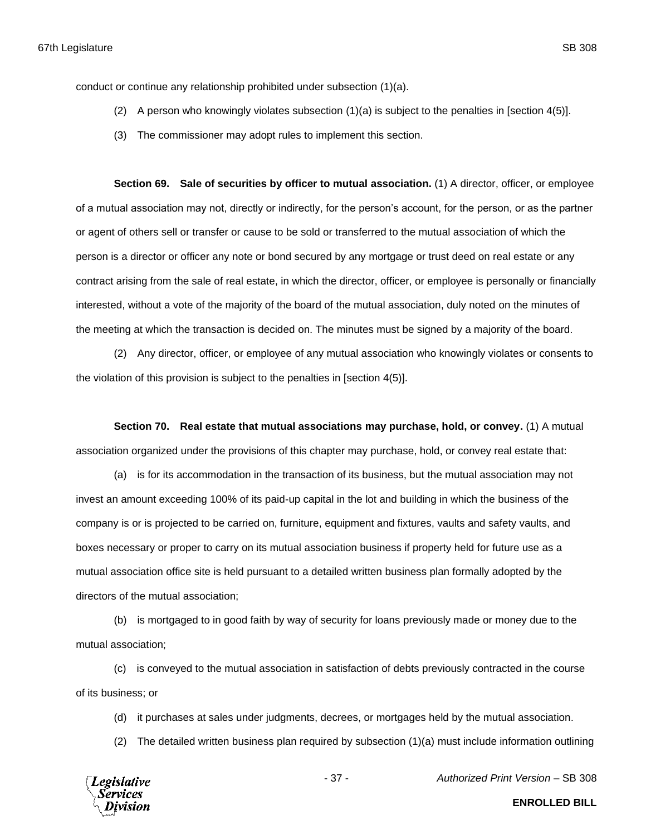conduct or continue any relationship prohibited under subsection (1)(a).

- (2) A person who knowingly violates subsection (1)(a) is subject to the penalties in [section 4(5)].
- (3) The commissioner may adopt rules to implement this section.

**Section 69. Sale of securities by officer to mutual association.** (1) A director, officer, or employee of a mutual association may not, directly or indirectly, for the person's account, for the person, or as the partner or agent of others sell or transfer or cause to be sold or transferred to the mutual association of which the person is a director or officer any note or bond secured by any mortgage or trust deed on real estate or any contract arising from the sale of real estate, in which the director, officer, or employee is personally or financially interested, without a vote of the majority of the board of the mutual association, duly noted on the minutes of the meeting at which the transaction is decided on. The minutes must be signed by a majority of the board.

(2) Any director, officer, or employee of any mutual association who knowingly violates or consents to the violation of this provision is subject to the penalties in [section 4(5)].

**Section 70. Real estate that mutual associations may purchase, hold, or convey.** (1) A mutual association organized under the provisions of this chapter may purchase, hold, or convey real estate that:

(a) is for its accommodation in the transaction of its business, but the mutual association may not invest an amount exceeding 100% of its paid-up capital in the lot and building in which the business of the company is or is projected to be carried on, furniture, equipment and fixtures, vaults and safety vaults, and boxes necessary or proper to carry on its mutual association business if property held for future use as a mutual association office site is held pursuant to a detailed written business plan formally adopted by the directors of the mutual association;

(b) is mortgaged to in good faith by way of security for loans previously made or money due to the mutual association;

(c) is conveyed to the mutual association in satisfaction of debts previously contracted in the course of its business; or

- (d) it purchases at sales under judgments, decrees, or mortgages held by the mutual association.
- (2) The detailed written business plan required by subsection (1)(a) must include information outlining



- 37 - *Authorized Print Version* – SB 308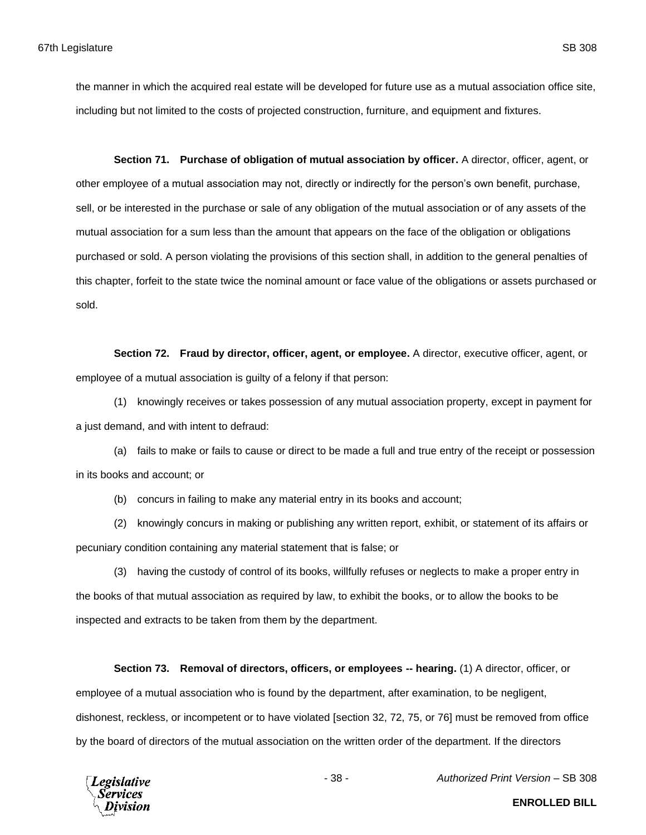the manner in which the acquired real estate will be developed for future use as a mutual association office site, including but not limited to the costs of projected construction, furniture, and equipment and fixtures.

**Section 71. Purchase of obligation of mutual association by officer.** A director, officer, agent, or other employee of a mutual association may not, directly or indirectly for the person's own benefit, purchase, sell, or be interested in the purchase or sale of any obligation of the mutual association or of any assets of the mutual association for a sum less than the amount that appears on the face of the obligation or obligations purchased or sold. A person violating the provisions of this section shall, in addition to the general penalties of this chapter, forfeit to the state twice the nominal amount or face value of the obligations or assets purchased or sold.

**Section 72. Fraud by director, officer, agent, or employee.** A director, executive officer, agent, or employee of a mutual association is guilty of a felony if that person:

(1) knowingly receives or takes possession of any mutual association property, except in payment for a just demand, and with intent to defraud:

(a) fails to make or fails to cause or direct to be made a full and true entry of the receipt or possession in its books and account; or

(b) concurs in failing to make any material entry in its books and account;

(2) knowingly concurs in making or publishing any written report, exhibit, or statement of its affairs or pecuniary condition containing any material statement that is false; or

(3) having the custody of control of its books, willfully refuses or neglects to make a proper entry in the books of that mutual association as required by law, to exhibit the books, or to allow the books to be inspected and extracts to be taken from them by the department.

**Section 73. Removal of directors, officers, or employees -- hearing.** (1) A director, officer, or employee of a mutual association who is found by the department, after examination, to be negligent, dishonest, reckless, or incompetent or to have violated [section 32, 72, 75, or 76] must be removed from office by the board of directors of the mutual association on the written order of the department. If the directors



- 38 - *Authorized Print Version* – SB 308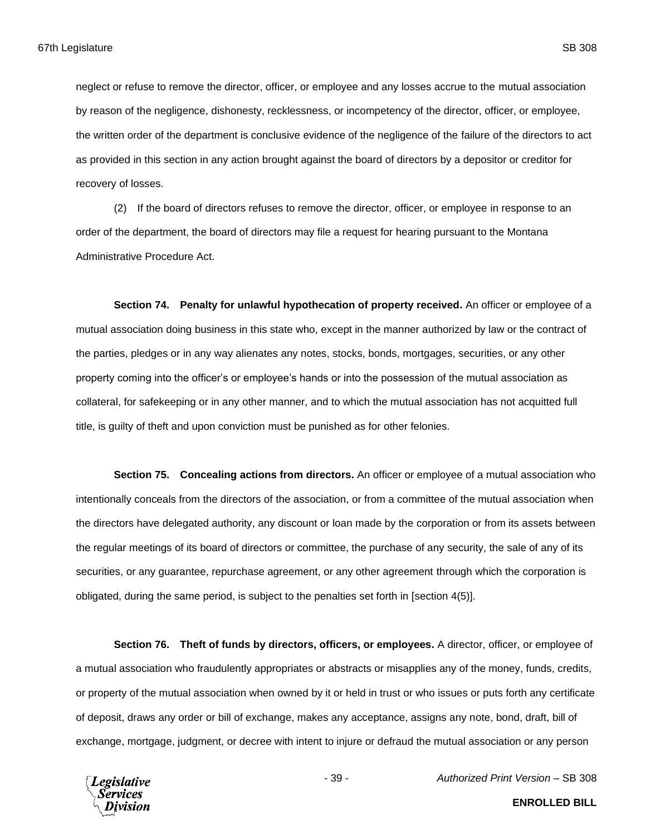neglect or refuse to remove the director, officer, or employee and any losses accrue to the mutual association by reason of the negligence, dishonesty, recklessness, or incompetency of the director, officer, or employee, the written order of the department is conclusive evidence of the negligence of the failure of the directors to act as provided in this section in any action brought against the board of directors by a depositor or creditor for recovery of losses.

(2) If the board of directors refuses to remove the director, officer, or employee in response to an order of the department, the board of directors may file a request for hearing pursuant to the Montana Administrative Procedure Act.

**Section 74. Penalty for unlawful hypothecation of property received.** An officer or employee of a mutual association doing business in this state who, except in the manner authorized by law or the contract of the parties, pledges or in any way alienates any notes, stocks, bonds, mortgages, securities, or any other property coming into the officer's or employee's hands or into the possession of the mutual association as collateral, for safekeeping or in any other manner, and to which the mutual association has not acquitted full title, is guilty of theft and upon conviction must be punished as for other felonies.

**Section 75. Concealing actions from directors.** An officer or employee of a mutual association who intentionally conceals from the directors of the association, or from a committee of the mutual association when the directors have delegated authority, any discount or loan made by the corporation or from its assets between the regular meetings of its board of directors or committee, the purchase of any security, the sale of any of its securities, or any guarantee, repurchase agreement, or any other agreement through which the corporation is obligated, during the same period, is subject to the penalties set forth in [section 4(5)].

**Section 76. Theft of funds by directors, officers, or employees.** A director, officer, or employee of a mutual association who fraudulently appropriates or abstracts or misapplies any of the money, funds, credits, or property of the mutual association when owned by it or held in trust or who issues or puts forth any certificate of deposit, draws any order or bill of exchange, makes any acceptance, assigns any note, bond, draft, bill of exchange, mortgage, judgment, or decree with intent to injure or defraud the mutual association or any person



- 39 - *Authorized Print Version* – SB 308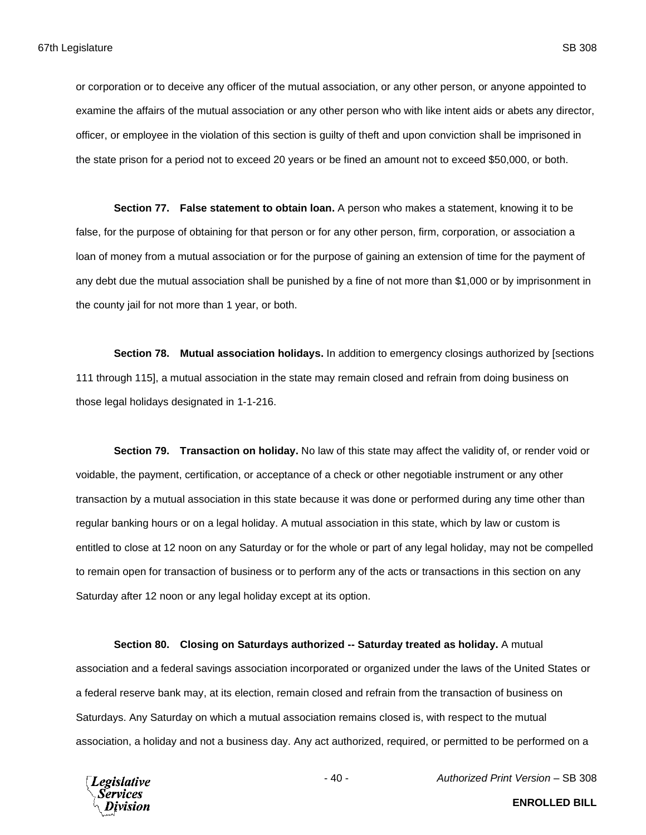or corporation or to deceive any officer of the mutual association, or any other person, or anyone appointed to examine the affairs of the mutual association or any other person who with like intent aids or abets any director, officer, or employee in the violation of this section is guilty of theft and upon conviction shall be imprisoned in the state prison for a period not to exceed 20 years or be fined an amount not to exceed \$50,000, or both.

**Section 77. False statement to obtain loan.** A person who makes a statement, knowing it to be false, for the purpose of obtaining for that person or for any other person, firm, corporation, or association a loan of money from a mutual association or for the purpose of gaining an extension of time for the payment of any debt due the mutual association shall be punished by a fine of not more than \$1,000 or by imprisonment in the county jail for not more than 1 year, or both.

**Section 78. Mutual association holidays.** In addition to emergency closings authorized by [sections 111 through 115], a mutual association in the state may remain closed and refrain from doing business on those legal holidays designated in 1-1-216.

**Section 79. Transaction on holiday.** No law of this state may affect the validity of, or render void or voidable, the payment, certification, or acceptance of a check or other negotiable instrument or any other transaction by a mutual association in this state because it was done or performed during any time other than regular banking hours or on a legal holiday. A mutual association in this state, which by law or custom is entitled to close at 12 noon on any Saturday or for the whole or part of any legal holiday, may not be compelled to remain open for transaction of business or to perform any of the acts or transactions in this section on any Saturday after 12 noon or any legal holiday except at its option.

**Section 80. Closing on Saturdays authorized -- Saturday treated as holiday.** A mutual association and a federal savings association incorporated or organized under the laws of the United States or a federal reserve bank may, at its election, remain closed and refrain from the transaction of business on Saturdays. Any Saturday on which a mutual association remains closed is, with respect to the mutual association, a holiday and not a business day. Any act authorized, required, or permitted to be performed on a



- 40 - *Authorized Print Version* – SB 308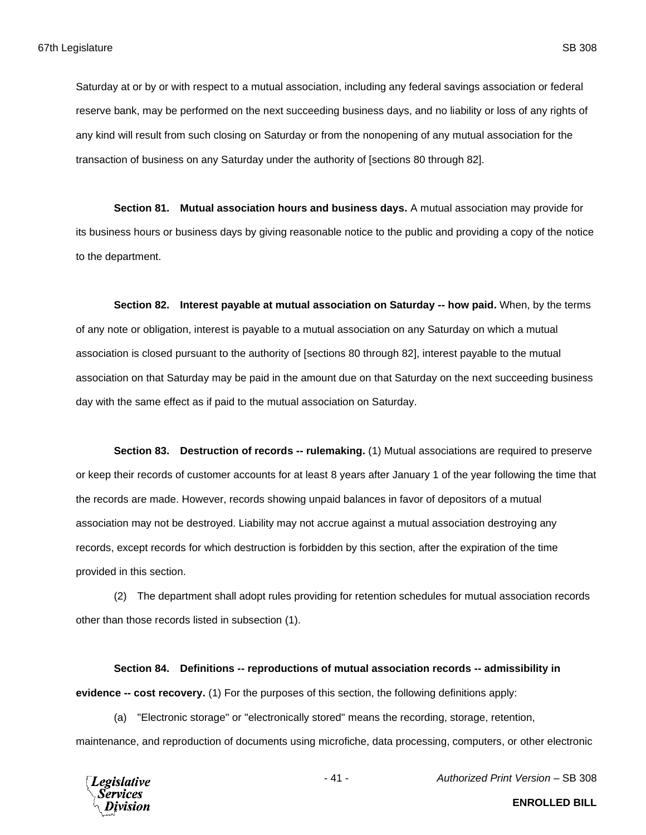Saturday at or by or with respect to a mutual association, including any federal savings association or federal reserve bank, may be performed on the next succeeding business days, and no liability or loss of any rights of any kind will result from such closing on Saturday or from the nonopening of any mutual association for the transaction of business on any Saturday under the authority of [sections 80 through 82].

**Section 81. Mutual association hours and business days.** A mutual association may provide for its business hours or business days by giving reasonable notice to the public and providing a copy of the notice to the department.

**Section 82. Interest payable at mutual association on Saturday -- how paid.** When, by the terms of any note or obligation, interest is payable to a mutual association on any Saturday on which a mutual association is closed pursuant to the authority of [sections 80 through 82], interest payable to the mutual association on that Saturday may be paid in the amount due on that Saturday on the next succeeding business day with the same effect as if paid to the mutual association on Saturday.

**Section 83. Destruction of records -- rulemaking.** (1) Mutual associations are required to preserve or keep their records of customer accounts for at least 8 years after January 1 of the year following the time that the records are made. However, records showing unpaid balances in favor of depositors of a mutual association may not be destroyed. Liability may not accrue against a mutual association destroying any records, except records for which destruction is forbidden by this section, after the expiration of the time provided in this section.

(2) The department shall adopt rules providing for retention schedules for mutual association records other than those records listed in subsection (1).

**Section 84. Definitions -- reproductions of mutual association records -- admissibility in evidence -- cost recovery.** (1) For the purposes of this section, the following definitions apply:

(a) "Electronic storage" or "electronically stored" means the recording, storage, retention, maintenance, and reproduction of documents using microfiche, data processing, computers, or other electronic



- 41 - *Authorized Print Version* – SB 308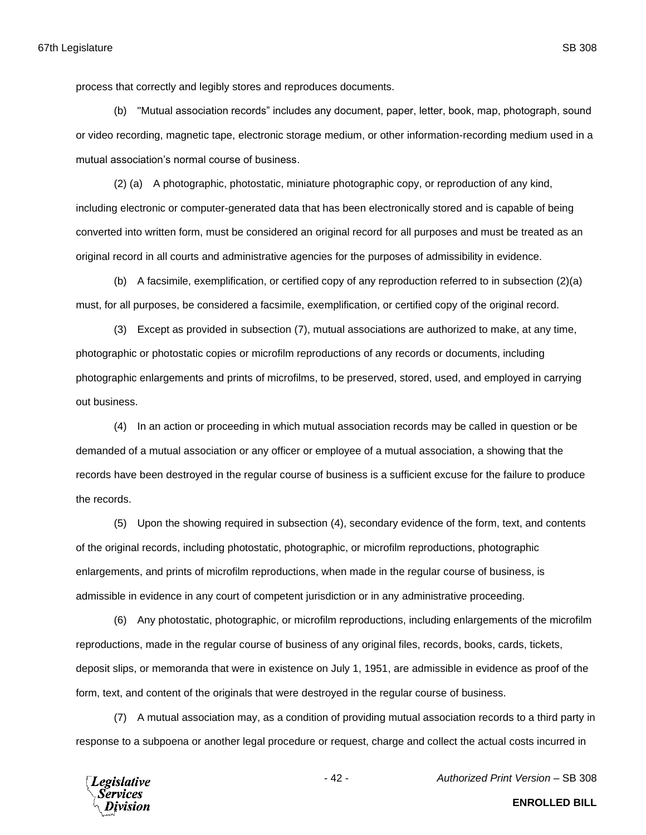process that correctly and legibly stores and reproduces documents.

(b) "Mutual association records" includes any document, paper, letter, book, map, photograph, sound or video recording, magnetic tape, electronic storage medium, or other information-recording medium used in a mutual association's normal course of business.

(2) (a) A photographic, photostatic, miniature photographic copy, or reproduction of any kind, including electronic or computer-generated data that has been electronically stored and is capable of being converted into written form, must be considered an original record for all purposes and must be treated as an original record in all courts and administrative agencies for the purposes of admissibility in evidence.

(b) A facsimile, exemplification, or certified copy of any reproduction referred to in subsection (2)(a) must, for all purposes, be considered a facsimile, exemplification, or certified copy of the original record.

(3) Except as provided in subsection (7), mutual associations are authorized to make, at any time, photographic or photostatic copies or microfilm reproductions of any records or documents, including photographic enlargements and prints of microfilms, to be preserved, stored, used, and employed in carrying out business.

(4) In an action or proceeding in which mutual association records may be called in question or be demanded of a mutual association or any officer or employee of a mutual association, a showing that the records have been destroyed in the regular course of business is a sufficient excuse for the failure to produce the records.

(5) Upon the showing required in subsection (4), secondary evidence of the form, text, and contents of the original records, including photostatic, photographic, or microfilm reproductions, photographic enlargements, and prints of microfilm reproductions, when made in the regular course of business, is admissible in evidence in any court of competent jurisdiction or in any administrative proceeding.

(6) Any photostatic, photographic, or microfilm reproductions, including enlargements of the microfilm reproductions, made in the regular course of business of any original files, records, books, cards, tickets, deposit slips, or memoranda that were in existence on July 1, 1951, are admissible in evidence as proof of the form, text, and content of the originals that were destroyed in the regular course of business.

(7) A mutual association may, as a condition of providing mutual association records to a third party in response to a subpoena or another legal procedure or request, charge and collect the actual costs incurred in



- 42 - *Authorized Print Version* – SB 308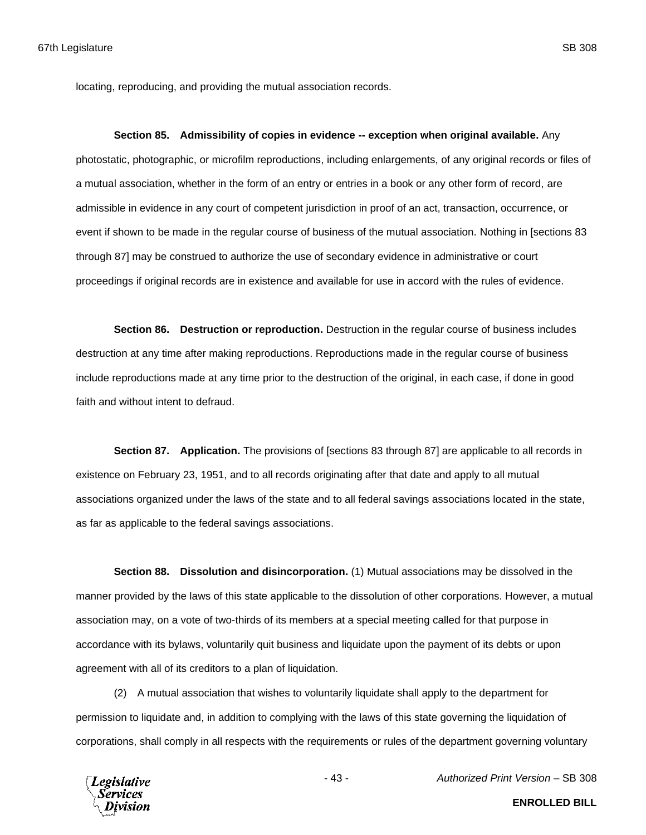locating, reproducing, and providing the mutual association records.

**Section 85. Admissibility of copies in evidence -- exception when original available.** Any photostatic, photographic, or microfilm reproductions, including enlargements, of any original records or files of a mutual association, whether in the form of an entry or entries in a book or any other form of record, are admissible in evidence in any court of competent jurisdiction in proof of an act, transaction, occurrence, or event if shown to be made in the regular course of business of the mutual association. Nothing in [sections 83 through 87] may be construed to authorize the use of secondary evidence in administrative or court proceedings if original records are in existence and available for use in accord with the rules of evidence.

**Section 86. Destruction or reproduction.** Destruction in the regular course of business includes destruction at any time after making reproductions. Reproductions made in the regular course of business include reproductions made at any time prior to the destruction of the original, in each case, if done in good faith and without intent to defraud.

**Section 87. Application.** The provisions of [sections 83 through 87] are applicable to all records in existence on February 23, 1951, and to all records originating after that date and apply to all mutual associations organized under the laws of the state and to all federal savings associations located in the state, as far as applicable to the federal savings associations.

**Section 88. Dissolution and disincorporation.** (1) Mutual associations may be dissolved in the manner provided by the laws of this state applicable to the dissolution of other corporations. However, a mutual association may, on a vote of two-thirds of its members at a special meeting called for that purpose in accordance with its bylaws, voluntarily quit business and liquidate upon the payment of its debts or upon agreement with all of its creditors to a plan of liquidation.

(2) A mutual association that wishes to voluntarily liquidate shall apply to the department for permission to liquidate and, in addition to complying with the laws of this state governing the liquidation of corporations, shall comply in all respects with the requirements or rules of the department governing voluntary



- 43 - *Authorized Print Version* – SB 308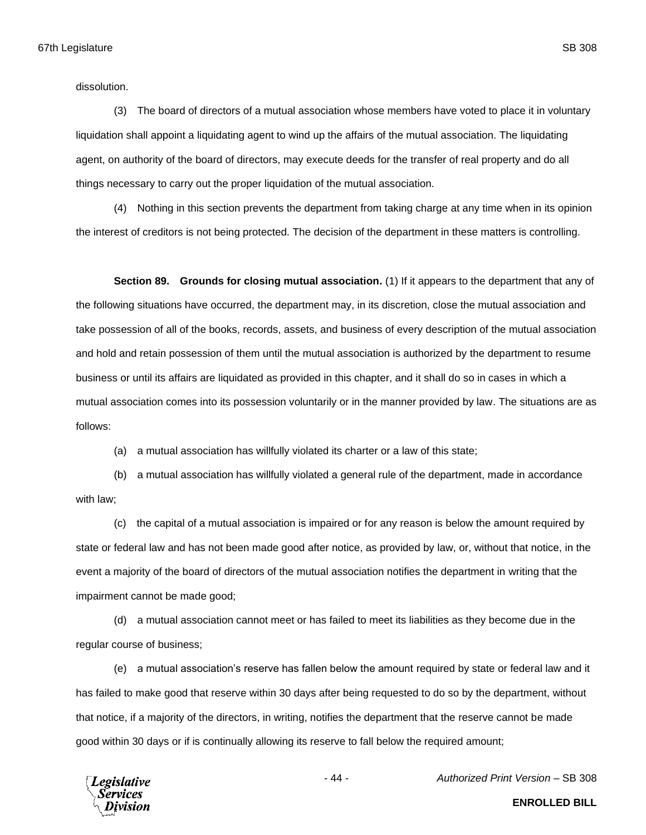dissolution.

(3) The board of directors of a mutual association whose members have voted to place it in voluntary liquidation shall appoint a liquidating agent to wind up the affairs of the mutual association. The liquidating agent, on authority of the board of directors, may execute deeds for the transfer of real property and do all things necessary to carry out the proper liquidation of the mutual association.

(4) Nothing in this section prevents the department from taking charge at any time when in its opinion the interest of creditors is not being protected. The decision of the department in these matters is controlling.

**Section 89. Grounds for closing mutual association.** (1) If it appears to the department that any of the following situations have occurred, the department may, in its discretion, close the mutual association and take possession of all of the books, records, assets, and business of every description of the mutual association and hold and retain possession of them until the mutual association is authorized by the department to resume business or until its affairs are liquidated as provided in this chapter, and it shall do so in cases in which a mutual association comes into its possession voluntarily or in the manner provided by law. The situations are as follows:

(a) a mutual association has willfully violated its charter or a law of this state;

(b) a mutual association has willfully violated a general rule of the department, made in accordance with law;

(c) the capital of a mutual association is impaired or for any reason is below the amount required by state or federal law and has not been made good after notice, as provided by law, or, without that notice, in the event a majority of the board of directors of the mutual association notifies the department in writing that the impairment cannot be made good;

(d) a mutual association cannot meet or has failed to meet its liabilities as they become due in the regular course of business;

(e) a mutual association's reserve has fallen below the amount required by state or federal law and it has failed to make good that reserve within 30 days after being requested to do so by the department, without that notice, if a majority of the directors, in writing, notifies the department that the reserve cannot be made good within 30 days or if is continually allowing its reserve to fall below the required amount;



- 44 - *Authorized Print Version* – SB 308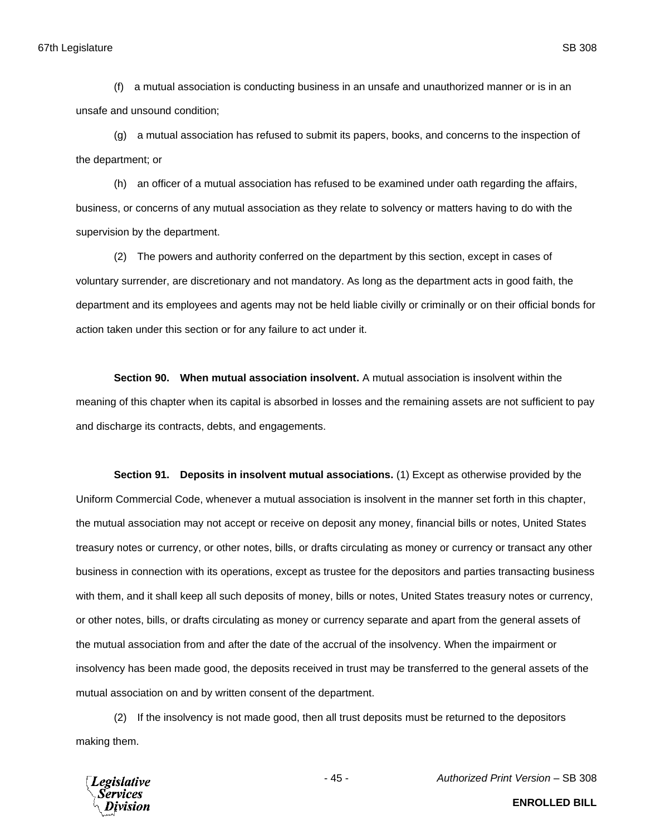(f) a mutual association is conducting business in an unsafe and unauthorized manner or is in an unsafe and unsound condition;

(g) a mutual association has refused to submit its papers, books, and concerns to the inspection of the department; or

(h) an officer of a mutual association has refused to be examined under oath regarding the affairs, business, or concerns of any mutual association as they relate to solvency or matters having to do with the supervision by the department.

(2) The powers and authority conferred on the department by this section, except in cases of voluntary surrender, are discretionary and not mandatory. As long as the department acts in good faith, the department and its employees and agents may not be held liable civilly or criminally or on their official bonds for action taken under this section or for any failure to act under it.

**Section 90. When mutual association insolvent.** A mutual association is insolvent within the meaning of this chapter when its capital is absorbed in losses and the remaining assets are not sufficient to pay and discharge its contracts, debts, and engagements.

**Section 91. Deposits in insolvent mutual associations.** (1) Except as otherwise provided by the Uniform Commercial Code, whenever a mutual association is insolvent in the manner set forth in this chapter, the mutual association may not accept or receive on deposit any money, financial bills or notes, United States treasury notes or currency, or other notes, bills, or drafts circulating as money or currency or transact any other business in connection with its operations, except as trustee for the depositors and parties transacting business with them, and it shall keep all such deposits of money, bills or notes, United States treasury notes or currency, or other notes, bills, or drafts circulating as money or currency separate and apart from the general assets of the mutual association from and after the date of the accrual of the insolvency. When the impairment or insolvency has been made good, the deposits received in trust may be transferred to the general assets of the mutual association on and by written consent of the department.

(2) If the insolvency is not made good, then all trust deposits must be returned to the depositors making them.



**ENROLLED BILL**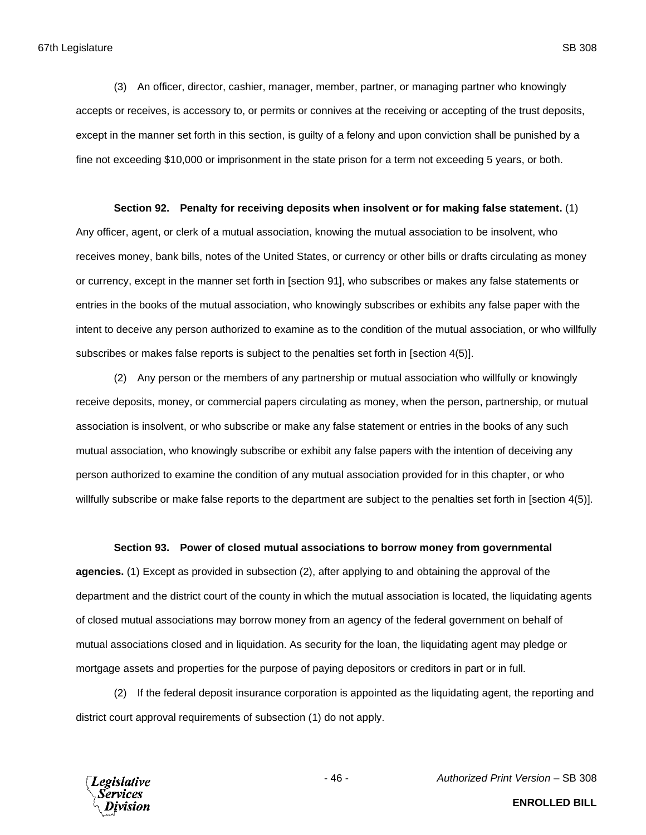(3) An officer, director, cashier, manager, member, partner, or managing partner who knowingly accepts or receives, is accessory to, or permits or connives at the receiving or accepting of the trust deposits, except in the manner set forth in this section, is guilty of a felony and upon conviction shall be punished by a fine not exceeding \$10,000 or imprisonment in the state prison for a term not exceeding 5 years, or both.

#### **Section 92. Penalty for receiving deposits when insolvent or for making false statement.** (1)

Any officer, agent, or clerk of a mutual association, knowing the mutual association to be insolvent, who receives money, bank bills, notes of the United States, or currency or other bills or drafts circulating as money or currency, except in the manner set forth in [section 91], who subscribes or makes any false statements or entries in the books of the mutual association, who knowingly subscribes or exhibits any false paper with the intent to deceive any person authorized to examine as to the condition of the mutual association, or who willfully subscribes or makes false reports is subject to the penalties set forth in [section 4(5)].

(2) Any person or the members of any partnership or mutual association who willfully or knowingly receive deposits, money, or commercial papers circulating as money, when the person, partnership, or mutual association is insolvent, or who subscribe or make any false statement or entries in the books of any such mutual association, who knowingly subscribe or exhibit any false papers with the intention of deceiving any person authorized to examine the condition of any mutual association provided for in this chapter, or who willfully subscribe or make false reports to the department are subject to the penalties set forth in [section 4(5)].

#### **Section 93. Power of closed mutual associations to borrow money from governmental**

**agencies.** (1) Except as provided in subsection (2), after applying to and obtaining the approval of the department and the district court of the county in which the mutual association is located, the liquidating agents of closed mutual associations may borrow money from an agency of the federal government on behalf of mutual associations closed and in liquidation. As security for the loan, the liquidating agent may pledge or mortgage assets and properties for the purpose of paying depositors or creditors in part or in full.

(2) If the federal deposit insurance corporation is appointed as the liquidating agent, the reporting and district court approval requirements of subsection (1) do not apply.



- 46 - *Authorized Print Version* – SB 308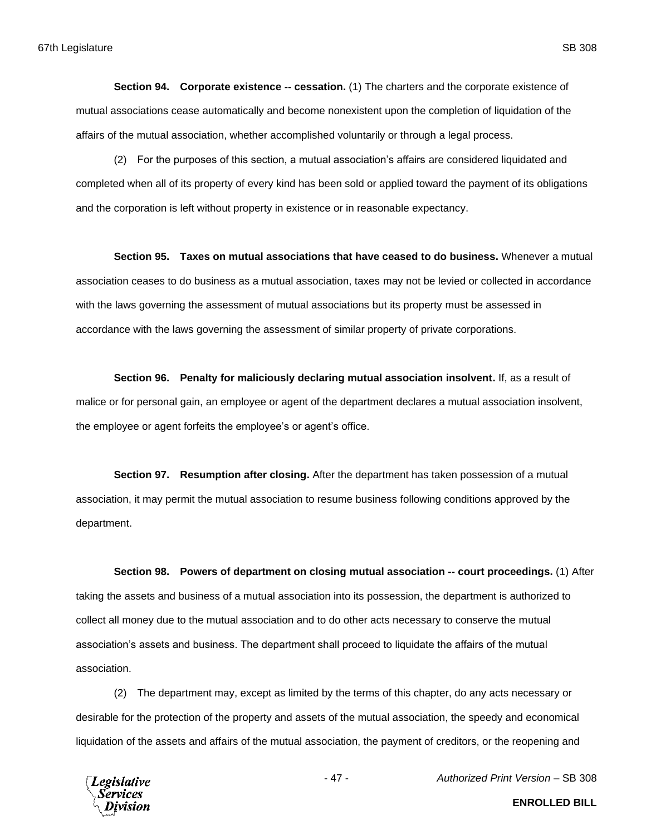**Section 94. Corporate existence -- cessation.** (1) The charters and the corporate existence of mutual associations cease automatically and become nonexistent upon the completion of liquidation of the affairs of the mutual association, whether accomplished voluntarily or through a legal process.

(2) For the purposes of this section, a mutual association's affairs are considered liquidated and completed when all of its property of every kind has been sold or applied toward the payment of its obligations and the corporation is left without property in existence or in reasonable expectancy.

**Section 95. Taxes on mutual associations that have ceased to do business.** Whenever a mutual association ceases to do business as a mutual association, taxes may not be levied or collected in accordance with the laws governing the assessment of mutual associations but its property must be assessed in accordance with the laws governing the assessment of similar property of private corporations.

**Section 96. Penalty for maliciously declaring mutual association insolvent.** If, as a result of malice or for personal gain, an employee or agent of the department declares a mutual association insolvent, the employee or agent forfeits the employee's or agent's office.

**Section 97. Resumption after closing.** After the department has taken possession of a mutual association, it may permit the mutual association to resume business following conditions approved by the department.

**Section 98. Powers of department on closing mutual association -- court proceedings.** (1) After taking the assets and business of a mutual association into its possession, the department is authorized to collect all money due to the mutual association and to do other acts necessary to conserve the mutual association's assets and business. The department shall proceed to liquidate the affairs of the mutual association.

(2) The department may, except as limited by the terms of this chapter, do any acts necessary or desirable for the protection of the property and assets of the mutual association, the speedy and economical liquidation of the assets and affairs of the mutual association, the payment of creditors, or the reopening and



- 47 - *Authorized Print Version* – SB 308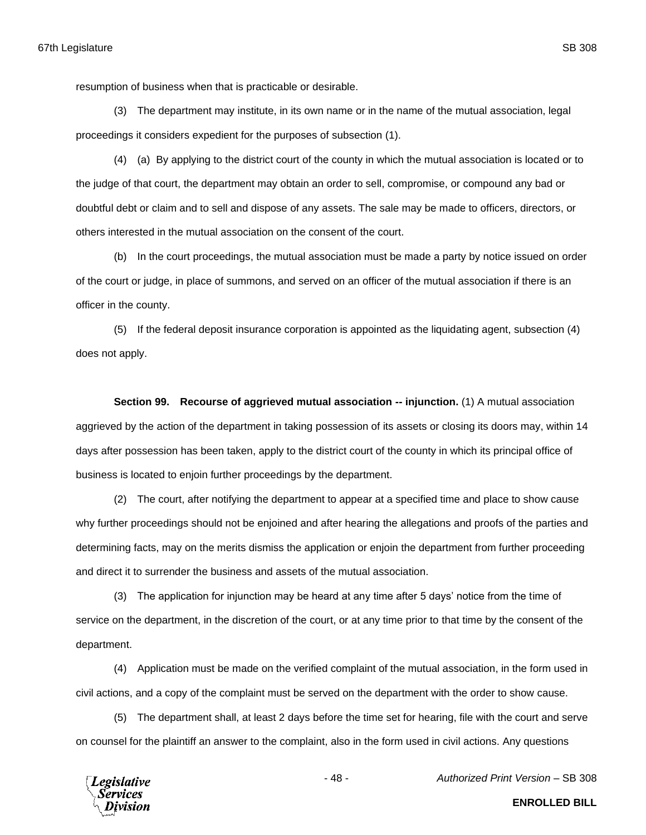resumption of business when that is practicable or desirable.

(3) The department may institute, in its own name or in the name of the mutual association, legal proceedings it considers expedient for the purposes of subsection (1).

(4) (a) By applying to the district court of the county in which the mutual association is located or to the judge of that court, the department may obtain an order to sell, compromise, or compound any bad or doubtful debt or claim and to sell and dispose of any assets. The sale may be made to officers, directors, or others interested in the mutual association on the consent of the court.

(b) In the court proceedings, the mutual association must be made a party by notice issued on order of the court or judge, in place of summons, and served on an officer of the mutual association if there is an officer in the county.

(5) If the federal deposit insurance corporation is appointed as the liquidating agent, subsection (4) does not apply.

**Section 99. Recourse of aggrieved mutual association -- injunction.** (1) A mutual association aggrieved by the action of the department in taking possession of its assets or closing its doors may, within 14 days after possession has been taken, apply to the district court of the county in which its principal office of business is located to enjoin further proceedings by the department.

(2) The court, after notifying the department to appear at a specified time and place to show cause why further proceedings should not be enjoined and after hearing the allegations and proofs of the parties and determining facts, may on the merits dismiss the application or enjoin the department from further proceeding and direct it to surrender the business and assets of the mutual association.

(3) The application for injunction may be heard at any time after 5 days' notice from the time of service on the department, in the discretion of the court, or at any time prior to that time by the consent of the department.

(4) Application must be made on the verified complaint of the mutual association, in the form used in civil actions, and a copy of the complaint must be served on the department with the order to show cause.

(5) The department shall, at least 2 days before the time set for hearing, file with the court and serve on counsel for the plaintiff an answer to the complaint, also in the form used in civil actions. Any questions



- 48 - *Authorized Print Version* – SB 308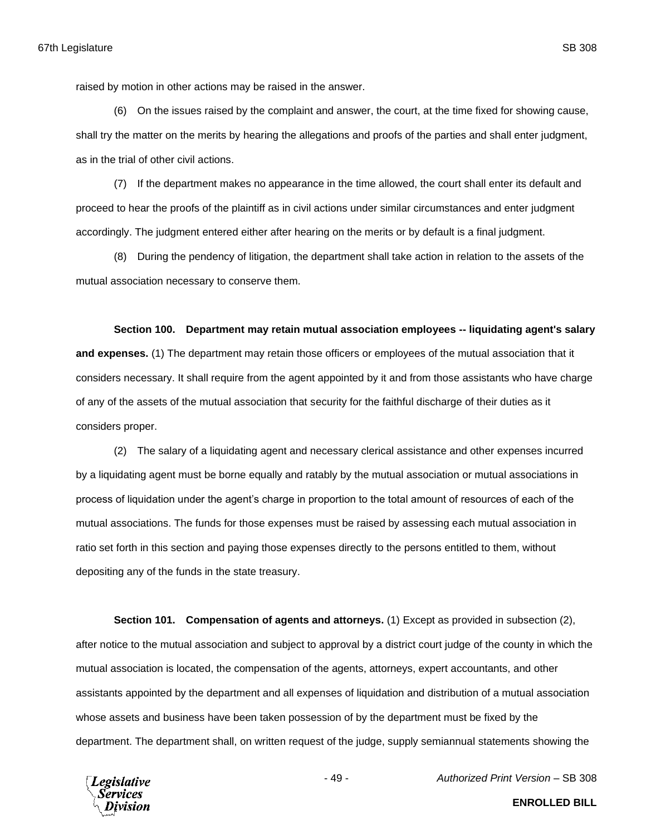raised by motion in other actions may be raised in the answer.

(6) On the issues raised by the complaint and answer, the court, at the time fixed for showing cause, shall try the matter on the merits by hearing the allegations and proofs of the parties and shall enter judgment, as in the trial of other civil actions.

(7) If the department makes no appearance in the time allowed, the court shall enter its default and proceed to hear the proofs of the plaintiff as in civil actions under similar circumstances and enter judgment accordingly. The judgment entered either after hearing on the merits or by default is a final judgment.

(8) During the pendency of litigation, the department shall take action in relation to the assets of the mutual association necessary to conserve them.

## **Section 100. Department may retain mutual association employees -- liquidating agent's salary**

**and expenses.** (1) The department may retain those officers or employees of the mutual association that it considers necessary. It shall require from the agent appointed by it and from those assistants who have charge of any of the assets of the mutual association that security for the faithful discharge of their duties as it considers proper.

(2) The salary of a liquidating agent and necessary clerical assistance and other expenses incurred by a liquidating agent must be borne equally and ratably by the mutual association or mutual associations in process of liquidation under the agent's charge in proportion to the total amount of resources of each of the mutual associations. The funds for those expenses must be raised by assessing each mutual association in ratio set forth in this section and paying those expenses directly to the persons entitled to them, without depositing any of the funds in the state treasury.

**Section 101. Compensation of agents and attorneys.** (1) Except as provided in subsection (2), after notice to the mutual association and subject to approval by a district court judge of the county in which the mutual association is located, the compensation of the agents, attorneys, expert accountants, and other assistants appointed by the department and all expenses of liquidation and distribution of a mutual association whose assets and business have been taken possession of by the department must be fixed by the department. The department shall, on written request of the judge, supply semiannual statements showing the



- 49 - *Authorized Print Version* – SB 308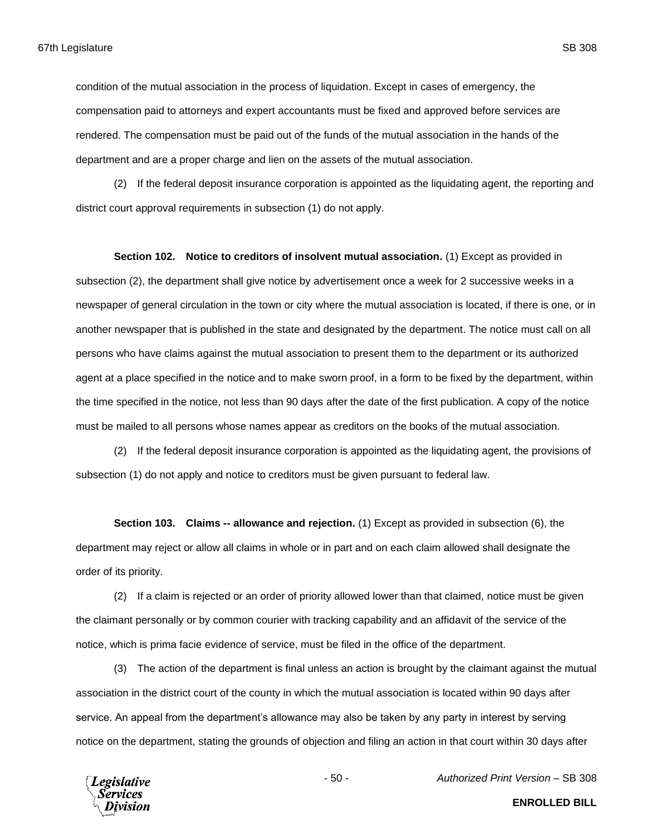condition of the mutual association in the process of liquidation. Except in cases of emergency, the compensation paid to attorneys and expert accountants must be fixed and approved before services are rendered. The compensation must be paid out of the funds of the mutual association in the hands of the department and are a proper charge and lien on the assets of the mutual association.

(2) If the federal deposit insurance corporation is appointed as the liquidating agent, the reporting and district court approval requirements in subsection (1) do not apply.

**Section 102. Notice to creditors of insolvent mutual association.** (1) Except as provided in subsection (2), the department shall give notice by advertisement once a week for 2 successive weeks in a newspaper of general circulation in the town or city where the mutual association is located, if there is one, or in another newspaper that is published in the state and designated by the department. The notice must call on all persons who have claims against the mutual association to present them to the department or its authorized agent at a place specified in the notice and to make sworn proof, in a form to be fixed by the department, within the time specified in the notice, not less than 90 days after the date of the first publication. A copy of the notice must be mailed to all persons whose names appear as creditors on the books of the mutual association.

(2) If the federal deposit insurance corporation is appointed as the liquidating agent, the provisions of subsection (1) do not apply and notice to creditors must be given pursuant to federal law.

**Section 103. Claims -- allowance and rejection.** (1) Except as provided in subsection (6), the department may reject or allow all claims in whole or in part and on each claim allowed shall designate the order of its priority.

(2) If a claim is rejected or an order of priority allowed lower than that claimed, notice must be given the claimant personally or by common courier with tracking capability and an affidavit of the service of the notice, which is prima facie evidence of service, must be filed in the office of the department.

(3) The action of the department is final unless an action is brought by the claimant against the mutual association in the district court of the county in which the mutual association is located within 90 days after service. An appeal from the department's allowance may also be taken by any party in interest by serving notice on the department, stating the grounds of objection and filing an action in that court within 30 days after

**Legislative** 'ervices

- 50 - *Authorized Print Version* – SB 308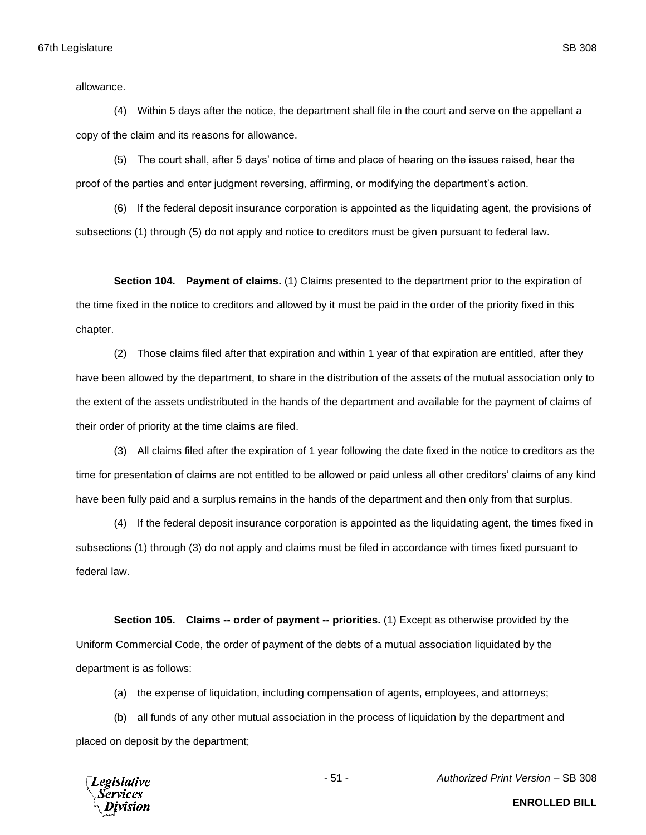allowance.

(4) Within 5 days after the notice, the department shall file in the court and serve on the appellant a copy of the claim and its reasons for allowance.

(5) The court shall, after 5 days' notice of time and place of hearing on the issues raised, hear the proof of the parties and enter judgment reversing, affirming, or modifying the department's action.

(6) If the federal deposit insurance corporation is appointed as the liquidating agent, the provisions of subsections (1) through (5) do not apply and notice to creditors must be given pursuant to federal law.

**Section 104. Payment of claims.** (1) Claims presented to the department prior to the expiration of the time fixed in the notice to creditors and allowed by it must be paid in the order of the priority fixed in this chapter.

(2) Those claims filed after that expiration and within 1 year of that expiration are entitled, after they have been allowed by the department, to share in the distribution of the assets of the mutual association only to the extent of the assets undistributed in the hands of the department and available for the payment of claims of their order of priority at the time claims are filed.

(3) All claims filed after the expiration of 1 year following the date fixed in the notice to creditors as the time for presentation of claims are not entitled to be allowed or paid unless all other creditors' claims of any kind have been fully paid and a surplus remains in the hands of the department and then only from that surplus.

(4) If the federal deposit insurance corporation is appointed as the liquidating agent, the times fixed in subsections (1) through (3) do not apply and claims must be filed in accordance with times fixed pursuant to federal law.

**Section 105. Claims -- order of payment -- priorities.** (1) Except as otherwise provided by the Uniform Commercial Code, the order of payment of the debts of a mutual association liquidated by the department is as follows:

(a) the expense of liquidation, including compensation of agents, employees, and attorneys;

(b) all funds of any other mutual association in the process of liquidation by the department and placed on deposit by the department;



- 51 - *Authorized Print Version* – SB 308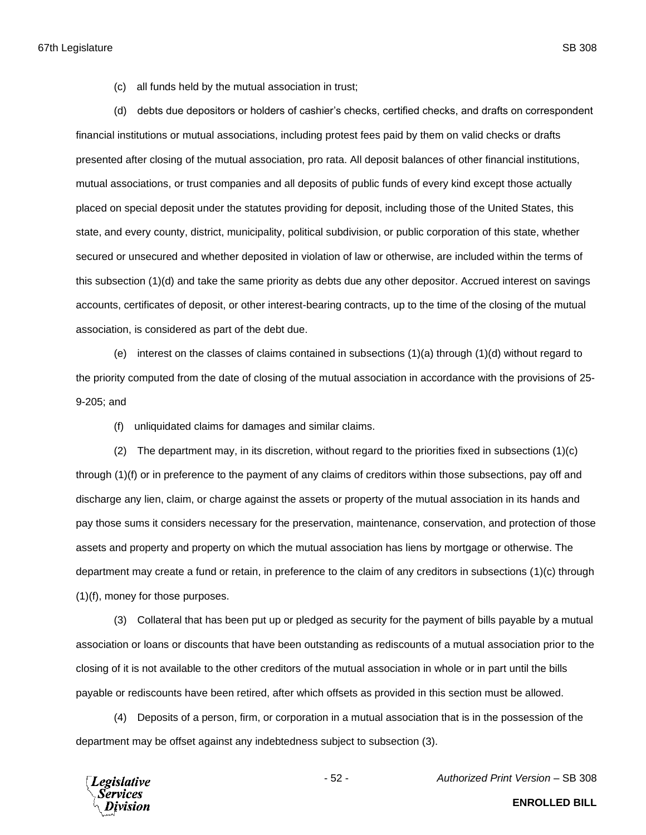(c) all funds held by the mutual association in trust;

(d) debts due depositors or holders of cashier's checks, certified checks, and drafts on correspondent financial institutions or mutual associations, including protest fees paid by them on valid checks or drafts presented after closing of the mutual association, pro rata. All deposit balances of other financial institutions, mutual associations, or trust companies and all deposits of public funds of every kind except those actually placed on special deposit under the statutes providing for deposit, including those of the United States, this state, and every county, district, municipality, political subdivision, or public corporation of this state, whether secured or unsecured and whether deposited in violation of law or otherwise, are included within the terms of this subsection (1)(d) and take the same priority as debts due any other depositor. Accrued interest on savings accounts, certificates of deposit, or other interest-bearing contracts, up to the time of the closing of the mutual association, is considered as part of the debt due.

(e) interest on the classes of claims contained in subsections (1)(a) through (1)(d) without regard to the priority computed from the date of closing of the mutual association in accordance with the provisions of 25- 9-205; and

(f) unliquidated claims for damages and similar claims.

(2) The department may, in its discretion, without regard to the priorities fixed in subsections (1)(c) through (1)(f) or in preference to the payment of any claims of creditors within those subsections, pay off and discharge any lien, claim, or charge against the assets or property of the mutual association in its hands and pay those sums it considers necessary for the preservation, maintenance, conservation, and protection of those assets and property and property on which the mutual association has liens by mortgage or otherwise. The department may create a fund or retain, in preference to the claim of any creditors in subsections (1)(c) through (1)(f), money for those purposes.

(3) Collateral that has been put up or pledged as security for the payment of bills payable by a mutual association or loans or discounts that have been outstanding as rediscounts of a mutual association prior to the closing of it is not available to the other creditors of the mutual association in whole or in part until the bills payable or rediscounts have been retired, after which offsets as provided in this section must be allowed.

(4) Deposits of a person, firm, or corporation in a mutual association that is in the possession of the department may be offset against any indebtedness subject to subsection (3).

**Legislative** `ervices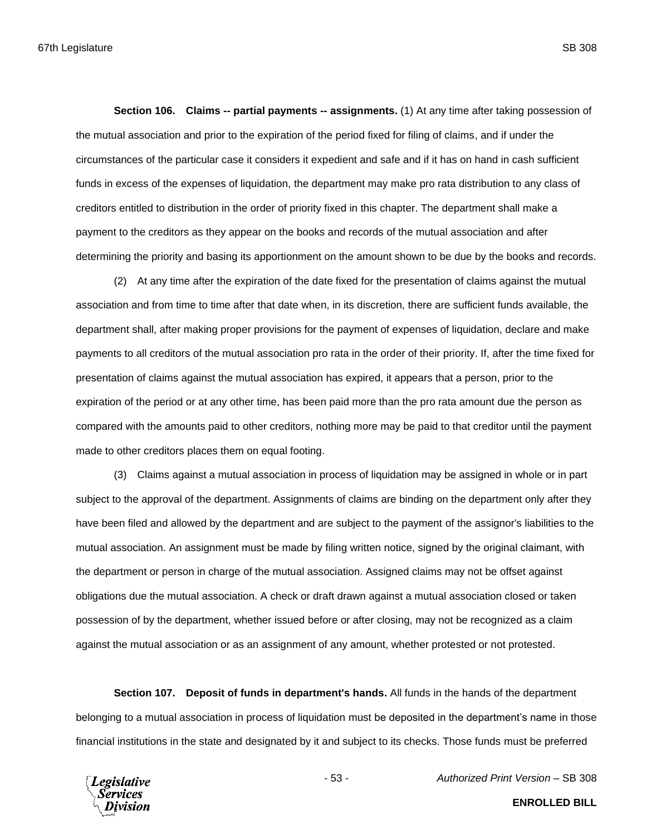**Section 106. Claims -- partial payments -- assignments.** (1) At any time after taking possession of the mutual association and prior to the expiration of the period fixed for filing of claims, and if under the circumstances of the particular case it considers it expedient and safe and if it has on hand in cash sufficient funds in excess of the expenses of liquidation, the department may make pro rata distribution to any class of creditors entitled to distribution in the order of priority fixed in this chapter. The department shall make a payment to the creditors as they appear on the books and records of the mutual association and after determining the priority and basing its apportionment on the amount shown to be due by the books and records.

(2) At any time after the expiration of the date fixed for the presentation of claims against the mutual association and from time to time after that date when, in its discretion, there are sufficient funds available, the department shall, after making proper provisions for the payment of expenses of liquidation, declare and make payments to all creditors of the mutual association pro rata in the order of their priority. If, after the time fixed for presentation of claims against the mutual association has expired, it appears that a person, prior to the expiration of the period or at any other time, has been paid more than the pro rata amount due the person as compared with the amounts paid to other creditors, nothing more may be paid to that creditor until the payment made to other creditors places them on equal footing.

(3) Claims against a mutual association in process of liquidation may be assigned in whole or in part subject to the approval of the department. Assignments of claims are binding on the department only after they have been filed and allowed by the department and are subject to the payment of the assignor's liabilities to the mutual association. An assignment must be made by filing written notice, signed by the original claimant, with the department or person in charge of the mutual association. Assigned claims may not be offset against obligations due the mutual association. A check or draft drawn against a mutual association closed or taken possession of by the department, whether issued before or after closing, may not be recognized as a claim against the mutual association or as an assignment of any amount, whether protested or not protested.

**Section 107. Deposit of funds in department's hands.** All funds in the hands of the department belonging to a mutual association in process of liquidation must be deposited in the department's name in those financial institutions in the state and designated by it and subject to its checks. Those funds must be preferred



- 53 - *Authorized Print Version* – SB 308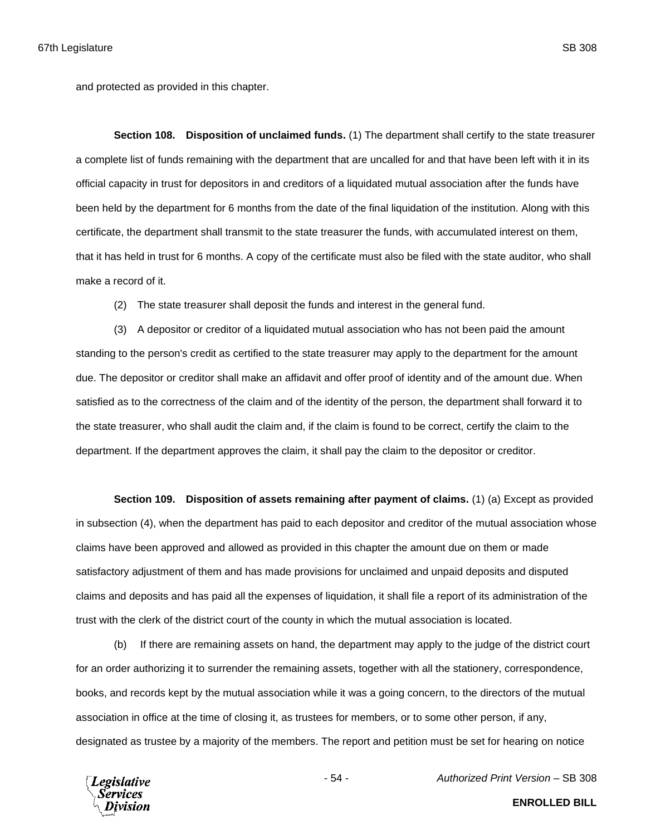and protected as provided in this chapter.

**Section 108. Disposition of unclaimed funds.** (1) The department shall certify to the state treasurer a complete list of funds remaining with the department that are uncalled for and that have been left with it in its official capacity in trust for depositors in and creditors of a liquidated mutual association after the funds have been held by the department for 6 months from the date of the final liquidation of the institution. Along with this certificate, the department shall transmit to the state treasurer the funds, with accumulated interest on them, that it has held in trust for 6 months. A copy of the certificate must also be filed with the state auditor, who shall make a record of it.

(2) The state treasurer shall deposit the funds and interest in the general fund.

(3) A depositor or creditor of a liquidated mutual association who has not been paid the amount standing to the person's credit as certified to the state treasurer may apply to the department for the amount due. The depositor or creditor shall make an affidavit and offer proof of identity and of the amount due. When satisfied as to the correctness of the claim and of the identity of the person, the department shall forward it to the state treasurer, who shall audit the claim and, if the claim is found to be correct, certify the claim to the department. If the department approves the claim, it shall pay the claim to the depositor or creditor.

**Section 109. Disposition of assets remaining after payment of claims.** (1) (a) Except as provided in subsection (4), when the department has paid to each depositor and creditor of the mutual association whose claims have been approved and allowed as provided in this chapter the amount due on them or made satisfactory adjustment of them and has made provisions for unclaimed and unpaid deposits and disputed claims and deposits and has paid all the expenses of liquidation, it shall file a report of its administration of the trust with the clerk of the district court of the county in which the mutual association is located.

(b) If there are remaining assets on hand, the department may apply to the judge of the district court for an order authorizing it to surrender the remaining assets, together with all the stationery, correspondence, books, and records kept by the mutual association while it was a going concern, to the directors of the mutual association in office at the time of closing it, as trustees for members, or to some other person, if any, designated as trustee by a majority of the members. The report and petition must be set for hearing on notice



- 54 - *Authorized Print Version* – SB 308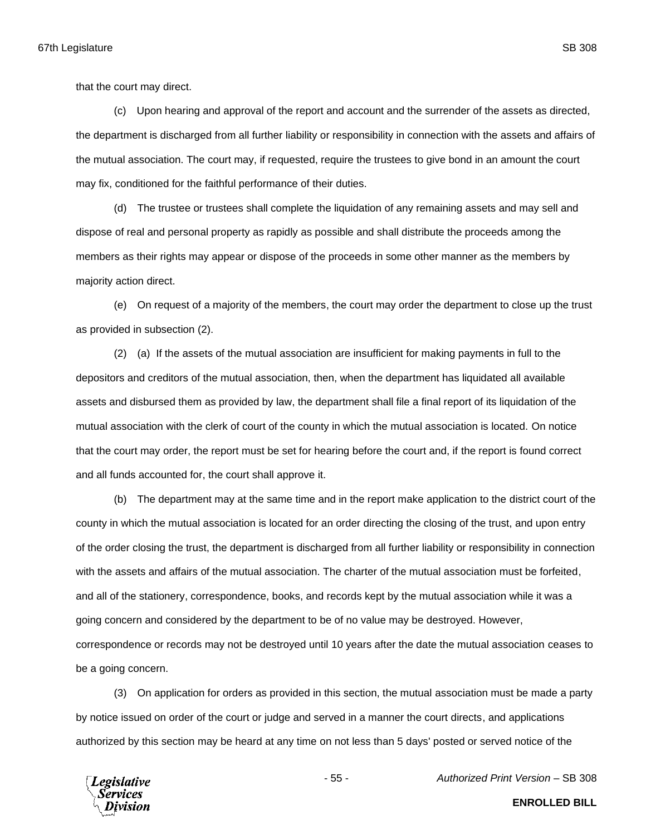that the court may direct.

(c) Upon hearing and approval of the report and account and the surrender of the assets as directed, the department is discharged from all further liability or responsibility in connection with the assets and affairs of the mutual association. The court may, if requested, require the trustees to give bond in an amount the court may fix, conditioned for the faithful performance of their duties.

(d) The trustee or trustees shall complete the liquidation of any remaining assets and may sell and dispose of real and personal property as rapidly as possible and shall distribute the proceeds among the members as their rights may appear or dispose of the proceeds in some other manner as the members by majority action direct.

(e) On request of a majority of the members, the court may order the department to close up the trust as provided in subsection (2).

(2) (a) If the assets of the mutual association are insufficient for making payments in full to the depositors and creditors of the mutual association, then, when the department has liquidated all available assets and disbursed them as provided by law, the department shall file a final report of its liquidation of the mutual association with the clerk of court of the county in which the mutual association is located. On notice that the court may order, the report must be set for hearing before the court and, if the report is found correct and all funds accounted for, the court shall approve it.

(b) The department may at the same time and in the report make application to the district court of the county in which the mutual association is located for an order directing the closing of the trust, and upon entry of the order closing the trust, the department is discharged from all further liability or responsibility in connection with the assets and affairs of the mutual association. The charter of the mutual association must be forfeited, and all of the stationery, correspondence, books, and records kept by the mutual association while it was a going concern and considered by the department to be of no value may be destroyed. However, correspondence or records may not be destroyed until 10 years after the date the mutual association ceases to be a going concern.

(3) On application for orders as provided in this section, the mutual association must be made a party by notice issued on order of the court or judge and served in a manner the court directs, and applications authorized by this section may be heard at any time on not less than 5 days' posted or served notice of the



- 55 - *Authorized Print Version* – SB 308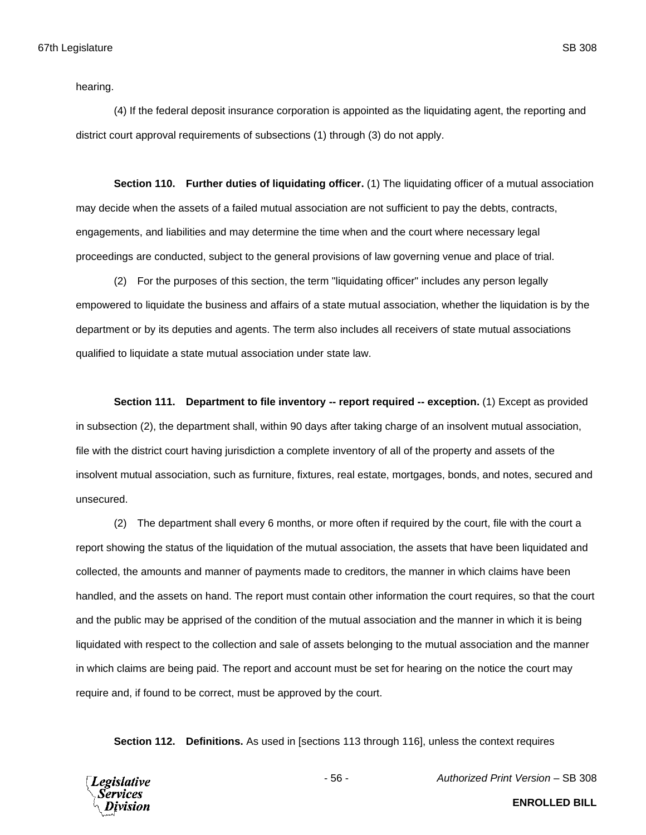hearing.

(4) If the federal deposit insurance corporation is appointed as the liquidating agent, the reporting and district court approval requirements of subsections (1) through (3) do not apply.

**Section 110. Further duties of liquidating officer.** (1) The liquidating officer of a mutual association may decide when the assets of a failed mutual association are not sufficient to pay the debts, contracts, engagements, and liabilities and may determine the time when and the court where necessary legal proceedings are conducted, subject to the general provisions of law governing venue and place of trial.

(2) For the purposes of this section, the term "liquidating officer" includes any person legally empowered to liquidate the business and affairs of a state mutual association, whether the liquidation is by the department or by its deputies and agents. The term also includes all receivers of state mutual associations qualified to liquidate a state mutual association under state law.

**Section 111. Department to file inventory -- report required -- exception.** (1) Except as provided in subsection (2), the department shall, within 90 days after taking charge of an insolvent mutual association, file with the district court having jurisdiction a complete inventory of all of the property and assets of the insolvent mutual association, such as furniture, fixtures, real estate, mortgages, bonds, and notes, secured and unsecured.

(2) The department shall every 6 months, or more often if required by the court, file with the court a report showing the status of the liquidation of the mutual association, the assets that have been liquidated and collected, the amounts and manner of payments made to creditors, the manner in which claims have been handled, and the assets on hand. The report must contain other information the court requires, so that the court and the public may be apprised of the condition of the mutual association and the manner in which it is being liquidated with respect to the collection and sale of assets belonging to the mutual association and the manner in which claims are being paid. The report and account must be set for hearing on the notice the court may require and, if found to be correct, must be approved by the court.

**Section 112. Definitions.** As used in [sections 113 through 116], unless the context requires

**Legislative** Services

- 56 - *Authorized Print Version* – SB 308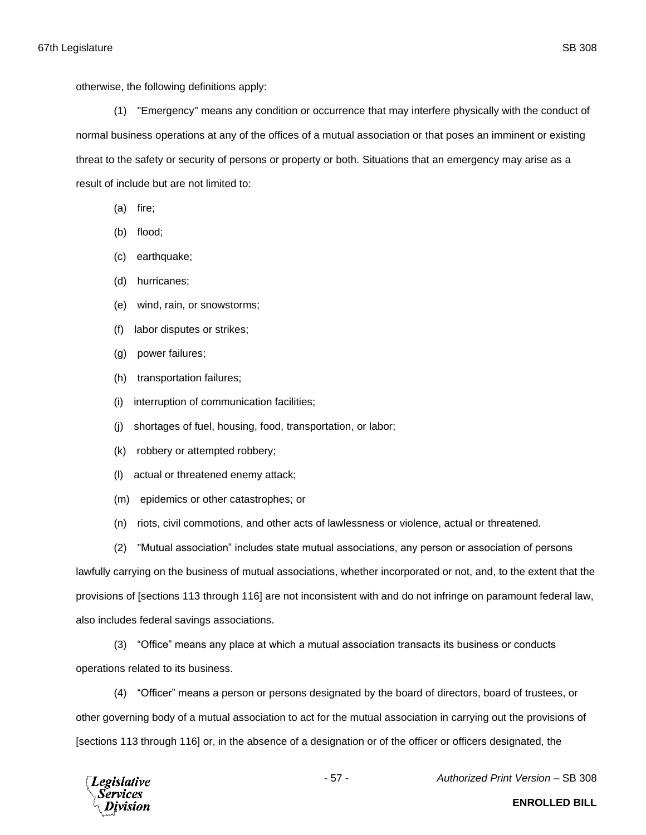otherwise, the following definitions apply:

(1) "Emergency" means any condition or occurrence that may interfere physically with the conduct of normal business operations at any of the offices of a mutual association or that poses an imminent or existing threat to the safety or security of persons or property or both. Situations that an emergency may arise as a result of include but are not limited to:

- (a) fire;
- (b) flood;
- (c) earthquake;
- (d) hurricanes;
- (e) wind, rain, or snowstorms;
- (f) labor disputes or strikes;
- (g) power failures;
- (h) transportation failures;
- (i) interruption of communication facilities;
- (j) shortages of fuel, housing, food, transportation, or labor;
- (k) robbery or attempted robbery;
- (l) actual or threatened enemy attack;
- (m) epidemics or other catastrophes; or
- (n) riots, civil commotions, and other acts of lawlessness or violence, actual or threatened.
- (2) "Mutual association" includes state mutual associations, any person or association of persons

lawfully carrying on the business of mutual associations, whether incorporated or not, and, to the extent that the provisions of [sections 113 through 116] are not inconsistent with and do not infringe on paramount federal law, also includes federal savings associations.

(3) "Office" means any place at which a mutual association transacts its business or conducts operations related to its business.

(4) "Officer" means a person or persons designated by the board of directors, board of trustees, or other governing body of a mutual association to act for the mutual association in carrying out the provisions of [sections 113 through 116] or, in the absence of a designation or of the officer or officers designated, the



- 57 - *Authorized Print Version* – SB 308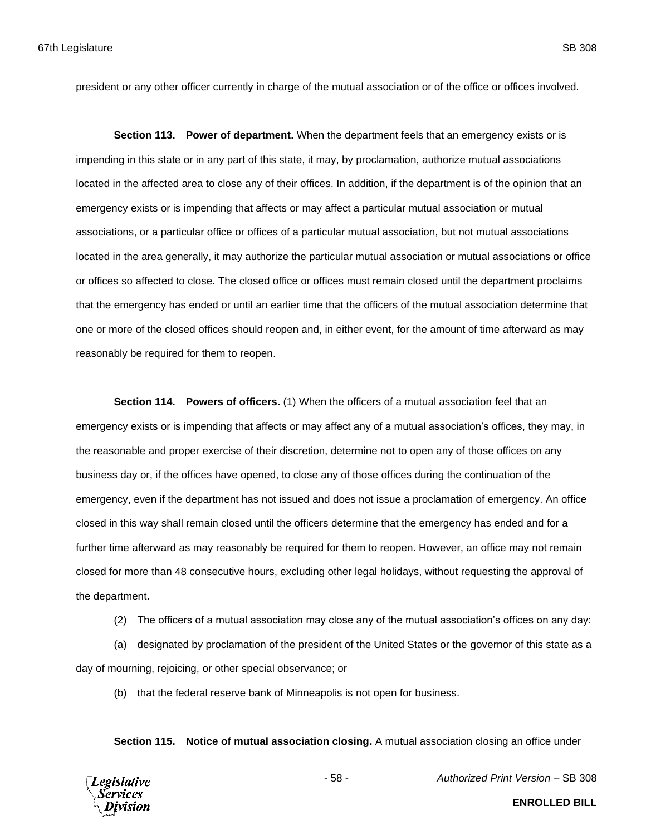president or any other officer currently in charge of the mutual association or of the office or offices involved.

**Section 113. Power of department.** When the department feels that an emergency exists or is impending in this state or in any part of this state, it may, by proclamation, authorize mutual associations located in the affected area to close any of their offices. In addition, if the department is of the opinion that an emergency exists or is impending that affects or may affect a particular mutual association or mutual associations, or a particular office or offices of a particular mutual association, but not mutual associations located in the area generally, it may authorize the particular mutual association or mutual associations or office or offices so affected to close. The closed office or offices must remain closed until the department proclaims that the emergency has ended or until an earlier time that the officers of the mutual association determine that one or more of the closed offices should reopen and, in either event, for the amount of time afterward as may reasonably be required for them to reopen.

**Section 114. Powers of officers.** (1) When the officers of a mutual association feel that an emergency exists or is impending that affects or may affect any of a mutual association's offices, they may, in the reasonable and proper exercise of their discretion, determine not to open any of those offices on any business day or, if the offices have opened, to close any of those offices during the continuation of the emergency, even if the department has not issued and does not issue a proclamation of emergency. An office closed in this way shall remain closed until the officers determine that the emergency has ended and for a further time afterward as may reasonably be required for them to reopen. However, an office may not remain closed for more than 48 consecutive hours, excluding other legal holidays, without requesting the approval of the department.

(2) The officers of a mutual association may close any of the mutual association's offices on any day:

(a) designated by proclamation of the president of the United States or the governor of this state as a day of mourning, rejoicing, or other special observance; or

(b) that the federal reserve bank of Minneapolis is not open for business.

**Section 115. Notice of mutual association closing.** A mutual association closing an office under



- 58 - *Authorized Print Version* – SB 308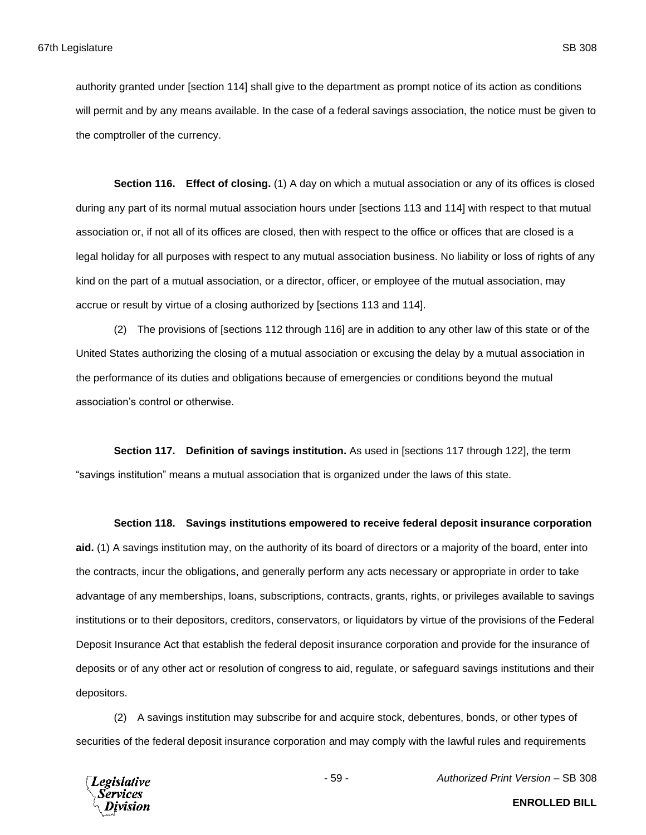authority granted under [section 114] shall give to the department as prompt notice of its action as conditions will permit and by any means available. In the case of a federal savings association, the notice must be given to the comptroller of the currency.

**Section 116. Effect of closing.** (1) A day on which a mutual association or any of its offices is closed during any part of its normal mutual association hours under [sections 113 and 114] with respect to that mutual association or, if not all of its offices are closed, then with respect to the office or offices that are closed is a legal holiday for all purposes with respect to any mutual association business. No liability or loss of rights of any kind on the part of a mutual association, or a director, officer, or employee of the mutual association, may accrue or result by virtue of a closing authorized by [sections 113 and 114].

(2) The provisions of [sections 112 through 116] are in addition to any other law of this state or of the United States authorizing the closing of a mutual association or excusing the delay by a mutual association in the performance of its duties and obligations because of emergencies or conditions beyond the mutual association's control or otherwise.

**Section 117. Definition of savings institution.** As used in [sections 117 through 122], the term "savings institution" means a mutual association that is organized under the laws of this state.

#### **Section 118. Savings institutions empowered to receive federal deposit insurance corporation**

**aid.** (1) A savings institution may, on the authority of its board of directors or a majority of the board, enter into the contracts, incur the obligations, and generally perform any acts necessary or appropriate in order to take advantage of any memberships, loans, subscriptions, contracts, grants, rights, or privileges available to savings institutions or to their depositors, creditors, conservators, or liquidators by virtue of the provisions of the Federal Deposit Insurance Act that establish the federal deposit insurance corporation and provide for the insurance of deposits or of any other act or resolution of congress to aid, regulate, or safeguard savings institutions and their depositors.

(2) A savings institution may subscribe for and acquire stock, debentures, bonds, or other types of securities of the federal deposit insurance corporation and may comply with the lawful rules and requirements



- 59 - *Authorized Print Version* – SB 308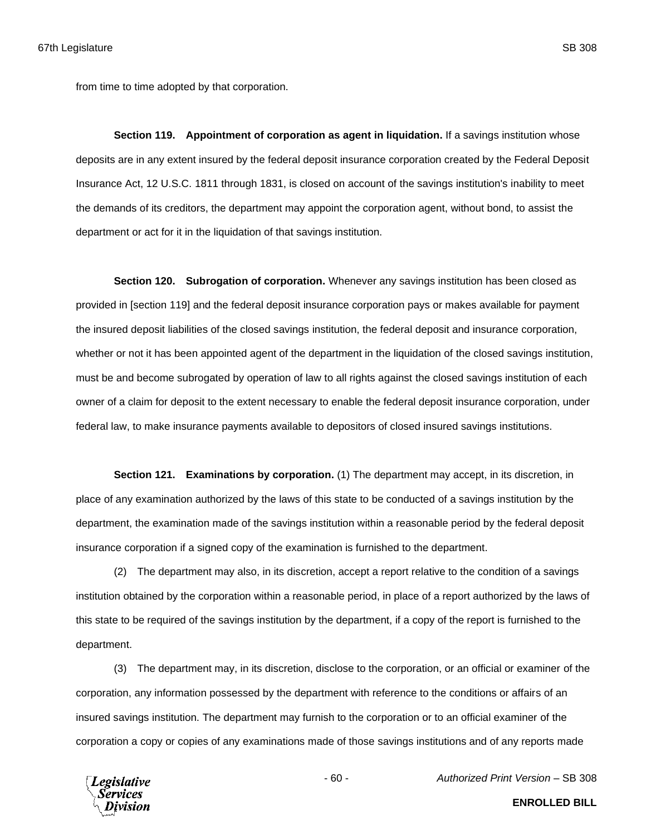from time to time adopted by that corporation.

**Section 119. Appointment of corporation as agent in liquidation.** If a savings institution whose deposits are in any extent insured by the federal deposit insurance corporation created by the Federal Deposit Insurance Act, 12 U.S.C. 1811 through 1831, is closed on account of the savings institution's inability to meet the demands of its creditors, the department may appoint the corporation agent, without bond, to assist the department or act for it in the liquidation of that savings institution.

**Section 120. Subrogation of corporation.** Whenever any savings institution has been closed as provided in [section 119] and the federal deposit insurance corporation pays or makes available for payment the insured deposit liabilities of the closed savings institution, the federal deposit and insurance corporation, whether or not it has been appointed agent of the department in the liquidation of the closed savings institution, must be and become subrogated by operation of law to all rights against the closed savings institution of each owner of a claim for deposit to the extent necessary to enable the federal deposit insurance corporation, under federal law, to make insurance payments available to depositors of closed insured savings institutions.

**Section 121. Examinations by corporation.** (1) The department may accept, in its discretion, in place of any examination authorized by the laws of this state to be conducted of a savings institution by the department, the examination made of the savings institution within a reasonable period by the federal deposit insurance corporation if a signed copy of the examination is furnished to the department.

(2) The department may also, in its discretion, accept a report relative to the condition of a savings institution obtained by the corporation within a reasonable period, in place of a report authorized by the laws of this state to be required of the savings institution by the department, if a copy of the report is furnished to the department.

(3) The department may, in its discretion, disclose to the corporation, or an official or examiner of the corporation, any information possessed by the department with reference to the conditions or affairs of an insured savings institution. The department may furnish to the corporation or to an official examiner of the corporation a copy or copies of any examinations made of those savings institutions and of any reports made

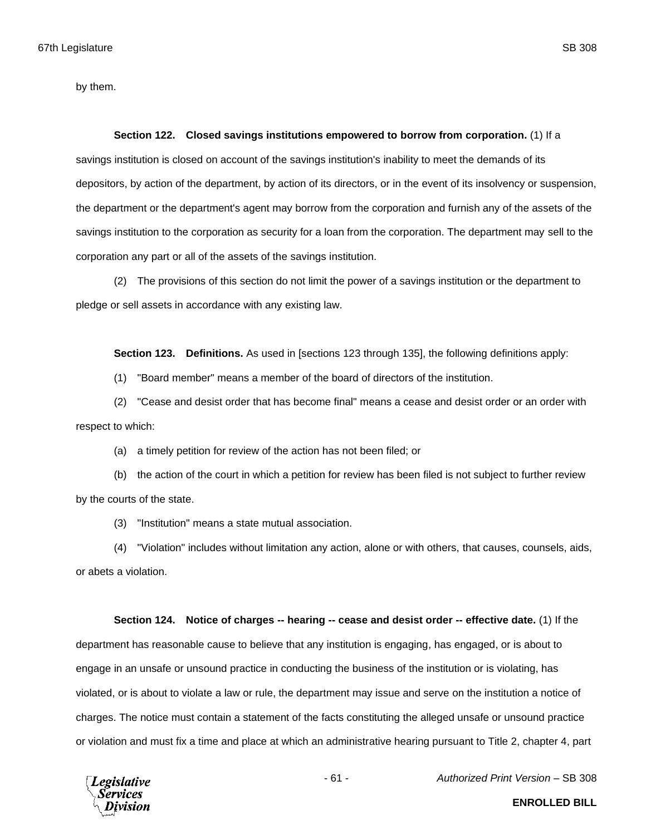by them.

#### **Section 122. Closed savings institutions empowered to borrow from corporation.** (1) If a

savings institution is closed on account of the savings institution's inability to meet the demands of its depositors, by action of the department, by action of its directors, or in the event of its insolvency or suspension, the department or the department's agent may borrow from the corporation and furnish any of the assets of the savings institution to the corporation as security for a loan from the corporation. The department may sell to the corporation any part or all of the assets of the savings institution.

(2) The provisions of this section do not limit the power of a savings institution or the department to pledge or sell assets in accordance with any existing law.

**Section 123. Definitions.** As used in [sections 123 through 135], the following definitions apply:

(1) "Board member" means a member of the board of directors of the institution.

(2) "Cease and desist order that has become final" means a cease and desist order or an order with respect to which:

(a) a timely petition for review of the action has not been filed; or

(b) the action of the court in which a petition for review has been filed is not subject to further review by the courts of the state.

(3) "Institution" means a state mutual association.

(4) "Violation" includes without limitation any action, alone or with others, that causes, counsels, aids, or abets a violation.

### **Section 124. Notice of charges -- hearing -- cease and desist order -- effective date.** (1) If the

department has reasonable cause to believe that any institution is engaging, has engaged, or is about to engage in an unsafe or unsound practice in conducting the business of the institution or is violating, has violated, or is about to violate a law or rule, the department may issue and serve on the institution a notice of charges. The notice must contain a statement of the facts constituting the alleged unsafe or unsound practice or violation and must fix a time and place at which an administrative hearing pursuant to Title 2, chapter 4, part

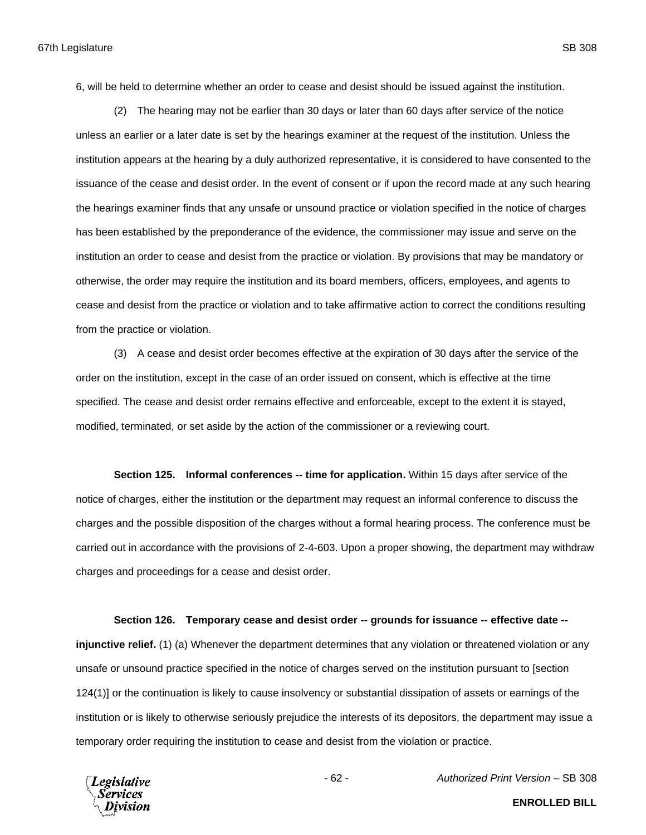6, will be held to determine whether an order to cease and desist should be issued against the institution.

(2) The hearing may not be earlier than 30 days or later than 60 days after service of the notice unless an earlier or a later date is set by the hearings examiner at the request of the institution. Unless the institution appears at the hearing by a duly authorized representative, it is considered to have consented to the issuance of the cease and desist order. In the event of consent or if upon the record made at any such hearing the hearings examiner finds that any unsafe or unsound practice or violation specified in the notice of charges has been established by the preponderance of the evidence, the commissioner may issue and serve on the institution an order to cease and desist from the practice or violation. By provisions that may be mandatory or otherwise, the order may require the institution and its board members, officers, employees, and agents to cease and desist from the practice or violation and to take affirmative action to correct the conditions resulting from the practice or violation.

(3) A cease and desist order becomes effective at the expiration of 30 days after the service of the order on the institution, except in the case of an order issued on consent, which is effective at the time specified. The cease and desist order remains effective and enforceable, except to the extent it is stayed, modified, terminated, or set aside by the action of the commissioner or a reviewing court.

**Section 125. Informal conferences -- time for application.** Within 15 days after service of the notice of charges, either the institution or the department may request an informal conference to discuss the charges and the possible disposition of the charges without a formal hearing process. The conference must be carried out in accordance with the provisions of 2-4-603. Upon a proper showing, the department may withdraw charges and proceedings for a cease and desist order.

**Section 126. Temporary cease and desist order -- grounds for issuance -- effective date --**

**injunctive relief.** (1) (a) Whenever the department determines that any violation or threatened violation or any unsafe or unsound practice specified in the notice of charges served on the institution pursuant to [section 124(1)] or the continuation is likely to cause insolvency or substantial dissipation of assets or earnings of the institution or is likely to otherwise seriously prejudice the interests of its depositors, the department may issue a temporary order requiring the institution to cease and desist from the violation or practice.



- 62 - *Authorized Print Version* – SB 308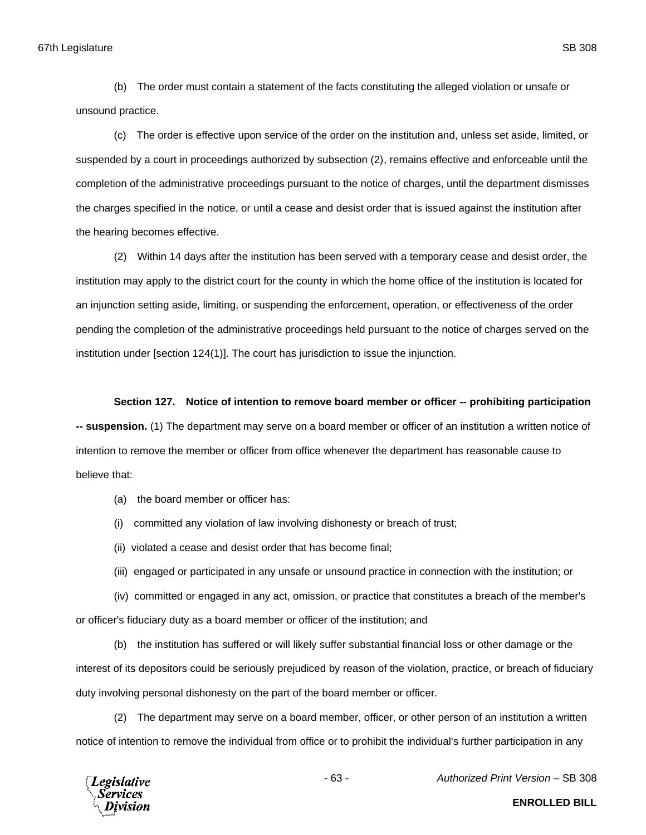(b) The order must contain a statement of the facts constituting the alleged violation or unsafe or unsound practice.

(c) The order is effective upon service of the order on the institution and, unless set aside, limited, or suspended by a court in proceedings authorized by subsection (2), remains effective and enforceable until the completion of the administrative proceedings pursuant to the notice of charges, until the department dismisses the charges specified in the notice, or until a cease and desist order that is issued against the institution after the hearing becomes effective.

(2) Within 14 days after the institution has been served with a temporary cease and desist order, the institution may apply to the district court for the county in which the home office of the institution is located for an injunction setting aside, limiting, or suspending the enforcement, operation, or effectiveness of the order pending the completion of the administrative proceedings held pursuant to the notice of charges served on the institution under [section 124(1)]. The court has jurisdiction to issue the injunction.

## **Section 127. Notice of intention to remove board member or officer -- prohibiting participation**

**-- suspension.** (1) The department may serve on a board member or officer of an institution a written notice of intention to remove the member or officer from office whenever the department has reasonable cause to believe that:

- (a) the board member or officer has:
- (i) committed any violation of law involving dishonesty or breach of trust;
- (ii) violated a cease and desist order that has become final;
- (iii) engaged or participated in any unsafe or unsound practice in connection with the institution; or
- (iv) committed or engaged in any act, omission, or practice that constitutes a breach of the member's

or officer's fiduciary duty as a board member or officer of the institution; and

(b) the institution has suffered or will likely suffer substantial financial loss or other damage or the interest of its depositors could be seriously prejudiced by reason of the violation, practice, or breach of fiduciary duty involving personal dishonesty on the part of the board member or officer.

(2) The department may serve on a board member, officer, or other person of an institution a written notice of intention to remove the individual from office or to prohibit the individual's further participation in any



- 63 - *Authorized Print Version* – SB 308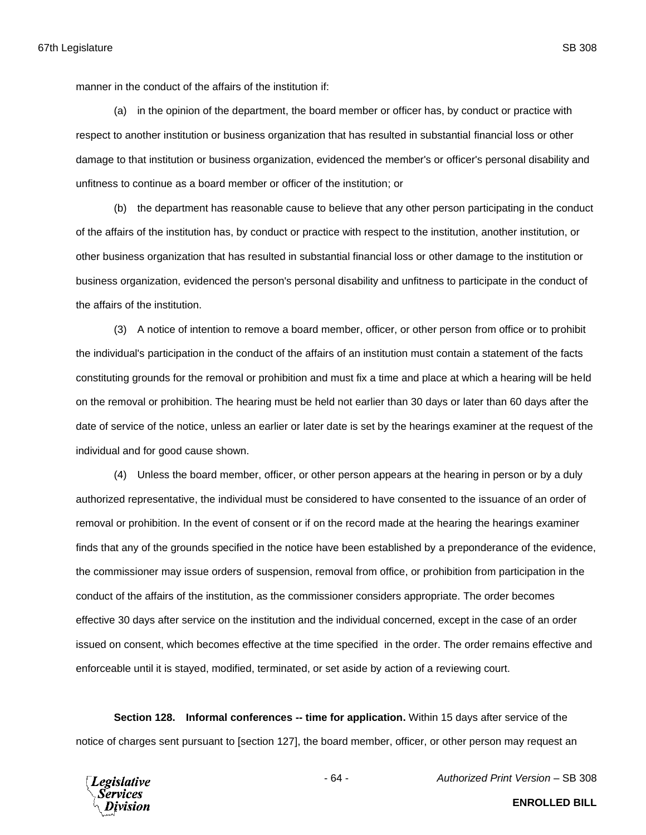manner in the conduct of the affairs of the institution if:

(a) in the opinion of the department, the board member or officer has, by conduct or practice with respect to another institution or business organization that has resulted in substantial financial loss or other damage to that institution or business organization, evidenced the member's or officer's personal disability and unfitness to continue as a board member or officer of the institution; or

(b) the department has reasonable cause to believe that any other person participating in the conduct of the affairs of the institution has, by conduct or practice with respect to the institution, another institution, or other business organization that has resulted in substantial financial loss or other damage to the institution or business organization, evidenced the person's personal disability and unfitness to participate in the conduct of the affairs of the institution.

(3) A notice of intention to remove a board member, officer, or other person from office or to prohibit the individual's participation in the conduct of the affairs of an institution must contain a statement of the facts constituting grounds for the removal or prohibition and must fix a time and place at which a hearing will be held on the removal or prohibition. The hearing must be held not earlier than 30 days or later than 60 days after the date of service of the notice, unless an earlier or later date is set by the hearings examiner at the request of the individual and for good cause shown.

(4) Unless the board member, officer, or other person appears at the hearing in person or by a duly authorized representative, the individual must be considered to have consented to the issuance of an order of removal or prohibition. In the event of consent or if on the record made at the hearing the hearings examiner finds that any of the grounds specified in the notice have been established by a preponderance of the evidence, the commissioner may issue orders of suspension, removal from office, or prohibition from participation in the conduct of the affairs of the institution, as the commissioner considers appropriate. The order becomes effective 30 days after service on the institution and the individual concerned, except in the case of an order issued on consent, which becomes effective at the time specified in the order. The order remains effective and enforceable until it is stayed, modified, terminated, or set aside by action of a reviewing court.

**Section 128. Informal conferences -- time for application.** Within 15 days after service of the notice of charges sent pursuant to [section 127], the board member, officer, or other person may request an



- 64 - *Authorized Print Version* – SB 308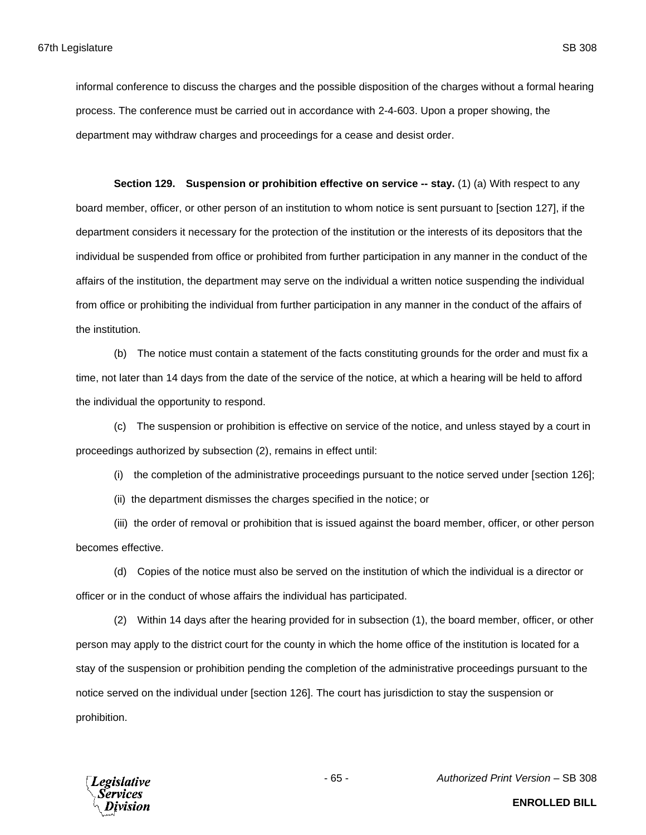informal conference to discuss the charges and the possible disposition of the charges without a formal hearing process. The conference must be carried out in accordance with 2-4-603. Upon a proper showing, the department may withdraw charges and proceedings for a cease and desist order.

**Section 129. Suspension or prohibition effective on service -- stay.** (1) (a) With respect to any board member, officer, or other person of an institution to whom notice is sent pursuant to [section 127], if the department considers it necessary for the protection of the institution or the interests of its depositors that the individual be suspended from office or prohibited from further participation in any manner in the conduct of the affairs of the institution, the department may serve on the individual a written notice suspending the individual from office or prohibiting the individual from further participation in any manner in the conduct of the affairs of the institution.

(b) The notice must contain a statement of the facts constituting grounds for the order and must fix a time, not later than 14 days from the date of the service of the notice, at which a hearing will be held to afford the individual the opportunity to respond.

(c) The suspension or prohibition is effective on service of the notice, and unless stayed by a court in proceedings authorized by subsection (2), remains in effect until:

(i) the completion of the administrative proceedings pursuant to the notice served under [section 126];

(ii) the department dismisses the charges specified in the notice; or

(iii) the order of removal or prohibition that is issued against the board member, officer, or other person becomes effective.

(d) Copies of the notice must also be served on the institution of which the individual is a director or officer or in the conduct of whose affairs the individual has participated.

(2) Within 14 days after the hearing provided for in subsection (1), the board member, officer, or other person may apply to the district court for the county in which the home office of the institution is located for a stay of the suspension or prohibition pending the completion of the administrative proceedings pursuant to the notice served on the individual under [section 126]. The court has jurisdiction to stay the suspension or prohibition.



- 65 - *Authorized Print Version* – SB 308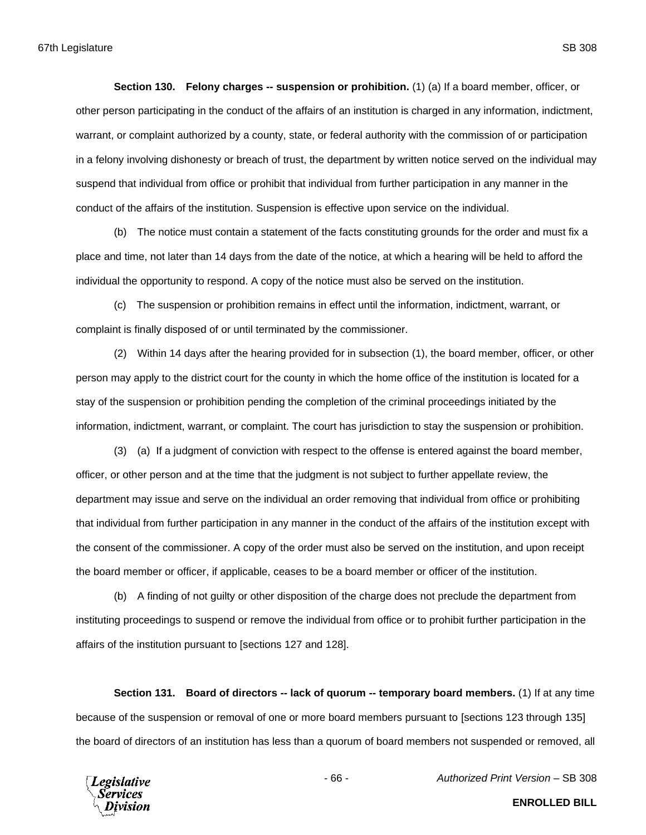**Section 130. Felony charges -- suspension or prohibition.** (1) (a) If a board member, officer, or other person participating in the conduct of the affairs of an institution is charged in any information, indictment, warrant, or complaint authorized by a county, state, or federal authority with the commission of or participation in a felony involving dishonesty or breach of trust, the department by written notice served on the individual may suspend that individual from office or prohibit that individual from further participation in any manner in the conduct of the affairs of the institution. Suspension is effective upon service on the individual.

(b) The notice must contain a statement of the facts constituting grounds for the order and must fix a place and time, not later than 14 days from the date of the notice, at which a hearing will be held to afford the individual the opportunity to respond. A copy of the notice must also be served on the institution.

(c) The suspension or prohibition remains in effect until the information, indictment, warrant, or complaint is finally disposed of or until terminated by the commissioner.

(2) Within 14 days after the hearing provided for in subsection (1), the board member, officer, or other person may apply to the district court for the county in which the home office of the institution is located for a stay of the suspension or prohibition pending the completion of the criminal proceedings initiated by the information, indictment, warrant, or complaint. The court has jurisdiction to stay the suspension or prohibition.

(3) (a) If a judgment of conviction with respect to the offense is entered against the board member, officer, or other person and at the time that the judgment is not subject to further appellate review, the department may issue and serve on the individual an order removing that individual from office or prohibiting that individual from further participation in any manner in the conduct of the affairs of the institution except with the consent of the commissioner. A copy of the order must also be served on the institution, and upon receipt the board member or officer, if applicable, ceases to be a board member or officer of the institution.

(b) A finding of not guilty or other disposition of the charge does not preclude the department from instituting proceedings to suspend or remove the individual from office or to prohibit further participation in the affairs of the institution pursuant to [sections 127 and 128].

**Section 131. Board of directors -- lack of quorum -- temporary board members.** (1) If at any time because of the suspension or removal of one or more board members pursuant to [sections 123 through 135] the board of directors of an institution has less than a quorum of board members not suspended or removed, all



- 66 - *Authorized Print Version* – SB 308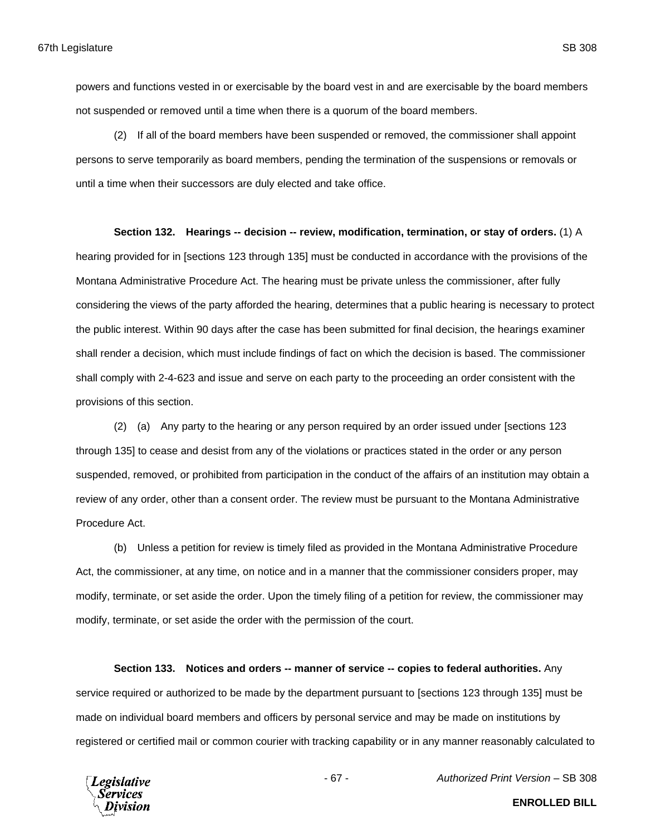powers and functions vested in or exercisable by the board vest in and are exercisable by the board members not suspended or removed until a time when there is a quorum of the board members.

(2) If all of the board members have been suspended or removed, the commissioner shall appoint persons to serve temporarily as board members, pending the termination of the suspensions or removals or until a time when their successors are duly elected and take office.

**Section 132. Hearings -- decision -- review, modification, termination, or stay of orders.** (1) A hearing provided for in [sections 123 through 135] must be conducted in accordance with the provisions of the Montana Administrative Procedure Act. The hearing must be private unless the commissioner, after fully considering the views of the party afforded the hearing, determines that a public hearing is necessary to protect the public interest. Within 90 days after the case has been submitted for final decision, the hearings examiner shall render a decision, which must include findings of fact on which the decision is based. The commissioner shall comply with 2-4-623 and issue and serve on each party to the proceeding an order consistent with the provisions of this section.

(2) (a) Any party to the hearing or any person required by an order issued under [sections 123 through 135] to cease and desist from any of the violations or practices stated in the order or any person suspended, removed, or prohibited from participation in the conduct of the affairs of an institution may obtain a review of any order, other than a consent order. The review must be pursuant to the Montana Administrative Procedure Act.

(b) Unless a petition for review is timely filed as provided in the Montana Administrative Procedure Act, the commissioner, at any time, on notice and in a manner that the commissioner considers proper, may modify, terminate, or set aside the order. Upon the timely filing of a petition for review, the commissioner may modify, terminate, or set aside the order with the permission of the court.

**Section 133. Notices and orders -- manner of service -- copies to federal authorities.** Any service required or authorized to be made by the department pursuant to [sections 123 through 135] must be made on individual board members and officers by personal service and may be made on institutions by registered or certified mail or common courier with tracking capability or in any manner reasonably calculated to



- 67 - *Authorized Print Version* – SB 308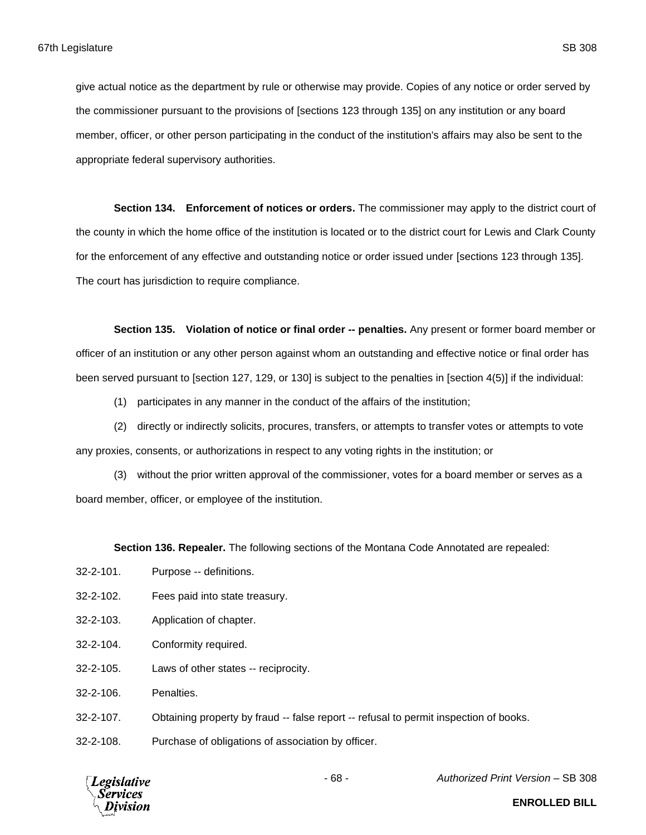give actual notice as the department by rule or otherwise may provide. Copies of any notice or order served by the commissioner pursuant to the provisions of [sections 123 through 135] on any institution or any board member, officer, or other person participating in the conduct of the institution's affairs may also be sent to the appropriate federal supervisory authorities.

**Section 134. Enforcement of notices or orders.** The commissioner may apply to the district court of the county in which the home office of the institution is located or to the district court for Lewis and Clark County for the enforcement of any effective and outstanding notice or order issued under [sections 123 through 135]. The court has jurisdiction to require compliance.

**Section 135. Violation of notice or final order -- penalties.** Any present or former board member or officer of an institution or any other person against whom an outstanding and effective notice or final order has been served pursuant to [section 127, 129, or 130] is subject to the penalties in [section 4(5)] if the individual:

(1) participates in any manner in the conduct of the affairs of the institution;

(2) directly or indirectly solicits, procures, transfers, or attempts to transfer votes or attempts to vote any proxies, consents, or authorizations in respect to any voting rights in the institution; or

(3) without the prior written approval of the commissioner, votes for a board member or serves as a board member, officer, or employee of the institution.

**Section 136. Repealer.** The following sections of the Montana Code Annotated are repealed:

- 32-2-101. Purpose -- definitions.
- 32-2-102. Fees paid into state treasury.
- 32-2-103. Application of chapter.
- 32-2-104. Conformity required.
- 32-2-105. Laws of other states -- reciprocity.

32-2-106. Penalties.

32-2-107. Obtaining property by fraud -- false report -- refusal to permit inspection of books.

32-2-108. Purchase of obligations of association by officer.



- 68 - *Authorized Print Version* – SB 308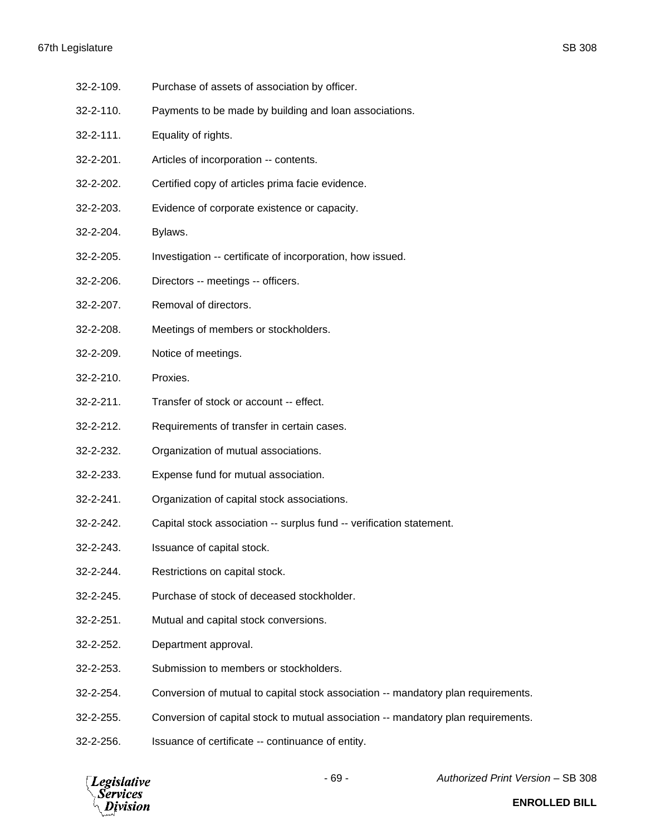# 67th Legislature SB 308

- 32-2-109. Purchase of assets of association by officer.
- 32-2-110. Payments to be made by building and loan associations.
- 32-2-111. Equality of rights.
- 32-2-201. Articles of incorporation -- contents.
- 32-2-202. Certified copy of articles prima facie evidence.
- 32-2-203. Evidence of corporate existence or capacity.
- 32-2-204. Bylaws.
- 32-2-205. Investigation -- certificate of incorporation, how issued.
- 32-2-206. Directors -- meetings -- officers.
- 32-2-207. Removal of directors.
- 32-2-208. Meetings of members or stockholders.
- 32-2-209. Notice of meetings.
- 32-2-210. Proxies.
- 32-2-211. Transfer of stock or account -- effect.
- 32-2-212. Requirements of transfer in certain cases.
- 32-2-232. Organization of mutual associations.
- 32-2-233. Expense fund for mutual association.
- 32-2-241. Organization of capital stock associations.
- 32-2-242. Capital stock association -- surplus fund -- verification statement.
- 32-2-243. Issuance of capital stock.
- 32-2-244. Restrictions on capital stock.
- 32-2-245. Purchase of stock of deceased stockholder.
- 32-2-251. Mutual and capital stock conversions.
- 32-2-252. Department approval.
- 32-2-253. Submission to members or stockholders.
- 32-2-254. Conversion of mutual to capital stock association -- mandatory plan requirements.
- 32-2-255. Conversion of capital stock to mutual association -- mandatory plan requirements.
- 32-2-256. Issuance of certificate -- continuance of entity.

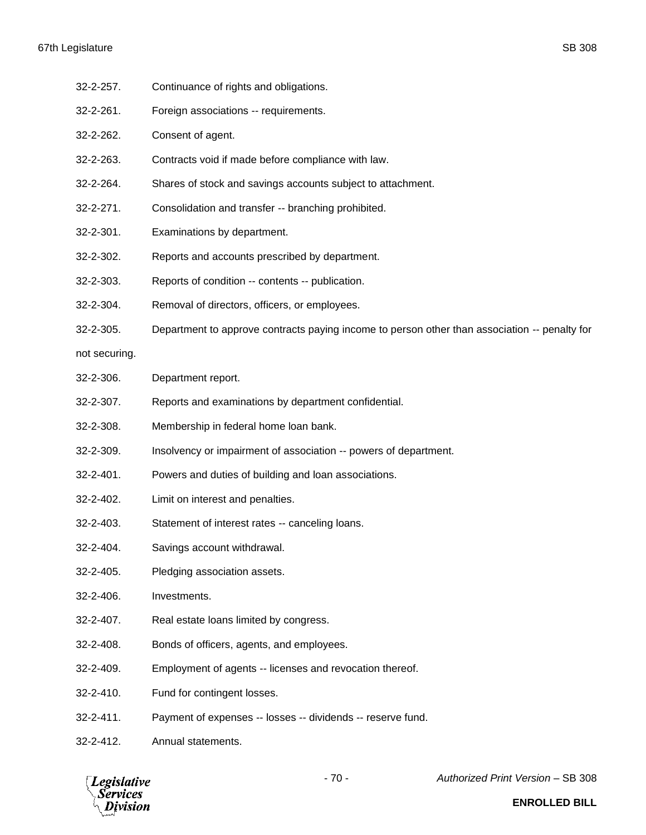- 32-2-257. Continuance of rights and obligations.
- 32-2-261. Foreign associations -- requirements.
- 32-2-262. Consent of agent.
- 32-2-263. Contracts void if made before compliance with law.
- 32-2-264. Shares of stock and savings accounts subject to attachment.
- 32-2-271. Consolidation and transfer -- branching prohibited.
- 32-2-301. Examinations by department.
- 32-2-302. Reports and accounts prescribed by department.
- 32-2-303. Reports of condition -- contents -- publication.
- 32-2-304. Removal of directors, officers, or employees.
- 32-2-305. Department to approve contracts paying income to person other than association -- penalty for
- not securing.
- 32-2-306. Department report.
- 32-2-307. Reports and examinations by department confidential.
- 32-2-308. Membership in federal home loan bank.
- 32-2-309. Insolvency or impairment of association -- powers of department.
- 32-2-401. Powers and duties of building and loan associations.
- 32-2-402. Limit on interest and penalties.
- 32-2-403. Statement of interest rates -- canceling loans.
- 32-2-404. Savings account withdrawal.
- 32-2-405. Pledging association assets.
- 32-2-406. Investments.
- 32-2-407. Real estate loans limited by congress.
- 32-2-408. Bonds of officers, agents, and employees.
- 32-2-409. Employment of agents -- licenses and revocation thereof.
- 32-2-410. Fund for contingent losses.
- 32-2-411. Payment of expenses -- losses -- dividends -- reserve fund.
- 32-2-412. Annual statements.

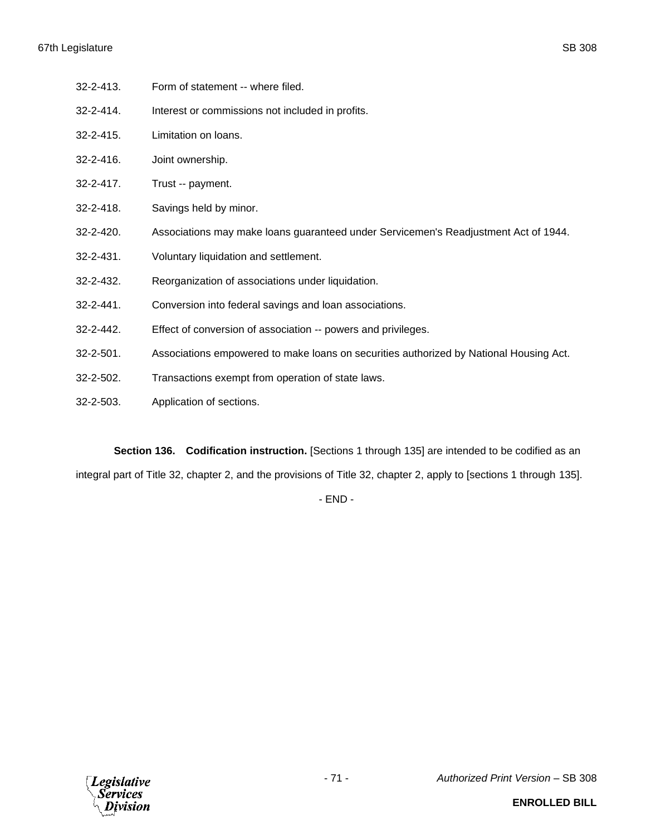- 32-2-413. Form of statement -- where filed.
- 32-2-414. Interest or commissions not included in profits.
- 32-2-415. Limitation on loans.
- 32-2-416. Joint ownership.
- 32-2-417. Trust -- payment.
- 32-2-418. Savings held by minor.
- 32-2-420. Associations may make loans guaranteed under Servicemen's Readjustment Act of 1944.
- 32-2-431. Voluntary liquidation and settlement.
- 32-2-432. Reorganization of associations under liquidation.
- 32-2-441. Conversion into federal savings and loan associations.
- 32-2-442. Effect of conversion of association -- powers and privileges.
- 32-2-501. Associations empowered to make loans on securities authorized by National Housing Act.
- 32-2-502. Transactions exempt from operation of state laws.
- 32-2-503. Application of sections.

**Section 136. Codification instruction.** [Sections 1 through 135] are intended to be codified as an integral part of Title 32, chapter 2, and the provisions of Title 32, chapter 2, apply to [sections 1 through 135].

- END -

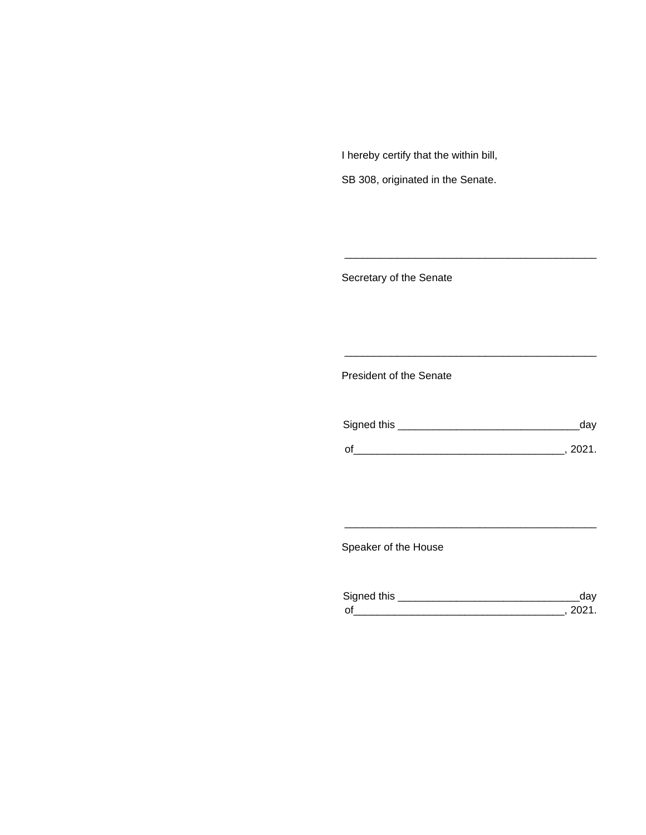I hereby certify that the within bill,

SB 308, originated in the Senate.

Secretary of the Senate

President of the Senate

| Signed this | ua v   |
|-------------|--------|
|             |        |
| $\Omega$    | 111111 |

\_\_\_\_\_\_\_\_\_\_\_\_\_\_\_\_\_\_\_\_\_\_\_\_\_\_\_\_\_\_\_\_\_\_\_\_\_\_\_\_\_\_\_

\_\_\_\_\_\_\_\_\_\_\_\_\_\_\_\_\_\_\_\_\_\_\_\_\_\_\_\_\_\_\_\_\_\_\_\_\_\_\_\_\_\_\_

Speaker of the House

| Sianed this |  |
|-------------|--|
| $\Omega$    |  |

\_\_\_\_\_\_\_\_\_\_\_\_\_\_\_\_\_\_\_\_\_\_\_\_\_\_\_\_\_\_\_\_\_\_\_\_\_\_\_\_\_\_\_